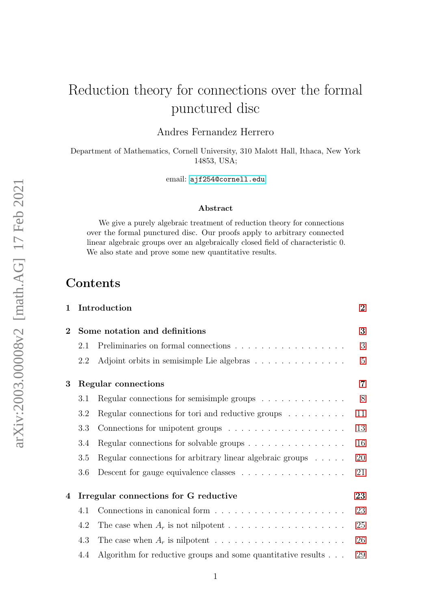# Reduction theory for connections over the formal punctured disc

Andres Fernandez Herrero

Department of Mathematics, Cornell University, 310 Malott Hall, Ithaca, New York 14853, USA;

email: <ajf254@cornell.edu>

#### Abstract

We give a purely algebraic treatment of reduction theory for connections over the formal punctured disc. Our proofs apply to arbitrary connected linear algebraic groups over an algebraically closed field of characteristic 0. We also state and prove some new quantitative results.

1 Introduction [2](#page-1-0)

### Contents

| $\bf{2}$ |                     | Some notation and definitions                                                   | 3              |
|----------|---------------------|---------------------------------------------------------------------------------|----------------|
|          | 2.1                 | Preliminaries on formal connections $\ldots \ldots \ldots \ldots \ldots \ldots$ | 3              |
|          | 2.2                 | Adjoint orbits in semisimple Lie algebras                                       | $\overline{5}$ |
| 3        | Regular connections |                                                                                 |                |
|          | 3.1                 | Regular connections for semisimple groups $\dots \dots \dots \dots$             | $8\,$          |
|          | 3.2                 | Regular connections for tori and reductive groups $\dots \dots$                 | 11             |
|          | 3.3                 |                                                                                 | 13             |
|          | 3.4                 | Regular connections for solvable groups $\dots \dots \dots \dots \dots$         | 16             |
|          | 3.5                 | Regular connections for arbitrary linear algebraic groups $\ldots \ldots$       | 20             |
|          | 3.6                 |                                                                                 | 21             |
| 4        |                     | Irregular connections for G reductive                                           | 23             |
|          | 4.1                 |                                                                                 | 23             |
|          | 4.2                 |                                                                                 | 25             |
|          | 4.3                 |                                                                                 | 26             |
|          | 4.4                 | Algorithm for reductive groups and some quantitative results $\ldots$           | 29             |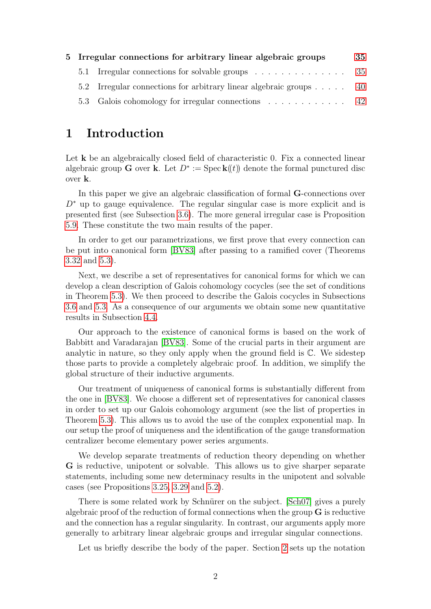|  | 5 Irregular connections for arbitrary linear algebraic groups      | 35 |
|--|--------------------------------------------------------------------|----|
|  | 5.1 Irregular connections for solvable groups 35                   |    |
|  | 5.2 Irregular connections for arbitrary linear algebraic groups 40 |    |
|  |                                                                    |    |

### <span id="page-1-0"></span>1 Introduction

Let **k** be an algebraically closed field of characteristic 0. Fix a connected linear algebraic group **G** over **k**. Let  $D^* := \text{Spec } \mathbf{k}(\mathbf{k})$  denote the formal punctured disc over k.

In this paper we give an algebraic classification of formal G-connections over  $D^*$  up to gauge equivalence. The regular singular case is more explicit and is presented first (see Subsection [3.6\)](#page-20-0). The more general irregular case is Proposition [5.9.](#page-41-1) These constitute the two main results of the paper.

In order to get our parametrizations, we first prove that every connection can be put into canonical form [\[BV83\]](#page-43-0) after passing to a ramified cover (Theorems [3.32](#page-19-1) and [5.3\)](#page-39-1).

Next, we describe a set of representatives for canonical forms for which we can develop a clean description of Galois cohomology cocycles (see the set of conditions in Theorem [5.3\)](#page-39-1). We then proceed to describe the Galois cocycles in Subsections [3.6](#page-20-0) and [5.3.](#page-41-0) As a consequence of our arguments we obtain some new quantitative results in Subsection [4.4.](#page-28-0)

Our approach to the existence of canonical forms is based on the work of Babbitt and Varadarajan [\[BV83\]](#page-43-0). Some of the crucial parts in their argument are analytic in nature, so they only apply when the ground field is C. We sidestep those parts to provide a completely algebraic proof. In addition, we simplify the global structure of their inductive arguments.

Our treatment of uniqueness of canonical forms is substantially different from the one in [\[BV83\]](#page-43-0). We choose a different set of representatives for canonical classes in order to set up our Galois cohomology argument (see the list of properties in Theorem [5.3\)](#page-39-1). This allows us to avoid the use of the complex exponential map. In our setup the proof of uniqueness and the identification of the gauge transformation centralizer become elementary power series arguments.

We develop separate treatments of reduction theory depending on whether G is reductive, unipotent or solvable. This allows us to give sharper separate statements, including some new determinacy results in the unipotent and solvable cases (see Propositions [3.25,](#page-14-0) [3.29](#page-17-0) and [5.2\)](#page-35-0).

There is some related work by Schnürer on the subject. [\[Sch07\]](#page-44-0) gives a purely algebraic proof of the reduction of formal connections when the group  $\bf{G}$  is reductive and the connection has a regular singularity. In contrast, our arguments apply more generally to arbitrary linear algebraic groups and irregular singular connections.

Let us briefly describe the body of the paper. Section [2](#page-2-0) sets up the notation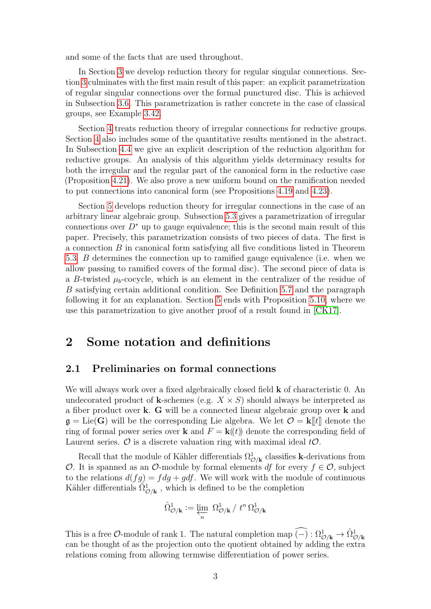and some of the facts that are used throughout.

In Section [3](#page-6-0) we develop reduction theory for regular singular connections. Section [3](#page-6-0) culminates with the first main result of this paper: an explicit parametrization of regular singular connections over the formal punctured disc. This is achieved in Subsection [3.6.](#page-20-0) This parametrization is rather concrete in the case of classical groups, see Example [3.42.](#page-22-2)

Section [4](#page-22-0) treats reduction theory of irregular connections for reductive groups. Section [4](#page-22-0) also includes some of the quantitative results mentioned in the abstract. In Subsection [4.4](#page-28-0) we give an explicit description of the reduction algorithm for reductive groups. An analysis of this algorithm yields determinacy results for both the irregular and the regular part of the canonical form in the reductive case (Proposition [4.21\)](#page-32-0). We also prove a new uniform bound on the ramification needed to put connections into canonical form (see Propositions [4.19](#page-31-0) and [4.23\)](#page-33-0).

Section [5](#page-34-0) develops reduction theory for irregular connections in the case of an arbitrary linear algebraic group. Subsection [5.3](#page-41-0) gives a parametrization of irregular connections over  $D^*$  up to gauge equivalence; this is the second main result of this paper. Precisely, this parametrization consists of two pieces of data. The first is a connection B in canonical form satisfying all five conditions listed in Theorem [5.3.](#page-39-1) B determines the connection up to ramified gauge equivalence (i.e. when we allow passing to ramified covers of the formal disc). The second piece of data is a B-twisted  $\mu_b$ -cocycle, which is an element in the centralizer of the residue of B satisfying certain additional condition. See Definition [5.7](#page-41-2) and the paragraph following it for an explanation. Section [5](#page-34-0) ends with Proposition [5.10,](#page-42-0) where we use this parametrization to give another proof of a result found in [\[CK17\]](#page-43-1).

### <span id="page-2-0"></span>2 Some notation and definitions

#### <span id="page-2-1"></span>2.1 Preliminaries on formal connections

We will always work over a fixed algebraically closed field **k** of characteristic 0. An undecorated product of **k**-schemes (e.g.  $X \times S$ ) should always be interpreted as a fiber product over k. G will be a connected linear algebraic group over k and  $\mathfrak{g} = \text{Lie}(\mathbf{G})$  will be the corresponding Lie algebra. We let  $\mathcal{O} = \mathbf{k}[[t]]$  denote the ring of formal power series over **k** and  $F = \mathbf{k}(t)$  denote the corresponding field of Laurent series.  $\mathcal O$  is a discrete valuation ring with maximal ideal  $t\mathcal O$ .

Recall that the module of Kähler differentials  $\Omega^1_{\mathcal{O}/\mathbf{k}}$  classifies **k**-derivations from O. It is spanned as an O-module by formal elements df for every  $f \in \mathcal{O}$ , subject to the relations  $d(fg) = f dg + g df$ . We will work with the module of continuous Kähler differentials  $\tilde{\Omega}_{\mathcal{O}/\mathbf{k}}^1$ , which is defined to be the completion

$$
\hat{\Omega}_{\mathcal{O}/\mathbf{k}}^{1} \mathrel{\mathop:}= \varprojlim_{n} \ \Omega_{\mathcal{O}/\mathbf{k}}^{1} / \ t^{n} \, \Omega_{\mathcal{O}/\mathbf{k}}^{1}
$$

This is a free  $\mathcal{O}\text{-module}$  of rank 1. The natural completion map  $\widehat{(-)} : \Omega^1_{\mathcal{O}/\mathbf{k}} \to \widehat{\Omega}^1_{\mathcal{O}/\mathbf{k}}$ can be thought of as the projection onto the quotient obtained by adding the extra relations coming from allowing termwise differentiation of power series.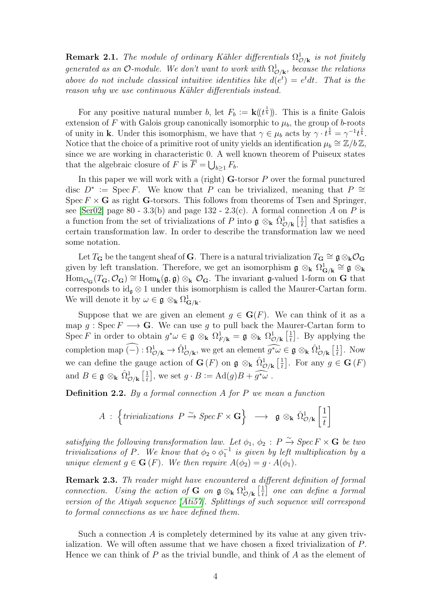**Remark 2.1.** The module of ordinary Kähler differentials  $\Omega_{\mathcal{O}/\mathbf{k}}^1$  is not finitely generated as an O-module. We don't want to work with  $\Omega^1_{\mathcal{O}/\mathbf{k}}$ , because the relations above do not include classical intuitive identities like  $d(e^t) = e^t dt$ . That is the reason why we use continuous Kähler differentials instead.

For any positive natural number b, let  $F_b := \mathbf{k} (t^{\frac{1}{b}})$ . This is a finite Galois extension of F with Galois group canonically isomorphic to  $\mu_b$ , the group of b-roots of unity in **k**. Under this isomorphism, we have that  $\gamma \in \mu_b$  acts by  $\gamma \cdot t^{\frac{1}{b}} = \gamma^{-1} t^{\frac{1}{b}}$ . Notice that the choice of a primitive root of unity yields an identification  $\mu_b \cong \mathbb{Z}/b\mathbb{Z}$ , since we are working in characteristic 0. A well known theorem of Puiseux states that the algebraic closure of F is  $\overline{F} = \bigcup_{b \geq 1} F_b$ .

In this paper we will work with a (right)  $G$ -torsor  $P$  over the formal punctured disc  $D^* := \text{Spec } F$ . We know that P can be trivialized, meaning that  $P \cong$ Spec  $F \times G$  as right G-torsors. This follows from theorems of Tsen and Springer, see [\[Ser02\]](#page-44-1) page 80 - 3.3(b) and page 132 - 2.3(c). A formal connection A on P is a function from the set of trivializations of P into  $\mathfrak{g} \otimes_{\mathbf{k}} \hat{\Omega}^1_{\mathcal{O}/\mathbf{k}}$   $\left[\frac{1}{t}\right]$  $\frac{1}{t}$  that satisfies a certain transformation law. In order to describe the transformation law we need some notation.

Let  $T_G$  be the tangent sheaf of G. There is a natural trivialization  $T_G \cong \mathfrak{g} \otimes_{\mathbf{k}} \mathcal{O}_G$ given by left translation. Therefore, we get an isomorphism  $\mathfrak{g} \otimes_{\mathbf{k}} \Omega_{\mathbf{G}/\mathbf{k}}^1 \cong \mathfrak{g} \otimes_{\mathbf{k}}$  $\text{Hom}_{\mathcal{O}_{\mathbf{G}}}(T_{\mathbf{G}},\mathcal{O}_{\mathbf{G}})\cong \text{Hom}_{\mathbf{k}}(\mathfrak{g},\mathfrak{g})\otimes_{\mathbf{k}}\mathcal{O}_{\mathbf{G}}.$  The invariant g-valued 1-form on G that corresponds to  $id_{\mathfrak{a}} \otimes 1$  under this isomorphism is called the Maurer-Cartan form. We will denote it by  $\omega \in \mathfrak{g} \otimes_{\mathbf{k}} \Omega^1_{\mathbf{G}/\mathbf{k}}$ .

Suppose that we are given an element  $q \in G(F)$ . We can think of it as a map g : Spec  $F \longrightarrow G$ . We can use g to pull back the Maurer-Cartan form to Spec F in order to obtain  $g^*\omega \in \mathfrak{g} \otimes_{\mathbf{k}} \Omega^1_{F/\mathbf{k}} = \mathfrak{g} \otimes_{\mathbf{k}} \Omega^1_{\mathcal{O}/\mathbf{k}} \left[ \frac{1}{t} \right]$  $\frac{1}{t}$ . By applying the completion map  $\widehat{(-)} : \Omega^1_{\mathcal{O}/\mathbf{k}} \to \widehat{\Omega}^1_{\mathcal{O}/\mathbf{k}}$ , we get an element  $\widehat{g^*\omega} \in \mathfrak{g} \otimes_{\mathbf{k}} \widehat{\Omega}^1_{\mathcal{O}/\mathbf{k}} \left[ \frac{1}{t} \right]$  $\left[\frac{1}{t}\right]$ . Now we can define the gauge action of  $\mathbf{G}(F)$  on  $\mathfrak{g} \otimes_{\mathbf{k}} \hat{\Omega}^1_{\mathcal{O}/\mathbf{k}}$   $\left[\frac{1}{t}\right]$  $\left[\frac{1}{t}\right]$ . For any  $g \in \mathbf{G}(F)$ and  $B \in \mathfrak{g} \otimes_{\mathbf{k}} \hat{\Omega}^1_{\mathcal{O}/\mathbf{k}} \left[ \frac{1}{t} \right]$  $\frac{1}{t}$ , we set  $g \cdot B := \text{Ad}(g)B + \widetilde{g^* \omega}$ .

**Definition 2.2.** By a formal connection  $A$  for  $P$  we mean a function

$$
A : \left\{\text{trivializations } P \xrightarrow{\sim} \text{Spec } F \times \mathbf{G} \right\} \longrightarrow \mathfrak{g} \otimes_{\mathbf{k}} \hat{\Omega}^1_{\mathcal{O}/\mathbf{k}} \left[\frac{1}{t}\right]
$$

satisfying the following transformation law. Let  $\phi_1, \phi_2 : P \xrightarrow{\sim} \text{Spec } F \times \mathbf{G}$  be two trivializations of P. We know that  $\phi_2 \circ \phi_1^{-1}$  is given by left multiplication by a unique element  $q \in \mathbf{G}(F)$ . We then require  $A(\phi_2) = q \cdot A(\phi_1)$ .

Remark 2.3. Th reader might have encountered a different definition of formal connection. Using the action of **G** on  $\mathfrak{g} \otimes_{\mathbf{k}} \Omega^1_{\mathcal{O}/\mathbf{k}}$   $\left[\frac{1}{t}\right]$  $\left[\frac{1}{t}\right]$  one can define a formal version of the Atiyah sequence [\[Ati57\]](#page-43-2). Splittings of such sequence will correspond to formal connections as we have defined them.

Such a connection A is completely determined by its value at any given trivialization. We will often assume that we have chosen a fixed trivialization of P. Hence we can think of  $P$  as the trivial bundle, and think of  $A$  as the element of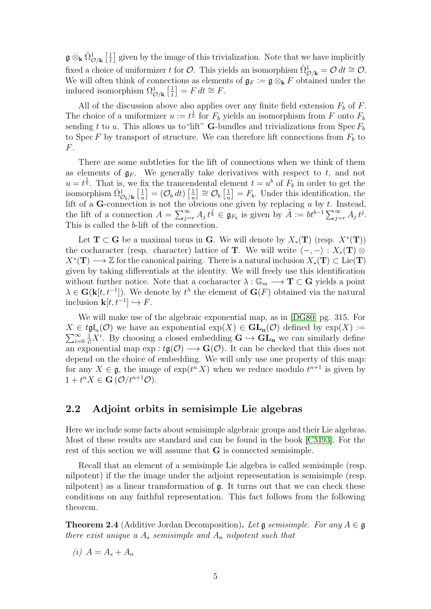$\mathfrak{g} \otimes_{\bf k} \hat{\Omega}^1_{\mathcal{O}/\mathbf{k}} \left[ \frac{1}{t} \right]$  $\frac{1}{t}$  given by the image of this trivialization. Note that we have implicitly fixed a choice of uniformizer t for  $\mathcal{O}$ . This yields an isomorphism  $\hat{\Omega}_{\mathcal{O}/\mathbf{k}}^1 = \mathcal{O} dt \cong \mathcal{O}$ . We will often think of connections as elements of  $\mathfrak{g}_F := \mathfrak{g} \otimes_{\mathbf{k}} F$  obtained under the induced isomorphism  $\Omega^1_{\mathcal{O}/\mathbf{k}}\left[\frac{1}{t}\right]$  $\left[\frac{1}{t}\right] = F dt \cong F.$ 

All of the discussion above also applies over any finite field extension  $F_b$  of F. The choice of a uniformizer  $u := t^{\frac{1}{b}}$  for  $F_b$  yields an isomorphism from F onto  $F_b$ sending t to u. This allows us to "lift" **G**-bundles and trivializations from Spec  $F_b$ to Spec F by transport of structure. We can therefore lift connections from  $F_b$  to F.

There are some subtleties for the lift of connections when we think of them as elements of  $\mathfrak{g}_F$ . We generally take derivatives with respect to t, and not  $u = t^{\frac{1}{b}}$ . That is, we fix the trancendental element  $t = u^b$  of  $F_b$  in order to get the isomorphism  $\hat{\Omega}^1_{\mathcal{O}_b/\mathbf{k}} \left[ \frac{1}{u} \right]$  $\left[\frac{1}{u}\right] = \left(\mathcal{O}_b\, dt\right)\left[\frac{1}{u}\right]$  $\left[\frac{1}{u}\right] \cong \mathcal{O}_b\left[\frac{1}{u}\right]$  $\left[\frac{1}{u}\right] = F_b$ . Under this identification, the lift of a G-connection is not the obvious one given by replacing  $u$  by  $t$ . Instead, the lift of a connection  $A = \sum_{j=r}^{\infty} A_j t^{\frac{j}{b}} \in \mathfrak{g}_{F_b}$  is given by  $\tilde{A} := bt^{b-1} \sum_{j=r}^{\infty} A_j t^j$ . This is called the b-lift of the connection.

Let  $T \subset G$  be a maximal torus in G. We will denote by  $X_*(T)$  (resp.  $X^*(T)$ ) the cocharacter (resp. character) lattice of T. We will write  $\langle -, - \rangle : X_*(T) \otimes$  $X^*(\mathbf{T}) \longrightarrow \mathbb{Z}$  for the canonical pairing. There is a natural inclusion  $X_*(\mathbf{T}) \subset \text{Lie}(\mathbf{T})$ given by taking differentials at the identity. We will freely use this identification without further notice. Note that a cocharacter  $\lambda : \mathbb{G}_m \longrightarrow \mathbf{T} \subset \mathbf{G}$  yields a point  $\lambda \in \mathbf{G}(\mathbf{k}[t, t^{-1}])$ . We denote by  $t^{\lambda}$  the element of  $\mathbf{G}(F)$  obtained via the natural inclusion  $\mathbf{k}[t, t^{-1}] \hookrightarrow F$ .

We will make use of the algebraic exponential map, as in [\[DG80\]](#page-43-3) pg. 315. For  $X \in t\mathfrak{gl}_n(\mathcal{O})$  we have an exponential  $\exp(X) \in \mathbf{GL}_n(\mathcal{O})$  defined by  $\exp(X) :=$  $\sum_{i=1}^{\infty}$  $i=0$  $\frac{1}{i!}X^i$ . By choosing a closed embedding  $\mathbf{G} \hookrightarrow \mathbf{GL}_{\mathbf{n}}$  we can similarly define an exponential map  $\exp : t\mathfrak{g}(\mathcal{O}) \longrightarrow \mathbf{G}(\mathcal{O})$ . It can be checked that this does not depend on the choice of embedding. We will only use one property of this map: for any  $X \in \mathfrak{g}$ , the image of  $\exp(t^n X)$  when we reduce modulo  $t^{n+1}$  is given by  $1+t^nX \in \mathbf{G}(\mathcal{O}/t^{n+1}\mathcal{O}).$ 

#### <span id="page-4-0"></span>2.2 Adjoint orbits in semisimple Lie algebras

Here we include some facts about semisimple algebraic groups and their Lie algebras. Most of these results are standard and can be found in the book [\[CM93\]](#page-43-4). For the rest of this section we will assume that G is connected semisimple.

Recall that an element of a semisimple Lie algebra is called semisimple (resp. nilpotent) if the the image under the adjoint representation is semisimple (resp. nilpotent) as a linear transformation of g. It turns out that we can check these conditions on any faithful representation. This fact follows from the following theorem.

**Theorem 2.4** (Additive Jordan Decomposition). Let  $\mathfrak g$  semisimple. For any  $A \in \mathfrak g$ there exist unique a  $A_s$  semisimple and  $A_n$  nilpotent such that

(*i*)  $A = A_s + A_n$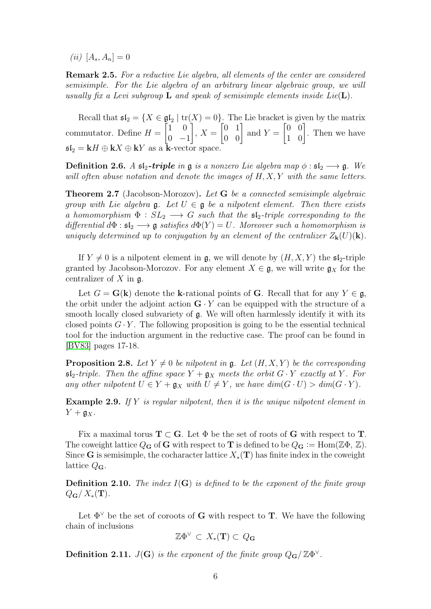(*ii*)  $[A_s, A_n] = 0$ 

Remark 2.5. For a reductive Lie algebra, all elements of the center are considered semisimple. For the Lie algebra of an arbitrary linear algebraic group, we will usually fix a Levi subgroup **L** and speak of semisimple elements inside Lie( $\mathbf{L}$ ).

Recall that  $\mathfrak{sl}_2 = \{X \in \mathfrak{gl}_2 \mid \text{tr}(X) = 0\}$ . The Lie bracket is given by the matrix commutator. Define  $H =$  $\begin{bmatrix} 1 & 0 \end{bmatrix}$  $0 -1$ 1  $, X =$  $\begin{bmatrix} 0 & 1 \\ 0 & 0 \end{bmatrix}$  and  $Y =$  $\begin{bmatrix} 0 & 0 \\ 1 & 0 \end{bmatrix}$ . Then we have  $\mathfrak{sl}_2 = kH \oplus kX \oplus kY$  as a k-vector space.

**Definition 2.6.** A  $\mathfrak{sl}_2$ -triple in  $\mathfrak g$  is a nonzero Lie algebra map  $\phi : \mathfrak{sl}_2 \longrightarrow \mathfrak g$ . We will often abuse notation and denote the images of  $H, X, Y$  with the same letters.

Theorem 2.7 (Jacobson-Morozov). Let G be a connected semisimple algebraic group with Lie algebra  $\mathfrak{g}$ . Let  $U \in \mathfrak{g}$  be a nilpotent element. Then there exists a homomorphism  $\Phi : SL_2 \longrightarrow G$  such that the  $\mathfrak{sl}_2$ -triple corresponding to the differential  $d\Phi : \mathfrak{sl}_2 \longrightarrow \mathfrak{g}$  satisfies  $d\Phi(Y) = U$ . Moreover such a homomorphism is uniquely determined up to conjugation by an element of the centralizer  $Z_{\mathbf{k}}(U)(\mathbf{k})$ .

If  $Y \neq 0$  is a nilpotent element in g, we will denote by  $(H, X, Y)$  the  $\mathfrak{sl}_2$ -triple granted by Jacobson-Morozov. For any element  $X \in \mathfrak{g}$ , we will write  $\mathfrak{g}_X$  for the centralizer of  $X$  in  $\mathfrak{g}$ .

Let  $G = G(k)$  denote the k-rational points of G. Recall that for any  $Y \in \mathfrak{g}$ , the orbit under the adjoint action  $\mathbf{G} \cdot Y$  can be equipped with the structure of a smooth locally closed subvariety of  $\mathfrak{g}$ . We will often harmlessly identify it with its closed points  $G \cdot Y$ . The following proposition is going to be the essential technical tool for the induction argument in the reductive case. The proof can be found in [\[BV83\]](#page-43-0) pages 17-18.

<span id="page-5-0"></span>**Proposition 2.8.** Let  $Y \neq 0$  be nilpotent in g. Let  $(H, X, Y)$  be the corresponding  $\mathfrak{sl}_2$ -triple. Then the affine space  $Y + \mathfrak{g}_X$  meets the orbit  $G \cdot Y$  exactly at Y. For any other nilpotent  $U \in Y + \mathfrak{g}_X$  with  $U \neq Y$ , we have  $dim(G \cdot U) > dim(G \cdot Y)$ .

**Example 2.9.** If Y is regular nilpotent, then it is the unique nilpotent element in  $Y + \mathfrak{g}_X$ .

Fix a maximal torus  $T \subset G$ . Let  $\Phi$  be the set of roots of G with respect to T. The coweight lattice  $Q_G$  of G with respect to T is defined to be  $Q_G := \text{Hom}(\mathbb{Z}\Phi, \mathbb{Z})$ . Since G is semisimple, the cocharacter lattice  $X_*(\mathbf{T})$  has finite index in the coweight lattice  $Q_{\mathbf{G}}$ .

**Definition 2.10.** The index  $I(G)$  is defined to be the exponent of the finite group  $Q_{\mathbf{G}}/X_*(\mathbf{T}).$ 

Let  $\Phi^{\vee}$  be the set of coroots of **G** with respect to **T**. We have the following chain of inclusions

$$
\mathbb{Z}\Phi^\vee\, \subset\, X_*(\mathbf{T})\subset\, Q_\mathbf{G}
$$

<span id="page-5-1"></span>**Definition 2.11.**  $J(\mathbf{G})$  is the exponent of the finite group  $Q_{\mathbf{G}}/\mathbb{Z}\Phi^{\vee}$ .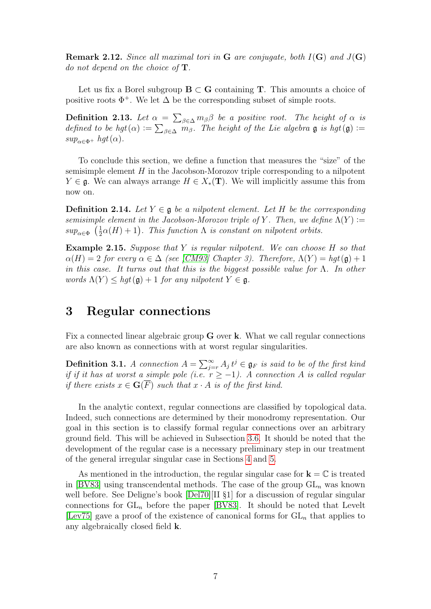**Remark 2.12.** Since all maximal tori in G are conjugate, both  $I(G)$  and  $J(G)$ do not depend on the choice of  $\mathbf T$ .

Let us fix a Borel subgroup  $B \subset G$  containing T. This amounts a choice of positive roots  $\Phi^+$ . We let  $\Delta$  be the corresponding subset of simple roots.

**Definition 2.13.** Let  $\alpha = \sum_{\beta \in \Delta} m_{\beta} \beta$  be a positive root. The height of  $\alpha$  is defined to be hgt $(\alpha) := \sum_{\beta \in \Delta} m_{\beta}$ . The height of the Lie algebra  $\mathfrak g$  is hgt $(\mathfrak g) :=$  $sup_{\alpha \in \Phi^+} hgt(\alpha)$ .

To conclude this section, we define a function that measures the "size" of the semisimple element  $H$  in the Jacobson-Morozov triple corresponding to a nilpotent  $Y \in \mathfrak{g}$ . We can always arrange  $H \in X_*(\mathbf{T})$ . We will implicitly assume this from now on.

<span id="page-6-1"></span>**Definition 2.14.** Let  $Y \in \mathfrak{g}$  be a nilpotent element. Let H be the corresponding semisimple element in the Jacobson-Morozov triple of Y. Then, we define  $\Lambda(Y) :=$  $sup_{\alpha \in \Phi} \left(\frac{1}{2}\right)$  $\frac{1}{2}\alpha(H)+1$ ). This function  $\Lambda$  is constant on nilpotent orbits.

<span id="page-6-2"></span>Example 2.15. Suppose that Y is regular nilpotent. We can choose H so that  $\alpha(H) = 2$  for every  $\alpha \in \Delta$  (see [\[CM93\]](#page-43-4) Chapter 3). Therefore,  $\Lambda(Y) = hqt(\mathfrak{g}) + 1$ in this case. It turns out that this is the biggest possible value for  $\Lambda$ . In other words  $\Lambda(Y) \leq hgt(\mathfrak{g}) + 1$  for any nilpotent  $Y \in \mathfrak{g}$ .

### <span id="page-6-0"></span>3 Regular connections

Fix a connected linear algebraic group G over k. What we call regular connections are also known as connections with at worst regular singularities.

**Definition 3.1.** A connection  $A = \sum_{j=r}^{\infty} A_j t^j \in \mathfrak{g}_F$  is said to be of the first kind if if it has at worst a simple pole (i.e.  $r \ge -1$ ). A connection A is called regular if there exists  $x \in \mathbf{G}(\overline{F})$  such that  $x \cdot A$  is of the first kind.

In the analytic context, regular connections are classified by topological data. Indeed, such connections are determined by their monodromy representation. Our goal in this section is to classify formal regular connections over an arbitrary ground field. This will be achieved in Subsection [3.6.](#page-20-0) It should be noted that the development of the regular case is a necessary preliminary step in our treatment of the general irregular singular case in Sections [4](#page-22-0) and [5.](#page-34-0)

As mentioned in the introduction, the regular singular case for  $\mathbf{k} = \mathbb{C}$  is treated in [\[BV83\]](#page-43-0) using transcendental methods. The case of the group  $GL_n$  was known well before. See Deligne's book [\[Del70\]](#page-43-5)[II §1] for a discussion of regular singular connections for  $GL_n$  before the paper [\[BV83\]](#page-43-0). It should be noted that Levelt [\[Lev75\]](#page-44-2) gave a proof of the existence of canonical forms for  $GL_n$  that applies to any algebraically closed field k.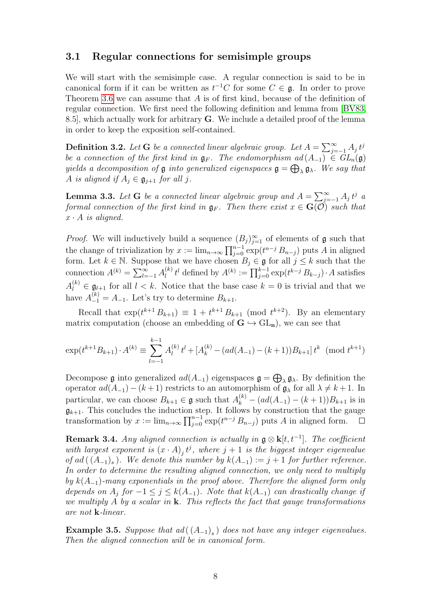#### <span id="page-7-0"></span>3.1 Regular connections for semisimple groups

We will start with the semisimple case. A regular connection is said to be in canonical form if it can be written as  $t^{-1}C$  for some  $C \in \mathfrak{g}$ . In order to prove Theorem [3.6](#page-8-0) we can assume that A is of first kind, because of the definition of regular connection. We first need the following definition and lemma from [\[BV83,](#page-43-0) 8.5], which actually work for arbitrary G. We include a detailed proof of the lemma in order to keep the exposition self-contained.

**Definition 3.2.** Let **G** be a connected linear algebraic group. Let  $A = \sum_{j=-1}^{\infty} A_j t^j$ be a connection of the first kind in  $\mathfrak{g}_F$ . The endomorphism  $ad(A_{-1}) \in GL_n(\mathfrak{g})$ yields a decomposition of  $\mathfrak g$  into generalized eigenspaces  $\mathfrak g = \bigoplus_\lambda \mathfrak g_\lambda$ . We say that A is aligned if  $A_i \in \mathfrak{g}_{i+1}$  for all j.

<span id="page-7-1"></span>**Lemma 3.3.** Let **G** be a connected linear algebraic group and  $A = \sum_{j=-1}^{\infty} A_j t^j$  a formal connection of the first kind in  $\mathfrak{g}_F$ . Then there exist  $x \in \mathbf{G}(\mathcal{O})$  such that  $x \cdot A$  is aligned.

*Proof.* We will inductively build a sequence  $(B_j)_{j=1}^{\infty}$  of elements of **g** such that the change of trivialization by  $x := \lim_{n \to \infty} \prod_{j=0}^{n-1} \exp(t^{n-j} B_{n-j})$  puts A in aligned form. Let  $k \in \mathbb{N}$ . Suppose that we have chosen  $B_j \in \mathfrak{g}$  for all  $j \leq k$  such that the connection  $A^{(k)} = \sum_{l=-1}^{\infty} A_l^{(k)}$  $\prod_{l}^{(k)} t^{l}$  defined by  $A^{(k)} := \prod_{j=0}^{k-1} \exp(t^{k-j} B_{k-j}) \cdot A$  satisfies  $A_l^{(k)} \in \mathfrak{g}_{l+1}$  for all  $l < k$ . Notice that the base case  $k = 0$  is trivial and that we have  $A_{-1}^{(k)} = A_{-1}$ . Let's try to determine  $B_{k+1}$ .

Recall that  $\exp(t^{k+1} B_{k+1}) \equiv 1 + t^{k+1} B_{k+1} \pmod{t^{k+2}}$ . By an elementary matrix computation (choose an embedding of  $G \hookrightarrow GL_n$ ), we can see that

$$
\exp(t^{k+1}B_{k+1}) \cdot A^{(k)} \equiv \sum_{l=-1}^{k-1} A_l^{(k)} t^l + [A_k^{(k)} - (ad(A_{-1}) - (k+1))B_{k+1}] t^k \pmod{t^{k+1}}
$$

Decompose **g** into generalized  $ad(A_{-1})$  eigenspaces  $\mathfrak{g} = \bigoplus_{\lambda} \mathfrak{g}_{\lambda}$ . By definition the operator  $ad(A_{-1}) - (k+1)$  restricts to an automorphism of  $\mathfrak{g}_{\lambda}$  for all  $\lambda \neq k+1$ . In particular, we can choose  $B_{k+1} \in \mathfrak{g}$  such that  $A_k^{(k)} - (ad(A_{-1}) - (k+1))B_{k+1}$  is in  $\mathfrak{g}_{k+1}$ . This concludes the induction step. It follows by construction that the gauge transformation by  $x := \lim_{n \to \infty} \prod_{j=0}^{n-1} \exp(t^{n-j} B_{n-j})$  puts A in aligned form.

<span id="page-7-2"></span>**Remark 3.4.** Any aligned connection is actually in  $\mathfrak{g} \otimes \mathbf{k}[t, t^{-1}]$ . The coefficient with largest exponent is  $(x \cdot A)_j t^j$ , where  $j+1$  is the biggest integer eigenvalue of ad  $((A_{-1})_s)$ . We denote this number by  $k(A_{-1}) := j + 1$  for further reference. In order to determine the resulting aligned connection, we only need to multiply by  $k(A_{-1})$ -many exponentials in the proof above. Therefore the aligned form only depends on  $A_i$  for  $-1 \leq j \leq k(A_{-1})$ . Note that  $k(A_{-1})$  can drastically change if we multiply A by a scalar in  $\bf{k}$ . This reflects the fact that gauge transformations are not k-linear.

**Example 3.5.** Suppose that  $ad((A_{-1})_s)$  does not have any integer eigenvalues. Then the aligned connection will be in canonical form.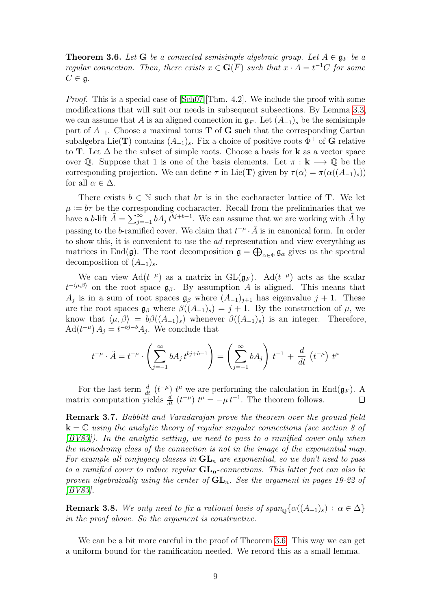<span id="page-8-0"></span>**Theorem 3.6.** Let **G** be a connected semisimple algebraic group. Let  $A \in \mathfrak{g}_F$  be a regular connection. Then, there exists  $x \in \mathbf{G}(\overline{F})$  such that  $x \cdot A = t^{-1}C$  for some  $C \in \mathfrak{g}.$ 

Proof. This is a special case of [\[Sch07\]](#page-44-0)[Thm. 4.2]. We include the proof with some modifications that will suit our needs in subsequent subsections. By Lemma [3.3,](#page-7-1) we can assume that A is an aligned connection in  $\mathfrak{g}_F$ . Let  $(A_{-1})_s$  be the semisimple part of  $A_{-1}$ . Choose a maximal torus **T** of **G** such that the corresponding Cartan subalgebra Lie(T) contains  $(A_{-1})_s$ . Fix a choice of positive roots  $\Phi^+$  of G relative to T. Let  $\Delta$  be the subset of simple roots. Choose a basis for **k** as a vector space over  $\mathbb Q$ . Suppose that 1 is one of the basis elements. Let  $\pi : \mathbf k \longrightarrow \mathbb Q$  be the corresponding projection. We can define  $\tau$  in Lie(T) given by  $\tau(\alpha) = \pi(\alpha((A_{-1})_s))$ for all  $\alpha \in \Delta$ .

There exists  $b \in \mathbb{N}$  such that  $b\tau$  is in the cocharacter lattice of **T**. We let  $\mu := b\tau$  be the corresponding cocharacter. Recall from the preliminaries that we have a b-lift  $\tilde{A} = \sum_{j=-1}^{\infty} b A_j t^{bj+b-1}$ . We can assume that we are working with  $\tilde{A}$  by passing to the b-ramified cover. We claim that  $t^{-\mu} \cdot \tilde{A}$  is in canonical form. In order to show this, it is convenient to use the ad representation and view everything as matrices in End( $\mathfrak{g}$ ). The root decomposition  $\mathfrak{g} = \bigoplus_{\alpha \in \Phi} \mathfrak{g}_{\alpha}$  gives us the spectral decomposition of  $(A_{-1})_s$ .

We can view  $\text{Ad}(t^{-\mu})$  as a matrix in  $\text{GL}(\mathfrak{g}_F)$ .  $\text{Ad}(t^{-\mu})$  acts as the scalar  $t^{-\langle \mu,\beta \rangle}$  on the root space  $\mathfrak{g}_{\beta}$ . By assumption A is aligned. This means that  $A_j$  is in a sum of root spaces  $\mathfrak{g}_{\beta}$  where  $(A_{-1})_{j+1}$  has eigenvalue  $j+1$ . These are the root spaces  $\mathfrak{g}_{\beta}$  where  $\beta((A_{-1})_s) = j + 1$ . By the construction of  $\mu$ , we know that  $\langle \mu, \beta \rangle = b\beta((A_{-1})_s)$  whenever  $\beta((A_{-1})_s)$  is an integer. Therefore,  $\operatorname{Ad}(t^{-\mu}) A_j = t^{-bj-b} A_j$ . We conclude that

$$
t^{-\mu} \cdot \tilde{A} = t^{-\mu} \cdot \left( \sum_{j=-1}^{\infty} b A_j t^{bj+b-1} \right) = \left( \sum_{j=-1}^{\infty} b A_j \right) t^{-1} + \frac{d}{dt} \left( t^{-\mu} \right) t^{\mu}
$$

For the last term  $\frac{d}{dt}$   $(t^{-\mu})$   $t^{\mu}$  we are performing the calculation in End $(\mathfrak{g}_F)$ . A matrix computation yields  $\frac{d}{dt}$   $(t^{-\mu})$   $t^{\mu} = -\mu t^{-1}$ . The theorem follows.

Remark 3.7. Babbitt and Varadarajan prove the theorem over the ground field  $k = C$  using the analytic theory of regular singular connections (see section 8 of  $[BV83]$ ). In the analytic setting, we need to pass to a ramified cover only when the monodromy class of the connection is not in the image of the exponential map. For example all conjugacy classes in  $GL_n$  are exponential, so we don't need to pass to a ramified cover to reduce regular  $GL_n$ -connections. This latter fact can also be proven algebraically using the center of  $GL_n$ . See the argument in pages 19-22 of [\[BV83\]](#page-43-0).

**Remark 3.8.** We only need to fix a rational basis of  $span_{\mathbb{Q}}\{\alpha((A_{-1})_{s}) : \alpha \in \Delta\}$ in the proof above. So the argument is constructive.

We can be a bit more careful in the proof of Theorem [3.6.](#page-8-0) This way we can get a uniform bound for the ramification needed. We record this as a small lemma.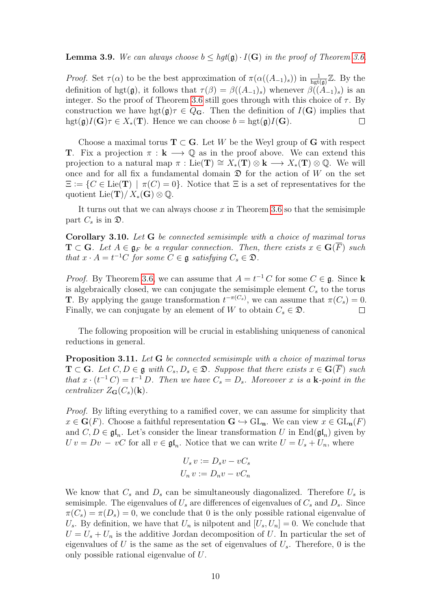#### <span id="page-9-0"></span>**Lemma 3.9.** We can always choose  $b \leq hgt(\mathfrak{g}) \cdot I(\mathbf{G})$  in the proof of Theorem [3.6.](#page-8-0)

*Proof.* Set  $\tau(\alpha)$  to be the best approximation of  $\pi(\alpha((A_{-1})_s))$  in  $\frac{1}{\text{hgt}(\mathfrak{g})}\mathbb{Z}$ . By the definition of hgt(g), it follows that  $\tau(\beta) = \beta((A_{-1})_s)$  whenever  $\beta((A_{-1})_s)$  is an integer. So the proof of Theorem [3.6](#page-8-0) still goes through with this choice of  $\tau$ . By construction we have hgt $(g)\tau \in Q_G$ . Then the definition of  $I(G)$  implies that  $hgt(\mathfrak{g})I(\mathbf{G})\tau \in X_*(\mathbf{T})$ . Hence we can choose  $b = hgt(\mathfrak{g})I(\mathbf{G})$ . П

Choose a maximal torus  $\mathbf{T} \subset \mathbf{G}$ . Let W be the Weyl group of G with respect **T**. Fix a projection  $\pi : \mathbf{k} \longrightarrow \mathbb{Q}$  as in the proof above. We can extend this projection to a natural map  $\pi : \text{Lie}(\mathbf{T}) \cong X_*(\mathbf{T}) \otimes \mathbf{k} \longrightarrow X_*(\mathbf{T}) \otimes \mathbb{Q}$ . We will once and for all fix a fundamental domain  $\mathfrak D$  for the action of W on the set  $\Xi := \{C \in \text{Lie}(\mathbf{T}) \mid \pi(C) = 0\}.$  Notice that  $\Xi$  is a set of representatives for the quotient Lie(T)/ $X_*(\mathbf{G}) \otimes \mathbb{Q}$ .

It turns out that we can always choose  $x$  in Theorem [3.6](#page-8-0) so that the semisimple part  $C_s$  is in  $\mathfrak{D}$ .

<span id="page-9-1"></span>Corollary 3.10. Let G be connected semisimple with a choice of maximal torus  $\mathbf{T} \subset \mathbf{G}$ . Let  $A \in \mathfrak{g}_F$  be a regular connection. Then, there exists  $x \in \mathbf{G}(F)$  such that  $x \cdot A = t^{-1}C$  for some  $C \in \mathfrak{g}$  satisfying  $C_s \in \mathfrak{D}$ .

*Proof.* By Theorem [3.6,](#page-8-0) we can assume that  $A = t^{-1}C$  for some  $C \in \mathfrak{g}$ . Since k is algebraically closed, we can conjugate the semisimple element  $C_s$  to the torus **T**. By applying the gauge transformation  $t^{-\pi(C_s)}$ , we can assume that  $\pi(C_s) = 0$ . Finally, we can conjugate by an element of W to obtain  $C_s \in \mathfrak{D}$ .  $\Box$ 

The following proposition will be crucial in establishing uniqueness of canonical reductions in general.

<span id="page-9-2"></span>Proposition 3.11. Let G be connected semisimple with a choice of maximal torus  $\mathbf{T} \subset \mathbf{G}$ . Let  $C, D \in \mathfrak{g}$  with  $C_s, D_s \in \mathfrak{D}$ . Suppose that there exists  $x \in \mathbf{G}(\overline{F})$  such that  $x \cdot (t^{-1}C) = t^{-1}D$ . Then we have  $C_s = D_s$ . Moreover x is a **k**-point in the centralizer  $Z_{\mathbf{G}}(C_s)(\mathbf{k}).$ 

Proof. By lifting everything to a ramified cover, we can assume for simplicity that  $x \in \mathbf{G}(F)$ . Choose a faithful representation  $\mathbf{G} \hookrightarrow \mathrm{GL}_{\mathbf{n}}$ . We can view  $x \in \mathrm{GL}_{\mathbf{n}}(F)$ and  $C, D \in \mathfrak{gl}_n$ . Let's consider the linear transformation U in  $\text{End}(\mathfrak{gl}_n)$  given by  $U v = D v - vC$  for all  $v \in \mathfrak{gl}_n$ . Notice that we can write  $U = U_s + U_n$ , where

$$
U_s v := D_s v - v C_s
$$
  

$$
U_n v := D_n v - v C_n
$$

We know that  $C_s$  and  $D_s$  can be simultaneously diagonalized. Therefore  $U_s$  is semisimple. The eigenvalues of  $U_s$  are differences of eigenvalues of  $C_s$  and  $D_s$ . Since  $\pi(C_s) = \pi(D_s) = 0$ , we conclude that 0 is the only possible rational eigenvalue of  $U_s$ . By definition, we have that  $U_n$  is nilpotent and  $[U_s, U_n] = 0$ . We conclude that  $U = U_s + U_n$  is the additive Jordan decomposition of U. In particular the set of eigenvalues of U is the same as the set of eigenvalues of  $U_s$ . Therefore, 0 is the only possible rational eigenvalue of U.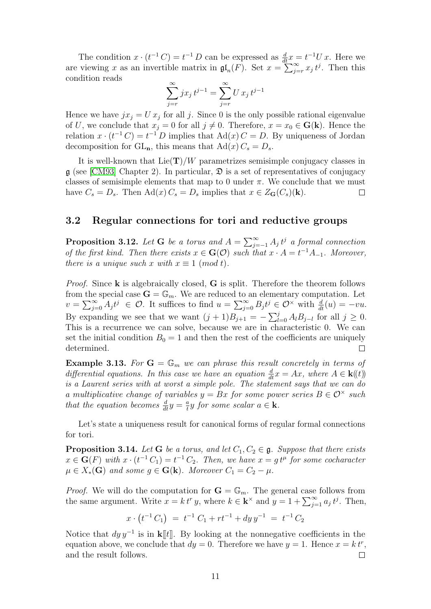The condition  $x \cdot (t^{-1} C) = t^{-1} D$  can be expressed as  $\frac{d}{dt} x = t^{-1} U x$ . Here we are viewing x as an invertible matrix in  $\mathfrak{gl}_n(F)$ . Set  $x = \sum_{j=r}^{\infty} x_j t^j$ . Then this condition reads

$$
\sum_{j=r}^{\infty} jx_j t^{j-1} = \sum_{j=r}^{\infty} U x_j t^{j-1}
$$

Hence we have  $jx_j = Ux_j$  for all j. Since 0 is the only possible rational eigenvalue of U, we conclude that  $x_j = 0$  for all  $j \neq 0$ . Therefore,  $x = x_0 \in G(k)$ . Hence the relation  $x \cdot (t^{-1}C) = t^{-1}D$  implies that  $\text{Ad}(x)C = D$ . By uniqueness of Jordan decomposition for  $GL_n$ , this means that  $Ad(x) C_s = D_s$ .

It is well-known that  $Lie(T)/W$  parametrizes semisimple conjugacy classes in  $\mathfrak g$  (see [\[CM93\]](#page-43-4) Chapter 2). In particular,  $\mathfrak D$  is a set of representatives of conjugacy classes of semisimple elements that map to 0 under  $\pi$ . We conclude that we must have  $C_s = D_s$ . Then  $\text{Ad}(x) C_s = D_s$  implies that  $x \in Z_G(C_s)(k)$ .  $\Box$ 

#### <span id="page-10-0"></span>3.2 Regular connections for tori and reductive groups

<span id="page-10-1"></span>**Proposition 3.12.** Let G be a torus and  $A = \sum_{j=-1}^{\infty} A_j t^j$  a formal connection of the first kind. Then there exists  $x \in G(\mathcal{O})$  such that  $x \cdot A = t^{-1}A_{-1}$ . Moreover, there is a unique such x with  $x \equiv 1 \pmod{t}$ .

*Proof.* Since  $\bf{k}$  is algebraically closed,  $\bf{G}$  is split. Therefore the theorem follows from the special case  $\mathbf{G} = \mathbb{G}_m$ . We are reduced to an elementary computation. Let  $v = \sum_{j=0}^{\infty} A_j t^j \in \mathcal{O}$ . It suffices to find  $u = \sum_{j=0}^{\infty} B_j t^j \in \mathcal{O}^{\times}$  with  $\frac{d}{dt}(u) = -vu$ . By expanding we see that we want  $(j + 1)B_{j+1} = -\sum_{l=0}^{j} A_l B_{j-l}$  for all  $j \geq 0$ . This is a recurrence we can solve, because we are in characteristic 0. We can set the initial condition  $B_0 = 1$  and then the rest of the coefficients are uniquely determined.  $\Box$ 

**Example 3.13.** For  $G = \mathbb{G}_m$  we can phrase this result concretely in terms of differential equations. In this case we have an equation  $\frac{d}{dt}x = Ax$ , where  $A \in \mathbf{k}(\!(t)\!)$ is a Laurent series with at worst a simple pole. The statement says that we can do a multiplicative change of variables  $y = Bx$  for some power series  $B \in \mathcal{O}^\times$  such that the equation becomes  $\frac{d}{dt}y = \frac{a}{t}$  $\frac{a}{t}y$  for some scalar  $a \in \mathbf{k}$ .

Let's state a uniqueness result for canonical forms of regular formal connections for tori.

<span id="page-10-2"></span>**Proposition 3.14.** Let **G** be a torus, and let  $C_1, C_2 \in \mathfrak{g}$ . Suppose that there exists  $x \in \mathbf{G}(F)$  with  $x \cdot (t^{-1}C_1) = t^{-1}C_2$ . Then, we have  $x = g t^{\mu}$  for some cocharacter  $\mu \in X_*(\mathbf{G})$  and some  $g \in \mathbf{G}(\mathbf{k})$ . Moreover  $C_1 = C_2 - \mu$ .

*Proof.* We will do the computation for  $\mathbf{G} = \mathbb{G}_m$ . The general case follows from the same argument. Write  $x = k t^r y$ , where  $k \in \mathbf{k}^\times$  and  $y = 1 + \sum_{j=1}^\infty a_j t^j$ . Then,

$$
x \cdot \left(t^{-1} C_1\right) \ = \ t^{-1} C_1 + r t^{-1} + dy \, y^{-1} \ = \ t^{-1} C_2
$$

Notice that  $dy y^{-1}$  is in k[t]. By looking at the nonnegative coefficients in the equation above, we conclude that  $dy = 0$ . Therefore we have  $y = 1$ . Hence  $x = k t^r$ , and the result follows.  $\Box$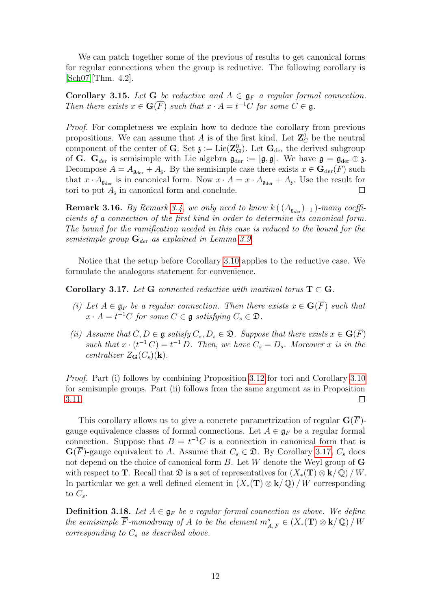We can patch together some of the previous of results to get canonical forms for regular connections when the group is reductive. The following corollary is [\[Sch07\]](#page-44-0)[Thm. 4.2].

Corollary 3.15. Let G be reductive and  $A \in \mathfrak{g}_F$  a regular formal connection. Then there exists  $x \in \mathbf{G}(\overline{F})$  such that  $x \cdot A = t^{-1}C$  for some  $C \in \mathfrak{g}$ .

Proof. For completness we explain how to deduce the corollary from previous propositions. We can assume that A is of the first kind. Let  $\mathbb{Z}_G^0$  be the neutral component of the center of **G**. Set  $\mathfrak{z} := \text{Lie}(\mathbf{Z}_{\mathbf{G}}^0)$ . Let  $\mathbf{G}_{\text{der}}$  the derived subgroup of **G**.  $G_{der}$  is semisimple with Lie algebra  $\mathfrak{g}_{der} := [\mathfrak{g}, \mathfrak{g}]$ . We have  $\mathfrak{g} = \mathfrak{g}_{der} \oplus \mathfrak{z}$ . Decompose  $A = A_{\mathfrak{g}_{der}} + A_{\mathfrak{z}}$ . By the semisimple case there exists  $x \in \mathbf{G}_{der}(F)$  such that  $x \cdot A_{\text{gder}}$  is in canonical form. Now  $x \cdot A = x \cdot A_{\text{gder}} + A_{\text{s}}$ . Use the result for tori to put  $A<sub>3</sub>$  in canonical form and conclude.

**Remark 3.16.** By Remark [3.4,](#page-7-2) we only need to know k  $(A_{\mathfrak{g}_{der}})_{-1}$ )-many coefficients of a connection of the first kind in order to determine its canonical form. The bound for the ramification needed in this case is reduced to the bound for the semisimple group  $\mathbf{G}_{der}$  as explained in Lemma [3.9.](#page-9-0)

Notice that the setup before Corollary [3.10](#page-9-1) applies to the reductive case. We formulate the analogous statement for convenience.

<span id="page-11-0"></span>Corollary 3.17. Let G connected reductive with maximal torus  $T \subset G$ .

- (i) Let  $A \in \mathfrak{g}_F$  be a regular connection. Then there exists  $x \in \mathbf{G}(\overline{F})$  such that  $x \cdot A = t^{-1}C$  for some  $C \in \mathfrak{g}$  satisfying  $C_s \in \mathfrak{D}$ .
- (ii) Assume that  $C, D \in \mathfrak{g}$  satisfy  $C_s, D_s \in \mathfrak{D}$ . Suppose that there exists  $x \in \mathbf{G}(\overline{F})$ such that  $x \cdot (t^{-1} C) = t^{-1} D$ . Then, we have  $C_s = D_s$ . Moreover x is in the centralizer  $Z_{\mathbf{G}}(C_s)(\mathbf{k})$ .

Proof. Part (i) follows by combining Proposition [3.12](#page-10-1) for tori and Corollary [3.10](#page-9-1) for semisimple groups. Part (ii) follows from the same argument as in Proposition [3.11.](#page-9-2)  $\Box$ 

This corollary allows us to give a concrete parametrization of regular  $\mathbf{G}(\overline{F})$ gauge equivalence classes of formal connections. Let  $A \in \mathfrak{g}_F$  be a regular formal connection. Suppose that  $B = t^{-1}C$  is a connection in canonical form that is  $\mathbf{G}(\overline{F})$ -gauge equivalent to A. Assume that  $C_s \in \mathfrak{D}$ . By Corollary [3.17,](#page-11-0)  $C_s$  does not depend on the choice of canonical form B. Let W denote the Weyl group of **G** with respect to **T**. Recall that  $\mathfrak{D}$  is a set of representatives for  $(X_*(\mathbf{T}) \otimes \mathbf{k}/\mathbb{Q})/W$ . In particular we get a well defined element in  $(X_*(\mathbf{T}) \otimes \mathbf{k}/\mathbb{Q})/W$  corresponding to  $C_s$ .

<span id="page-11-1"></span>**Definition 3.18.** Let  $A \in \mathfrak{g}_F$  be a regular formal connection as above. We define the semisimple  $\overline{F}$ -monodromy of A to be the element  $m^s_{A,\overline{F}} \in (X_*(\mathbf{T}) \otimes \mathbf{k}/\mathbb{Q})/W$ corresponding to  $C_s$  as described above.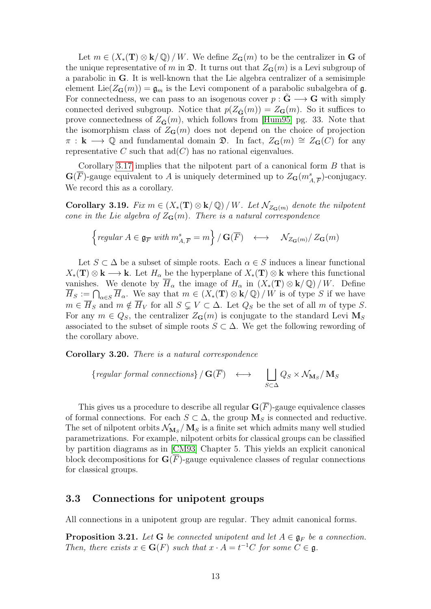Let  $m \in (X_*(\mathbf{T}) \otimes \mathbf{k}/\mathbb{Q})/W$ . We define  $Z_{\mathbf{G}}(m)$  to be the centralizer in G of the unique representative of m in  $\mathfrak{D}$ . It turns out that  $Z_{\mathbf{G}}(m)$  is a Levi subgroup of a parabolic in G. It is well-known that the Lie algebra centralizer of a semisimple element Lie( $Z_{\mathbf{G}}(m)$ ) =  $\mathfrak{g}_m$  is the Levi component of a parabolic subalgebra of  $\mathfrak{g}$ . For connectedness, we can pass to an isogenous cover  $p : G \longrightarrow G$  with simply connected derived subgroup. Notice that  $p(Z_{\tilde{G}}(m)) = Z_{G}(m)$ . So it suffices to prove connectedness of  $Z_{\tilde{\mathbf{G}}}(m)$ , which follows from [\[Hum95\]](#page-43-6) pg. 33. Note that the isomorphism class of  $Z_{\mathbf{G}}(m)$  does not depend on the choice of projection  $\pi : \mathbf{k} \longrightarrow \mathbb{Q}$  and fundamental domain  $\mathfrak{D}$ . In fact,  $Z_{\mathbf{G}}(m) \cong Z_{\mathbf{G}}(C)$  for any representative C such that  $ad(C)$  has no rational eigenvalues.

Corollary [3.17](#page-11-0) implies that the nilpotent part of a canonical form B that is  $\mathbf{G}(\overline{F})$ -gauge equivalent to A is uniquely determined up to  $Z_{\mathbf{G}}(m_{A,\overline{F}}^{s})$ -conjugacy. We record this as a corollary.

Corollary 3.19. Fix  $m \in (X_*(\mathbf{T}) \otimes \mathbf{k}/\mathbb{Q})/W$ . Let  $\mathcal{N}_{Z_{\mathbf{C}}(m)}$  denote the nilpotent cone in the Lie algebra of  $Z_{\mathbf{G}}(m)$ . There is a natural correspondence

{
$$
regular \, A \in \mathfrak{g}_{\overline{F}} \, with \, m^s_{A,\overline{F}} = m
$$
} /  $\mathbf{G}(\overline{F}) \longleftrightarrow N_{Z_{\mathbf{G}}(m)}/ Z_{\mathbf{G}}(m)$ 

Let  $S \subset \Delta$  be a subset of simple roots. Each  $\alpha \in S$  induces a linear functional  $X_*(\mathbf{T}) \otimes \mathbf{k} \longrightarrow \mathbf{k}$ . Let  $H_\alpha$  be the hyperplane of  $X_*(\mathbf{T}) \otimes \mathbf{k}$  where this functional vanishes. We denote by  $\overline{H}_{\alpha}$  the image of  $H_{\alpha}$  in  $(X_*(\mathbf{T}) \otimes \mathbf{k}/\mathbb{Q})/W$ . Define  $\overline{H}_S := \bigcap_{\alpha \in S} \overline{H}_\alpha$ . We say that  $m \in (X_*(\mathbf{T}) \otimes \mathbf{k}/\mathbb{Q})/W$  is of type S if we have  $m \in \overline{H}_S$  and  $m \notin \overline{H}_V$  for all  $S \subsetneq V \subset \Delta$ . Let  $Q_S$  be the set of all m of type S. For any  $m \in Q_S$ , the centralizer  $Z_{\mathbf{G}}(m)$  is conjugate to the standard Levi  $\mathbf{M}_S$ associated to the subset of simple roots  $S \subset \Delta$ . We get the following rewording of the corollary above.

Corollary 3.20. There is a natural correspondence

{regular formal connections} / 
$$
\mathbf{G}(\overline{F}) \longleftrightarrow \bigsqcup_{S \subset \Delta} Q_S \times \mathcal{N}_{\mathbf{M}_S}/\mathbf{M}_S
$$

This gives us a procedure to describe all regular  $\mathbf{G}(\overline{F})$ -gauge equivalence classes of formal connections. For each  $S \subset \Delta$ , the group  $M_S$  is connected and reductive. The set of nilpotent orbits  $\mathcal{N}_{\mathbf{M}_S}/\mathbf{M}_S$  is a finite set which admits many well studied parametrizations. For example, nilpotent orbits for classical groups can be classified by partition diagrams as in [\[CM93\]](#page-43-4) Chapter 5. This yields an explicit canonical block decompositions for  $\mathbf{G}(\overline{F})$ -gauge equivalence classes of regular connections for classical groups.

#### <span id="page-12-0"></span>3.3 Connections for unipotent groups

All connections in a unipotent group are regular. They admit canonical forms.

**Proposition 3.21.** Let G be connected unipotent and let  $A \in \mathfrak{g}_F$  be a connection. Then, there exists  $x \in G(F)$  such that  $x \cdot A = t^{-1}C$  for some  $C \in \mathfrak{g}$ .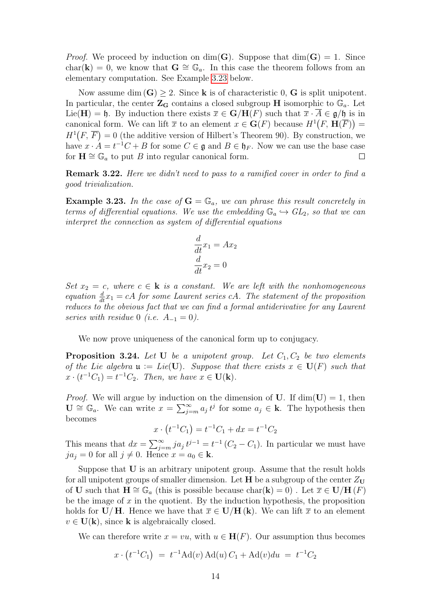*Proof.* We proceed by induction on dim(G). Suppose that  $dim(G) = 1$ . Since char(k) = 0, we know that  $G \cong \mathbb{G}_a$ . In this case the theorem follows from an elementary computation. See Example [3.23](#page-13-0) below.

Now assume dim  $(G) \geq 2$ . Since **k** is of characteristic 0, **G** is split unipotent. In particular, the center  $\mathbb{Z}_G$  contains a closed subgroup H isomorphic to  $\mathbb{G}_a$ . Let Lie(H) = h. By induction there exists  $\overline{x} \in \mathbf{G}/\mathbf{H}(F)$  such that  $\overline{x} \cdot \overline{A} \in \mathfrak{g}/\mathfrak{h}$  is in canonical form. We can lift  $\bar{x}$  to an element  $x \in \mathbf{G}(F)$  because  $H^1(F, \mathbf{H}(\overline{F}))$  $H^1(F, \overline{F}) = 0$  (the additive version of Hilbert's Theorem 90). By construction, we have  $x \cdot A = t^{-1}C + B$  for some  $C \in \mathfrak{g}$  and  $B \in \mathfrak{h}_F$ . Now we can use the base case for  $\mathbf{H} \cong \mathbb{G}_a$  to put B into regular canonical form.  $\Box$ 

Remark 3.22. Here we didn't need to pass to a ramified cover in order to find a good trivialization.

<span id="page-13-0"></span>**Example 3.23.** In the case of  $G = \mathbb{G}_a$ , we can phrase this result concretely in terms of differential equations. We use the embedding  $\mathbb{G}_a \hookrightarrow GL_2$ , so that we can interpret the connection as system of differential equations

$$
\frac{d}{dt}x_1 = Ax_2
$$

$$
\frac{d}{dt}x_2 = 0
$$

Set  $x_2 = c$ , where  $c \in \mathbf{k}$  is a constant. We are left with the nonhomogeneous equation  $\frac{d}{dt}x_1 = cA$  for some Laurent series cA. The statement of the proposition reduces to the obvious fact that we can find a formal antiderivative for any Laurent series with residue 0 (i.e.  $A_{-1} = 0$ ).

We now prove uniqueness of the canonical form up to conjugacy.

**Proposition 3.24.** Let U be a unipotent group. Let  $C_1, C_2$  be two elements of the Lie algebra  $\mathfrak{u} := Lie(U)$ . Suppose that there exists  $x \in U(F)$  such that  $x \cdot (t^{-1}C_1) = t^{-1}C_2$ . Then, we have  $x \in U(k)$ .

*Proof.* We will argue by induction on the dimension of U. If  $\dim(U) = 1$ , then  $\mathbf{U} \cong \mathbb{G}_a$ . We can write  $x = \sum_{j=m}^{\infty} a_j t^j$  for some  $a_j \in \mathbf{k}$ . The hypothesis then becomes

$$
x \cdot (t^{-1}C_1) = t^{-1}C_1 + dx = t^{-1}C_2
$$

This means that  $dx = \sum_{j=m}^{\infty} ja_j t^{j-1} = t^{-1} (C_2 - C_1)$ . In particular we must have  $ja_j = 0$  for all  $j \neq 0$ . Hence  $x = a_0 \in \mathbf{k}$ .

Suppose that U is an arbitrary unipotent group. Assume that the result holds for all unipotent groups of smaller dimension. Let **H** be a subgroup of the center  $Z_{\text{U}}$ of U such that  $\mathbf{H} \cong \mathbb{G}_a$  (this is possible because char(**k**) = 0). Let  $\overline{x} \in \mathbf{U}/\mathbf{H}(F)$ be the image of  $x$  in the quotient. By the induction hypothesis, the proposition holds for  $\mathbf{U}/\mathbf{H}$ . Hence we have that  $\overline{x} \in \mathbf{U}/\mathbf{H}(\mathbf{k})$ . We can lift  $\overline{x}$  to an element  $v \in U(k)$ , since k is algebraically closed.

We can therefore write  $x = vu$ , with  $u \in \mathbf{H}(F)$ . Our assumption thus becomes

$$
x \cdot (t^{-1}C_1) = t^{-1} \text{Ad}(v) \text{Ad}(u) C_1 + \text{Ad}(v) du = t^{-1} C_2
$$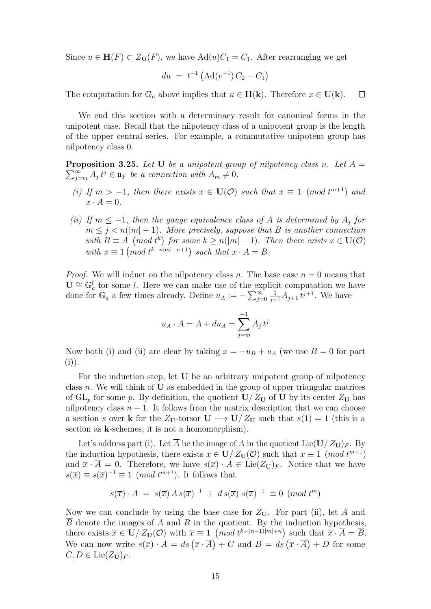Since  $u \in \mathbf{H}(F) \subset Z_{\mathbf{U}}(F)$ , we have  $\text{Ad}(u)C_1 = C_1$ . After rearranging we get

$$
du = t^{-1} \left( \text{Ad}(v^{-1}) C_2 - C_1 \right)
$$

The computation for  $\mathbb{G}_a$  above implies that  $u \in \mathbf{H}(\mathbf{k})$ . Therefore  $x \in \mathbf{U}(\mathbf{k})$ .  $\Box$ 

We end this section with a determinacy result for canonical forms in the unipotent case. Recall that the nilpotency class of a unipotent group is the length of the upper central series. For example, a commutative unipotent group has nilpotency class 0.

<span id="page-14-0"></span>**Proposition 3.25.** Let U be a unipotent group of nilpotency class n. Let  $A =$  $\sum_{j=m}^{\infty} A_j t^j \in \mathfrak{u}_F$  be a connection with  $A_m \neq 0$ .

- (i) If  $m > -1$ , then there exists  $x \in U(\mathcal{O})$  such that  $x \equiv 1 \pmod{t^{m+1}}$  and  $x \cdot A = 0.$
- (ii) If  $m \leq -1$ , then the gauge equivalence class of A is determined by  $A_i$  for  $m \leq j < n(|m|-1)$ . More precisely, suppose that B is another connection with  $B \equiv A \pmod{t^k}$  for some  $k \geq n(|m|-1)$ . Then there exists  $x \in U(\mathcal{O})$ with  $x \equiv 1 \pmod{t^{k-n|m|+n+1}}$  such that  $x \cdot A = B$ .

*Proof.* We will induct on the nilpotency class n. The base case  $n = 0$  means that  $\mathbf{U} \cong \mathbb{G}_a^l$  for some l. Here we can make use of the explicit computation we have done for  $\mathbb{G}_a$  a few times already. Define  $u_A := -\sum_{j=0}^{\infty}$  $\frac{1}{j+1}A_{j+1}t^{j+1}$ . We have

$$
u_A \cdot A = A + du_A = \sum_{j=m}^{-1} A_j t^j
$$

Now both (i) and (ii) are clear by taking  $x = -u_B + u_A$  (we use  $B = 0$  for part  $(i)).$ 

For the induction step, let U be an arbitrary unipotent group of nilpotency class  $n$ . We will think of  **as embedded in the group of upper triangular matrices** of  $GL_p$  for some p. By definition, the quotient  $U/Z_U$  of U by its center  $Z_U$  has nilpotency class  $n - 1$ . It follows from the matrix description that we can choose a section s over k for the  $Z_{U}$ -torsor  $U \longrightarrow U/Z_{U}$  such that  $s(1) = 1$  (this is a section as k-schemes, it is not a homomorphism).

Let's address part (i). Let  $\overline{A}$  be the image of A in the quotient Lie(U/ $Z_{\text{U}}$ )<sub>F</sub>. By the induction hypothesis, there exists  $\bar{x} \in U/Z_U(\mathcal{O})$  such that  $\bar{x} \equiv 1 \pmod{t^{m+1}}$ and  $\bar{x} \cdot \bar{A} = 0$ . Therefore, we have  $s(\bar{x}) \cdot A \in \text{Lie}(Z_{\mathbf{U}})_{F}$ . Notice that we have  $s(\overline{x}) \equiv s(\overline{x})^{-1} \equiv 1 \pmod{t^{m+1}}$ . It follows that

$$
s(\overline{x}) \cdot A = s(\overline{x}) A s(\overline{x})^{-1} + d s(\overline{x}) s(\overline{x})^{-1} \equiv 0 \pmod{t^m}
$$

Now we can conclude by using the base case for  $Z_U$ . For part (ii), let  $\overline{A}$  and  $\overline{B}$  denote the images of A and B in the quotient. By the induction hypothesis, there exists  $\overline{x} \in U/Z_U(\mathcal{O})$  with  $\overline{x} \equiv 1 \pmod{t^{k-(n-1)|m|+n}}$  such that  $\overline{x} \cdot \overline{A} = \overline{B}$ . We can now write  $s(\overline{x}) \cdot A = ds(\overline{x} \cdot \overline{A}) + C$  and  $B = ds(\overline{x} \cdot \overline{A}) + D$  for some  $C, D \in \text{Lie}(\mathbb{Z}_{\mathbf{U}})_F.$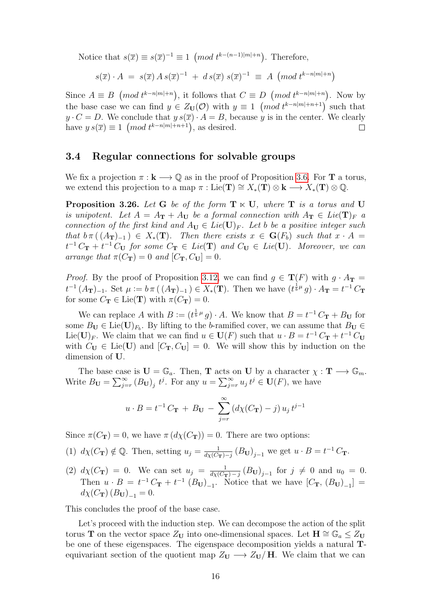Notice that  $s(\overline{x}) \equiv s(\overline{x})^{-1} \equiv 1 \pmod{t^{k-(n-1)|m|+n}}$ . Therefore,

$$
s(\overline{x}) \cdot A = s(\overline{x}) A s(\overline{x})^{-1} + d s(\overline{x}) s(\overline{x})^{-1} \equiv A \ (mod \ t^{k-n|m|+n})
$$

Since  $A \equiv B \pmod{t^{k-n|m|+n}}$ , it follows that  $C \equiv D \pmod{t^{k-n|m|+n}}$ . Now by the base case we can find  $y \in Z_{\mathbf{U}}(\mathcal{O})$  with  $y \equiv 1 \pmod{t^{k-n|m|+n+1}}$  such that  $y \cdot C = D$ . We conclude that  $y s(\overline{x}) \cdot A = B$ , because y is in the center. We clearly have  $y s(\overline{x}) \equiv 1 \pmod{t^{k-n|m|+n+1}}$ , as desired.  $\Box$ 

#### <span id="page-15-0"></span>3.4 Regular connections for solvable groups

We fix a projection  $\pi : \mathbf{k} \longrightarrow \mathbb{Q}$  as in the proof of Proposition [3.6.](#page-8-0) For **T** a torus, we extend this projection to a map  $\pi : \mathrm{Lie}(\mathbf{T}) \cong X_*(\mathbf{T}) \otimes \mathbf{k} \longrightarrow X_*(\mathbf{T}) \otimes \mathbb{Q}$ .

<span id="page-15-1"></span>**Proposition 3.26.** Let G be of the form  $T \times U$ , where T is a torus and U is unipotent. Let  $A = A_{\textbf{T}} + A_{\textbf{U}}$  be a formal connection with  $A_{\textbf{T}} \in Lie(\textbf{T})_F$  a connection of the first kind and  $A_U \in Lie(U)_F$ . Let b be a positive integer such that  $b \pi((A_{\bf T})_{-1}) \in X_*(\bf T)$ . Then there exists  $x \in G(F_b)$  such that  $x \cdot A =$  $t^{-1}C_{\mathbf{T}}+t^{-1}C_{\mathbf{U}}$  for some  $C_{\mathbf{T}} \in Lie(\mathbf{T})$  and  $C_{\mathbf{U}} \in Lie(\mathbf{U})$ . Moreover, we can arrange that  $\pi(C_{\mathbf{T}}) = 0$  and  $[C_{\mathbf{T}}, C_{\mathbf{U}}] = 0$ .

*Proof.* By the proof of Proposition [3.12,](#page-10-1) we can find  $g \in \mathbf{T}(F)$  with  $g \cdot A_{\mathbf{T}} =$  $t^{-1}(A_{\bf T})_{-1}$ . Set  $\mu := b \pi((A_{\bf T})_{-1}) \in X_*(\bf T)$ . Then we have  $(t^{\frac{1}{b}\mu}g) \cdot A_{\bf T} = t^{-1}C_{\bf T}$ for some  $C_{\mathbf{T}} \in \text{Lie}(\mathbf{T})$  with  $\pi(C_{\mathbf{T}}) = 0$ .

We can replace A with  $B := (t^{\frac{1}{b}\mu} g) \cdot A$ . We know that  $B = t^{-1}C_{\mathbf{T}} + B_{\mathbf{U}}$  for some  $B_{\mathbf{U}} \in \text{Lie}(\mathbf{U})_{F_b}$ . By lifting to the b-ramified cover, we can assume that  $B_{\mathbf{U}} \in$ Lie(U)<sub>F</sub>. We claim that we can find  $u \in U(F)$  such that  $u \cdot B = t^{-1}C_{\mathbf{T}} + t^{-1}C_{\mathbf{U}}$ with  $C_U \in \text{Lie}(U)$  and  $[C_T, C_U] = 0$ . We will show this by induction on the dimension of U.

The base case is  $\mathbf{U} = \mathbb{G}_a$ . Then, **T** acts on **U** by a character  $\chi : \mathbf{T} \longrightarrow \mathbb{G}_m$ . Write  $B_{\mathbf{U}} = \sum_{j=r}^{\infty} (B_{\mathbf{U}})_j t^j$ . For any  $u = \sum_{j=r}^{\infty} u_j t^j \in \mathbf{U}(F)$ , we have

$$
u \cdot B = t^{-1} C_{\mathbf{T}} + B_{\mathbf{U}} - \sum_{j=r}^{\infty} \left( d\chi(C_{\mathbf{T}}) - j \right) u_j t^{j-1}
$$

Since  $\pi(C_{\mathbf{T}}) = 0$ , we have  $\pi(d\chi(C_{\mathbf{T}})) = 0$ . There are two options:

- (1)  $d\chi(C_{\mathbf{T}}) \notin \mathbb{Q}$ . Then, setting  $u_j = \frac{1}{d\chi(C)}$  $\frac{1}{d\chi(C_{\mathbf{T}})-j}(B_{\mathbf{U}})_{j-1}$  we get  $u \cdot B = t^{-1}C_{\mathbf{T}}$ .
- (2)  $d\chi(C_{\bf T}) = 0$ . We can set  $u_j = \frac{1}{d\chi(C_{\bf T})}$  $\frac{1}{d_{\mathcal{X}}(C_{\mathbf{T}})-j}(B_{\mathbf{U}})_{j-1}$  for  $j \neq 0$  and  $u_0 = 0$ . Then  $u \cdot B = t^{-1}C_{\bf T} + t^{-1} (B_{\bf U})_{-1}$ . Notice that we have  $[C_{\bf T}, (B_{\bf U})_{-1}] =$  $d\chi(C_{\bf T}) (B_{\bf U})_{-1} = 0.$

This concludes the proof of the base case.

Let's proceed with the induction step. We can decompose the action of the split torus T on the vector space  $Z_U$  into one-dimensional spaces. Let  $H \cong \mathbb{G}_a \leq Z_U$ be one of these eigenspaces. The eigenspace decomposition yields a natural Tequivariant section of the quotient map  $Z_U \longrightarrow Z_U/H$ . We claim that we can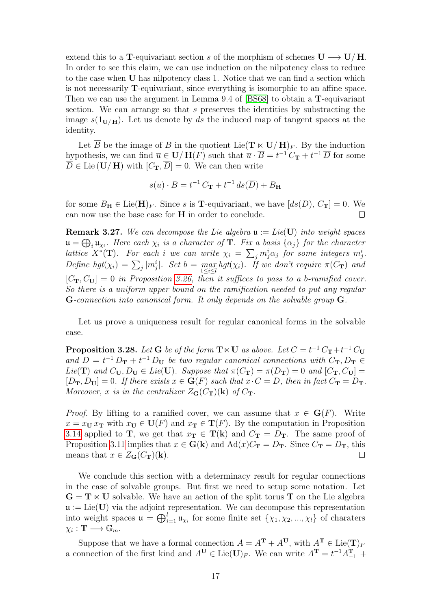extend this to a T-equivariant section s of the morphism of schemes  $U \longrightarrow U/H$ . In order to see this claim, we can use induction on the nilpotency class to reduce to the case when U has nilpotency class 1. Notice that we can find a section which is not necessarily T-equivariant, since everything is isomorphic to an affine space. Then we can use the argument in Lemma 9.4 of [\[BS68\]](#page-43-7) to obtain a T-equivariant section. We can arrange so that s preserves the identities by substracting the image  $s(1_{\mathbf{U}/\mathbf{H}})$ . Let us denote by ds the induced map of tangent spaces at the identity.

Let  $\overline{B}$  be the image of B in the quotient Lie( $\mathbf{T} \ltimes \mathbf{U}/\mathbf{H}_{F}$ . By the induction hypothesis, we can find  $\overline{u} \in \mathbf{U}/\mathbf{H}(F)$  such that  $\overline{u} \cdot \overline{B} = t^{-1} C_{\mathbf{T}} + t^{-1} \overline{D}$  for some  $\overline{\overline{D}}$   $\in$  Lie (U/H) with  $[C_{\mathbf{T}}, \overline{D}] = 0$ . We can then write

$$
s(\overline{u}) \cdot B = t^{-1} C_{\mathbf{T}} + t^{-1} ds(\overline{D}) + B_{\mathbf{H}}
$$

for some  $B_{\mathbf{H}} \in \text{Lie}(\mathbf{H})_F$ . Since s is **T**-equivariant, we have  $[ds(D), C_{\mathbf{T}}] = 0$ . We can now use the base case for H in order to conclude.  $\Box$ 

**Remark 3.27.** We can decompose the Lie algebra  $\mathfrak{u} := Lie(U)$  into weight spaces  $\mathfrak{u} = \bigoplus_i \mathfrak{u}_{\chi_i}$ . Here each  $\chi_i$  is a character of **T**. Fix a basis  $\{\alpha_j\}$  for the character lattice  $X^*(\mathbf{T})$ . For each i we can write  $\chi_i = \sum_j m_j^i \alpha_j$  for some integers  $m_j^i$ . Define hgt $(\chi_i) = \sum_j |m_j^i|$ . Set  $b = \max_{1 \le i \le l} hgt(\chi_i)$ . If we don't require  $\pi(C_{\mathbf{T}})$  and  $[C_{\mathbf{T}}, C_{\mathbf{U}}] = 0$  in Proposition [3.26,](#page-15-1) then it suffices to pass to a b-ramified cover. So there is a uniform upper bound on the ramification needed to put any regular G-connection into canonical form. It only depends on the solvable group G.

Let us prove a uniqueness result for regular canonical forms in the solvable case.

**Proposition 3.28.** Let **G** be of the form  $T \times U$  as above. Let  $C = t^{-1} C_T + t^{-1} C_U$ and  $D = t^{-1} D_{\mathbf{T}} + t^{-1} D_{\mathbf{U}}$  be two regular canonical connections with  $C_{\mathbf{T}}, D_{\mathbf{T}} \in$ Lie(T) and  $C_U, D_U \in Lie(U)$ . Suppose that  $\pi(C_T) = \pi(D_T) = 0$  and  $[C_T, C_U] =$  $[D_{\mathbf{T}}, D_{\mathbf{U}}] = 0$ . If there exists  $x \in \mathbf{G}(\overline{F})$  such that  $x \cdot C = D$ , then in fact  $C_{\mathbf{T}} = D_{\mathbf{T}}$ . Moreover, x is in the centralizer  $Z_G(C_T)(k)$  of  $C_T$ .

*Proof.* By lifting to a ramified cover, we can assume that  $x \in G(F)$ . Write  $x = x_{\mathbf{U}} x_{\mathbf{T}}$  with  $x_{\mathbf{U}} \in \mathbf{U}(F)$  and  $x_{\mathbf{T}} \in \mathbf{T}(F)$ . By the computation in Proposition [3.14](#page-10-2) applied to T, we get that  $x_T \in T(k)$  and  $C_T = D_T$ . The same proof of Proposition [3.11](#page-9-2) implies that  $x \in G(k)$  and  $Ad(x)C_T = D_T$ . Since  $C_T = D_T$ , this means that  $x \in Z_{\mathbf{G}}(C_{\mathbf{T}})(\mathbf{k}).$  $\Box$ 

We conclude this section with a determinacy result for regular connections in the case of solvable groups. But first we need to setup some notation. Let  $\mathbf{G} = \mathbf{T} \ltimes \mathbf{U}$  solvable. We have an action of the split torus **T** on the Lie algebra  $\mathfrak{u} := \text{Lie}(\mathbf{U})$  via the adjoint representation. We can decompose this representation into weight spaces  $\mathfrak{u} = \bigoplus_{i=1}^l \mathfrak{u}_{\chi_i}$  for some finite set  $\{\chi_1, \chi_2, ..., \chi_l\}$  of charaters  $\chi_i : \mathbf{T} \longrightarrow \mathbb{G}_m.$ 

Suppose that we have a formal connection  $A = A^{\mathbf{T}} + A^{\mathbf{U}}$ , with  $A^{\mathbf{T}} \in \text{Lie}(\mathbf{T})_F$ a connection of the first kind and  $A^{\mathbf{U}} \in \text{Lie}(\mathbf{U})_F$ . We can write  $A^{\mathbf{T}} = t^{-1}A_{-1}^{\mathbf{T}} +$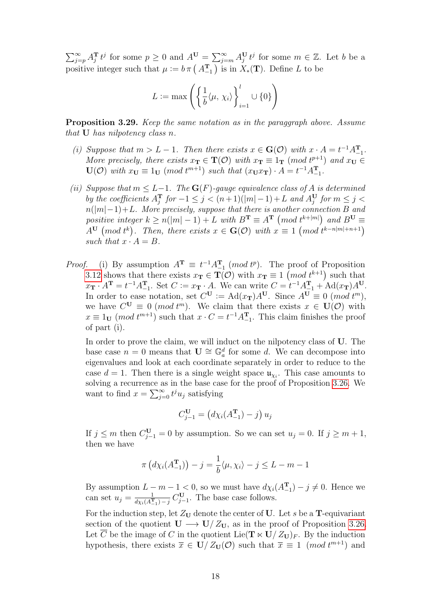$\sum_{j=p}^{\infty} A_j^{\mathbf{T}} t^j$  for some  $p \ge 0$  and  $A^{\mathbf{U}} = \sum_{j=m}^{\infty} A_j^{\mathbf{U}} t^j$  for some  $m \in \mathbb{Z}$ . Let b be a positive integer such that  $\mu := b \pi \left( A_{-1}^{\mathbf{T}} \right)$  is in  $X_*(\mathbf{T})$ . Define L to be

$$
L := \max \left( \left\{ \frac{1}{b} \langle \mu, \chi_i \rangle \right\}_{i=1}^l \cup \{0\} \right)
$$

<span id="page-17-0"></span>Proposition 3.29. Keep the same notation as in the paraggraph above. Assume that U has nilpotency class n.

- (i) Suppose that  $m > L 1$ . Then there exists  $x \in G(\mathcal{O})$  with  $x \cdot A = t^{-1}A_{-1}^{T}$ . More precisely, there exists  $x_T \in T(\mathcal{O})$  with  $x_T \equiv 1_T \pmod{t^{p+1}}$  and  $x_U \in$  $U(\mathcal{O})$  with  $x_U \equiv 1_U \pmod{t^{m+1}}$  such that  $(x_U x_T) \cdot A = t^{-1} A_{-1}^T$ .
- (ii) Suppose that  $m \leq L-1$ . The  $\mathbf{G}(F)$ -gauge equivalence class of A is determined by the coefficients  $A_j^{\mathbf{T}}$  for  $-1 \leq j < (n+1)(|m|-1) + L$  and  $A_j^{\mathbf{U}}$  for  $m \leq j <$  $n(|m|-1)+L$ . More precisely, suppose that there is another connection B and positive integer  $k \ge n(|m|-1) + L$  with  $B^T \equiv A^T \pmod{t^{k+|m|}}$  and  $B^U \equiv$  $A^{\mathbf{U}} \pmod{t^k}$ . Then, there exists  $x \in \mathbf{G}(\mathcal{O})$  with  $x \equiv 1 \pmod{t^{k-n|m|+n+1}}$ such that  $x \cdot A = B$ .
- *Proof.* (i) By assumption  $A^T \equiv t^{-1} A_{-1}^T \pmod{t^p}$ . The proof of Proposition [3.12](#page-10-1) shows that there exists  $x_T \in T(\mathcal{O})$  with  $x_T \equiv 1 \pmod{t^{k+1}}$  such that  $x_{\mathbf{T}} \cdot A^{\mathbf{T}} = t^{-1} A_{-1}^{\mathbf{T}}$ . Set  $C := x_{\mathbf{T}} \cdot A$ . We can write  $C = t^{-1} A_{-1}^{\mathbf{T}} + \text{Ad}(x_{\mathbf{T}}) A^{\mathbf{U}}$ . In order to ease notation, set  $C^{\mathbf{U}} := \text{Ad}(x_{\mathbf{T}})A^{\mathbf{U}}$ . Since  $A^{\mathbf{U}} \equiv 0 \pmod{t^m}$ , we have  $C^{\mathbf{U}} \equiv 0 \pmod{t^m}$ . We claim that there exists  $x \in \mathbf{U}(\mathcal{O})$  with  $x \equiv 1_V \pmod{t^{m+1}}$  such that  $x \cdot C = t^{-1} A_{-1}^T$ . This claim finishes the proof of part (i).

In order to prove the claim, we will induct on the nilpotency class of U. The base case  $n = 0$  means that  $\mathbf{U} \cong \mathbb{G}_a^d$  for some d. We can decompose into eigenvalues and look at each coordinate separately in order to reduce to the case  $d = 1$ . Then there is a single weight space  $\mathfrak{u}_{\chi_i}$ . This case amounts to solving a recurrence as in the base case for the proof of Proposition [3.26.](#page-15-1) We want to find  $x = \sum_{j=0}^{\infty} t^j u_j$  satisfying

$$
C_{j-1}^{\mathbf{U}} = (d\chi_i(A_{-1}^{\mathbf{T}}) - j) u_j
$$

If  $j \leq m$  then  $C_{j-1}^{\mathbf{U}} = 0$  by assumption. So we can set  $u_j = 0$ . If  $j \geq m+1$ , then we have

$$
\pi\left(d\chi_i(A_{-1}^{\mathbf{T}})\right) - j = \frac{1}{b}\langle\mu, \chi_i\rangle - j \leq L - m - 1
$$

By assumption  $L - m - 1 < 0$ , so we must have  $d\chi_i(A_{-1}^T) - j \neq 0$ . Hence we can set  $u_j = \frac{1}{dx_i(A^T)}$  $\frac{1}{d\chi_i(A_{-1}^{\mathbf{T}})-j}C_{j-1}^{\mathbf{U}}$ . The base case follows.

For the induction step, let  $Z_U$  denote the center of U. Let s be a T-equivariant section of the quotient  $U \longrightarrow U/Z_U$ , as in the proof of Proposition [3.26.](#page-15-1) Let  $\overline{C}$  be the image of C in the quotient Lie( $\mathbf{T} \ltimes \mathbf{U}/Z_{\mathbf{U}}$ )<sub>F</sub>. By the induction hypothesis, there exists  $\bar{x} \in U/Z_{U}(\mathcal{O})$  such that  $\bar{x} \equiv 1 \pmod{t^{m+1}}$  and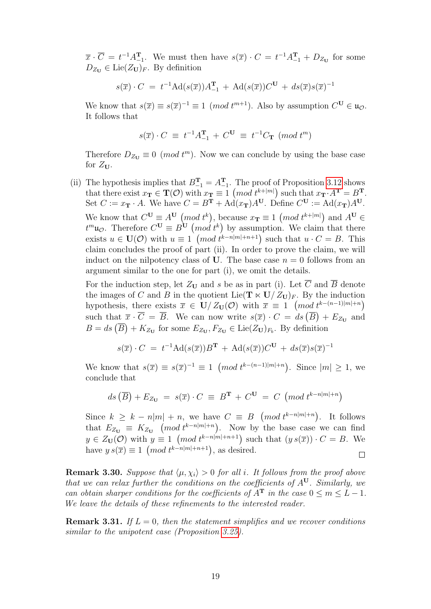$\overline{x} \cdot \overline{C} = t^{-1} A_{-1}^{\mathbf{T}}$ . We must then have  $s(\overline{x}) \cdot C = t^{-1} A_{-1}^{\mathbf{T}} + D_{Z_{\mathbf{U}}}$  for some  $D_{Z_{\mathbf{U}}} \in \text{Lie}(Z_{\mathbf{U}})_{F}$ . By definition

$$
s(\overline{x}) \cdot C = t^{-1} \mathrm{Ad}(s(\overline{x})) A_{-1}^{\mathbf{T}} + \mathrm{Ad}(s(\overline{x})) C^{\mathbf{U}} + ds(\overline{x}) s(\overline{x})^{-1}
$$

We know that  $s(\overline{x}) \equiv s(\overline{x})^{-1} \equiv 1 \pmod{t^{m+1}}$ . Also by assumption  $C^{\mathbf{U}} \in \mathfrak{u}_{\mathcal{O}}$ . It follows that

$$
s(\overline{x}) \cdot C \equiv t^{-1}A_{-1}^{\mathbf{T}} + C^{\mathbf{U}} \equiv t^{-1}C_{\mathbf{T}} \pmod{t^{m}}
$$

Therefore  $D_{Z_U} \equiv 0 \pmod{t^m}$ . Now we can conclude by using the base case for  $Z_{\mathbf{U}}$ .

(ii) The hypothesis implies that  $B_{-1}^T = A_{-1}^T$ . The proof of Proposition [3.12](#page-10-1) shows that there exist  $x_{\mathbf{T}} \in \mathbf{T}(\mathcal{O})$  with  $x_{\mathbf{T}} \equiv 1 \pmod{t^{k+|m|}}$  such that  $x_{\mathbf{T}} \cdot A^{\mathbf{T}} = B^{\mathbf{T}}$ . Set  $C := x_{\mathbf{T}} \cdot A$ . We have  $C = B^{\mathbf{T}} + \text{Ad}(x_{\mathbf{T}})A^{\mathbf{U}}$ . Define  $C^{\mathbf{U}} := \text{Ad}(x_{\mathbf{T}})A^{\mathbf{U}}$ . We know that  $C^{\mathbf{U}} \equiv A^{\mathbf{U}} \pmod{t^k}$ , because  $x_{\mathbf{T}} \equiv 1 \pmod{t^{k+|m|}}$  and  $A^{\mathbf{U}} \in$  $t^m \mathfrak{u}_{\mathcal{O}}$ . Therefore  $C^{\mathbf{U}} \equiv B^{\mathbf{U}} \pmod{t^k}$  by assumption. We claim that there exists  $u \in \mathbf{U}(\mathcal{O})$  with  $u \equiv 1 \pmod{t^{k-n|m|+n+1}}$  such that  $u \cdot C = B$ . This claim concludes the proof of part (ii). In order to prove the claim, we will induct on the nilpotency class of U. The base case  $n = 0$  follows from an argument similar to the one for part (i), we omit the details.

For the induction step, let  $Z_U$  and s be as in part (i). Let  $\overline{C}$  and  $\overline{B}$  denote the images of C and B in the quotient Lie( $\mathbf{T} \ltimes \mathbf{U}/Z_{\mathbf{U}}$ )<sub>F</sub>. By the induction hypothesis, there exists  $\bar{x} \in U/Z_{U}(\mathcal{O})$  with  $\bar{x} \equiv 1 \pmod{t^{k-(n-1)|m|+n}}$ such that  $\bar{x} \cdot \bar{C} = \bar{B}$ . We can now write  $s(\bar{x}) \cdot C = ds(\bar{B}) + E_{Z_{\text{U}}}$  and  $B = ds \left( \overline{B} \right) + K_{Z_{\mathbf{U}}}$  for some  $E_{Z_{\mathbf{U}}}, F_{Z_{\mathbf{U}}} \in \text{Lie}(Z_{\mathbf{U}})_{F_b}$ . By definition

$$
s(\overline{x}) \cdot C = t^{-1} \text{Ad}(s(\overline{x})) B^{\mathbf{T}} + \text{Ad}(s(\overline{x})) C^{\mathbf{U}} + ds(\overline{x}) s(\overline{x})^{-1}
$$

We know that  $s(\overline{x}) \equiv s(\overline{x})^{-1} \equiv 1 \pmod{t^{k-(n-1)|m|+n}}$ . Since  $|m| \geq 1$ , we conclude that

$$
ds\left(\overline{B}\right) + E_{Z_U} = s(\overline{x}) \cdot C \equiv B^T + C^U = C \pmod{t^{k-n|m|+n}}
$$

Since  $k \geq k - n|m| + n$ , we have  $C \equiv B \pmod{t^{k-n|m|+n}}$ . It follows that  $E_{Z_U} \equiv K_{Z_U} \pmod{t^{k-n|m|+n}}$ . Now by the base case we can find  $y \in Z_{\mathbf{U}}(\mathcal{O})$  with  $y \equiv 1 \pmod{t^{k-n|m|+n+1}}$  such that  $(y s(\overline{x})) \cdot C = B$ . We have  $y s(\overline{x}) \equiv 1 \pmod{t^{k-n|m|+n+1}}$ , as desired.  $\Box$ 

**Remark 3.30.** Suppose that  $\langle \mu, \chi_i \rangle > 0$  for all i. It follows from the proof above that we can relax further the conditions on the coefficients of  $A^U$ . Similarly, we can obtain sharper conditions for the coefficients of  $A<sup>T</sup>$  in the case  $0 \le m \le L - 1$ . We leave the details of these refinements to the interested reader.

**Remark 3.31.** If  $L = 0$ , then the statement simplifies and we recover conditions similar to the unipotent case (Proposition [3.25\)](#page-14-0).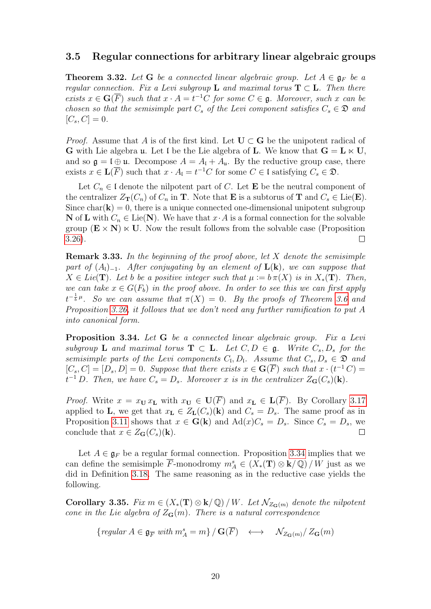#### <span id="page-19-0"></span>3.5 Regular connections for arbitrary linear algebraic groups

<span id="page-19-1"></span>**Theorem 3.32.** Let G be a connected linear algebraic group. Let  $A \in \mathfrak{g}_F$  be a regular connection. Fix a Levi subgroup **L** and maximal torus  $T \subset L$ . Then there exists  $x \in \mathbf{G}(\overline{F})$  such that  $x \cdot A = t^{-1}C$  for some  $C \in \mathfrak{g}$ . Moreover, such x can be chosen so that the semisimple part  $C_s$  of the Levi component satisfies  $C_s \in \mathfrak{D}$  and  $[C_s, C] = 0.$ 

*Proof.* Assume that A is of the first kind. Let  $U \subset G$  be the unipotent radical of G with Lie algebra u. Let I be the Lie algebra of L. We know that  $G = L \ltimes U$ , and so  $\mathfrak{g} = \mathfrak{l} \oplus \mathfrak{u}$ . Decompose  $A = A_{\mathfrak{l}} + A_{\mathfrak{u}}$ . By the reductive group case, there exists  $x \in \mathbf{L}(\overline{F})$  such that  $x \cdot A_{\mathfrak{l}} = t^{-1}C$  for some  $C \in \mathfrak{l}$  satisfying  $C_s \in \mathfrak{D}$ .

Let  $C_n \in \mathfrak{l}$  denote the nilpotent part of C. Let **E** be the neutral component of the centralizer  $Z_{\mathbf{T}}(C_n)$  of  $C_n$  in **T**. Note that **E** is a subtorus of **T** and  $C_s \in \text{Lie}(\mathbf{E})$ . Since  $char(\mathbf{k}) = 0$ , there is a unique connected one-dimensional unipotent subgroup **N** of **L** with  $C_n \in \text{Lie}(\mathbf{N})$ . We have that  $x \cdot A$  is a formal connection for the solvable group  $(E \times N) \times U$ . Now the result follows from the solvable case (Proposition [3.26\)](#page-15-1).  $\Box$ 

**Remark 3.33.** In the beginning of the proof above, let  $X$  denote the semisimple part of  $(A_l)_{-1}$ . After conjugating by an element of  $\mathbf{L}(\mathbf{k})$ , we can suppose that  $X \in Lie(\mathbf{T})$ . Let b be a positive integer such that  $\mu := b \pi(X)$  is in  $X_*(\mathbf{T})$ . Then, we can take  $x \in G(F_b)$  in the proof above. In order to see this we can first apply  $t^{-\frac{1}{b}\mu}$ . So we can assume that  $\pi(X) = 0$ . By the proofs of Theorem [3.6](#page-8-0) and Proposition [3.26,](#page-15-1) it follows that we don't need any further ramification to put A into canonical form.

<span id="page-19-2"></span>Proposition 3.34. Let G be a connected linear algebraic group. Fix a Levi subgroup **L** and maximal torus  $T \subset L$ . Let  $C, D \in \mathfrak{g}$ . Write  $C_s, D_s$  for the semisimple parts of the Levi components  $C_l$ ,  $D_l$ . Assume that  $C_s$ ,  $D_s \in \mathfrak{D}$  and  $[C_s, C] = [D_s, D] = 0$ . Suppose that there exists  $x \in G(\overline{F})$  such that  $x \cdot (t^{-1}C) =$  $t^{-1}$  D. Then, we have  $C_s = D_s$ . Moreover x is in the centralizer  $Z_{\mathbf{G}}(C_s)(\mathbf{k})$ .

*Proof.* Write  $x = x_{\mathbf{U}} x_{\mathbf{L}}$  with  $x_{\mathbf{U}} \in \mathbf{U}(\overline{F})$  and  $x_{\mathbf{L}} \in \mathbf{L}(\overline{F})$ . By Corollary [3.17](#page-11-0) applied to L, we get that  $x_L \in Z_L(C_s)(k)$  and  $C_s = D_s$ . The same proof as in Proposition [3.11](#page-9-2) shows that  $x \in G(k)$  and  $\text{Ad}(x)C_s = D_s$ . Since  $C_s = D_s$ , we conclude that  $x \in Z_{\mathbf{G}}(C_s)(\mathbf{k}).$ 

Let  $A \in \mathfrak{g}_F$  be a regular formal connection. Proposition [3.34](#page-19-2) implies that we can define the semisimple  $\overline{F}$ -monodromy  $m_A^s \in (X_*(\mathbf{T}) \otimes \mathbf{k}/\mathbb{Q})/W$  just as we did in Definition [3.18.](#page-11-1) The same reasoning as in the reductive case yields the following.

Corollary 3.35. Fix  $m \in (X_*(\mathbf{T}) \otimes \mathbf{k}/\mathbb{Q})/W$ . Let  $\mathcal{N}_{Z_{\mathbf{G}}(m)}$  denote the nilpotent cone in the Lie algebra of  $Z_{\mathbf{G}}(m)$ . There is a natural correspondence

{
$$
regular \, A \in \mathfrak{g}_{\overline{F}} \, with \, m_A^s = m
$$
} /  $\mathbf{G}(\overline{F}) \longleftrightarrow \mathcal{N}_{Z_{\mathbf{G}}(m)}/Z_{\mathbf{G}}(m)$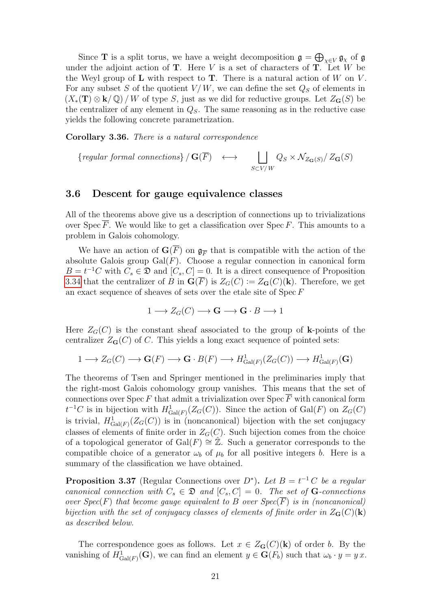Since **T** is a split torus, we have a weight decomposition  $\mathfrak{g} = \bigoplus_{\chi \in V} \mathfrak{g}_{\chi}$  of  $\mathfrak{g}$ under the adjoint action of  $T$ . Here V is a set of characters of  $T$ . Let W be the Weyl group of  **with respect to**  $**T**$ **. There is a natural action of**  $W$  **on**  $V$ **.** For any subset S of the quotient  $V/W$ , we can define the set  $Q_S$  of elements in  $(X_*(\mathbf{T}) \otimes \mathbf{k}/\mathbb{Q})/W$  of type S, just as we did for reductive groups. Let  $Z_{\mathbf{G}}(S)$  be the centralizer of any element in  $Q_S$ . The same reasoning as in the reductive case yields the following concrete parametrization.

Corollary 3.36. There is a natural correspondence

{regular formal connections } / **G**(
$$
\overline{F}
$$
)  $\longleftrightarrow$   $\bigsqcup_{S \subset V/W} Q_S \times \mathcal{N}_{Z_{\mathbf{G}}(S)}/Z_{\mathbf{G}}(S)$ 

#### <span id="page-20-0"></span>3.6 Descent for gauge equivalence classes

All of the theorems above give us a description of connections up to trivializations over Spec  $\overline{F}$ . We would like to get a classification over Spec F. This amounts to a problem in Galois cohomology.

We have an action of  $\mathbf{G}(F)$  on  $\mathfrak{g}_{\overline{F}}$  that is compatible with the action of the absolute Galois group  $Gal(F)$ . Choose a regular connection in canonical form  $B = t^{-1}C$  with  $C_s \in \mathfrak{D}$  and  $[C_s, C] = 0$ . It is a direct consequence of Proposition [3.34](#page-19-2) that the centralizer of B in  $\mathbf{G}(\overline{F})$  is  $Z_G(C) := Z_{\mathbf{G}}(C)(\mathbf{k})$ . Therefore, we get an exact sequence of sheaves of sets over the etale site of Spec F

$$
1 \longrightarrow Z_G(C) \longrightarrow \mathbf{G} \longrightarrow \mathbf{G} \cdot B \longrightarrow 1
$$

Here  $Z_G(C)$  is the constant sheaf associated to the group of k-points of the centralizer  $Z_{\mathbf{G}}(C)$  of C. This yields a long exact sequence of pointed sets:

$$
1 \longrightarrow Z_G(C) \longrightarrow \mathbf{G}(F) \longrightarrow \mathbf{G} \cdot B(F) \longrightarrow H^1_{\mathrm{Gal}(F)}(Z_G(C)) \longrightarrow H^1_{\mathrm{Gal}(F)}(\mathbf{G})
$$

The theorems of Tsen and Springer mentioned in the preliminaries imply that the right-most Galois cohomology group vanishes. This means that the set of connections over Spec F that admit a trivialization over Spec  $\overline{F}$  with canonical form  $t^{-1}C$  is in bijection with  $H^1_{Gal(F)}(Z_G(C))$ . Since the action of  $Gal(F)$  on  $Z_G(C)$ is trivial,  $H^1_{Gal(F)}(Z_G(C))$  is in (noncanonical) bijection with the set conjugacy classes of elements of finite order in  $Z_G(C)$ . Such bijection comes from the choice of a topological generator of  $Gal(F) \cong \mathbb{Z}$ . Such a generator corresponds to the compatible choice of a generator  $\omega_b$  of  $\mu_b$  for all positive integers b. Here is a summary of the classification we have obtained.

**Proposition 3.37** (Regular Connections over  $D^*$ ). Let  $B = t^{-1}C$  be a regular canonical connection with  $C_s \in \mathfrak{D}$  and  $[C_s, C] = 0$ . The set of **G**-connections over Spec(F) that become gauge equivalent to B over  $Spec(\overline{F})$  is in (noncanonical) bijection with the set of conjugacy classes of elements of finite order in  $Z_G(C)(k)$ as described below.

The correspondence goes as follows. Let  $x \in Z_G(C)(k)$  of order b. By the vanishing of  $H^1_{Gal(F)}(G)$ , we can find an element  $y \in G(F_b)$  such that  $\omega_b \cdot y = y x$ .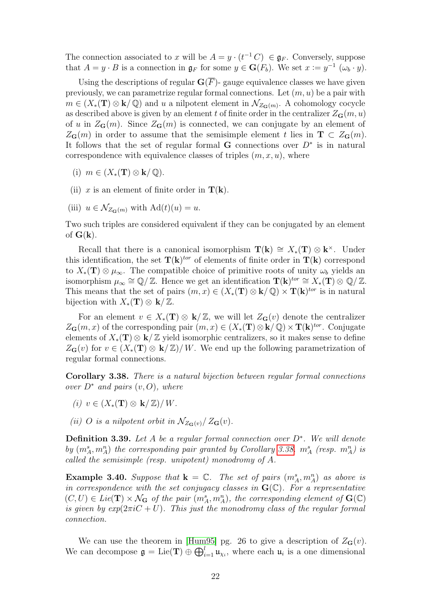The connection associated to x will be  $A = y \cdot (t^{-1} C) \in \mathfrak{g}_F$ . Conversely, suppose that  $A = y \cdot B$  is a connection in  $\mathfrak{g}_F$  for some  $y \in \mathbf{G}(F_b)$ . We set  $x := y^{-1} (\omega_b \cdot y)$ .

Using the descriptions of regular  $\mathbf{G}(\overline{F})$ - gauge equivalence classes we have given previously, we can parametrize regular formal connections. Let  $(m, u)$  be a pair with  $m \in (X_*(\mathbf{T}) \otimes \mathbf{k}/\mathbb{Q})$  and u a nilpotent element in  $\mathcal{N}_{Z_{\mathbf{G}}(m)}$ . A cohomology cocycle as described above is given by an element t of finite order in the centralizer  $Z_{\mathbf{G}}(m, u)$ of u in  $Z_{\mathbf{G}}(m)$ . Since  $Z_{\mathbf{G}}(m)$  is connected, we can conjugate by an element of  $Z_{\mathbf{G}}(m)$  in order to assume that the semisimple element t lies in  $\mathbf{T} \subset Z_{\mathbf{G}}(m)$ . It follows that the set of regular formal G connections over  $D^*$  is in natural correspondence with equivalence classes of triples  $(m, x, u)$ , where

- (i)  $m \in (X_*(\mathbf{T}) \otimes \mathbf{k}/\mathbb{Q}).$
- (ii) x is an element of finite order in  $T(k)$ .
- (iii)  $u \in \mathcal{N}_{Z_{\mathbf{G}}(m)}$  with  $\mathrm{Ad}(t)(u) = u$ .

Two such triples are considered equivalent if they can be conjugated by an element of  $G(k)$ .

Recall that there is a canonical isomorphism  $\mathbf{T}(\mathbf{k}) \cong X_*(\mathbf{T}) \otimes \mathbf{k}^{\times}$ . Under this identification, the set  $T(k)$ <sup>tor</sup> of elements of finite order in  $T(k)$  correspond to  $X_*(\mathbf{T}) \otimes \mu_\infty$ . The compatible choice of primitive roots of unity  $\omega_b$  yields an isomorphism  $\mu_{\infty} \cong \mathbb{Q}/\mathbb{Z}$ . Hence we get an identification  $\mathbf{T}(\mathbf{k})^{tor} \cong X_*(\mathbf{T}) \otimes \mathbb{Q}/\mathbb{Z}$ . This means that the set of pairs  $(m, x) \in (X_*(\mathbf{T}) \otimes \mathbf{k}/\mathbb{Q}) \times \mathbf{T}(\mathbf{k})^{tor}$  is in natural bijection with  $X_*(\mathbf{T}) \otimes \mathbf{k}/\mathbb{Z}$ .

For an element  $v \in X_*(\mathbf{T}) \otimes \mathbf{k}/\mathbb{Z}$ , we will let  $Z_{\mathbf{G}}(v)$  denote the centralizer  $Z_{\mathbf{G}}(m, x)$  of the corresponding pair  $(m, x) \in (X_*(\mathbf{T}) \otimes \mathbf{k}/\mathbb{Q}) \times \mathbf{T}(\mathbf{k})^{tor}$ . Conjugate elements of  $X_*(\mathbf{T}) \otimes \mathbf{k}/\mathbb{Z}$  yield isomorphic centralizers, so it makes sense to define  $Z_{\mathbf{G}}(v)$  for  $v \in (X_*(\mathbf{T}) \otimes \mathbf{k}/\mathbb{Z})/W$ . We end up the following parametrization of regular formal connections.

<span id="page-21-0"></span>Corollary 3.38. There is a natural bijection between regular formal connections over  $D^*$  and pairs  $(v, O)$ , where

- (i)  $v \in (X_*(\mathbf{T}) \otimes \mathbf{k}/\mathbb{Z})/W$ .
- (ii) O is a nilpotent orbit in  $\mathcal{N}_{Z_{\mathbf{G}}(v)}/Z_{\mathbf{G}}(v)$ .

**Definition 3.39.** Let A be a regular formal connection over  $D^*$ . We will denote by  $(m_A^s, m_A^n)$  the corresponding pair granted by Corollary [3.38.](#page-21-0)  $m_A^s$  (resp.  $m_A^n$ ) is called the semisimple (resp. unipotent) monodromy of A.

**Example 3.40.** Suppose that  $\mathbf{k} = \mathbb{C}$ . The set of pairs  $(m_A^s, m_A^n)$  as above is in correspondence with the set conjugacy classes in  $\mathbf{G}(\mathbb{C})$ . For a representative  $(C, U) \in Lie(\mathbf{T}) \times \mathcal{N}_{\mathbf{G}}$  of the pair  $(m_A^s, m_A^n)$ , the corresponding element of  $\mathbf{G}(\mathbb{C})$ is given by  $exp(2\pi iC + U)$ . This just the monodromy class of the regular formal connection.

We can use the theorem in [\[Hum95\]](#page-43-6) pg. 26 to give a description of  $Z_{\mathbf{G}}(v)$ . We can decompose  $\mathfrak{g} = \mathrm{Lie}(\mathbf{T}) \oplus \bigoplus_{i=1}^{l} \mathfrak{u}_{\chi_i}$ , where each  $\mathfrak{u}_i$  is a one dimensional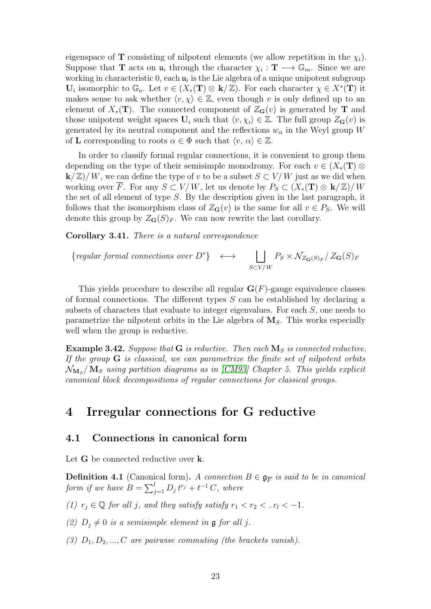eigenspace of **T** consisting of nilpotent elements (we allow repetition in the  $\chi_i$ ). Suppose that **T** acts on  $\mathfrak{u}_i$  through the character  $\chi_i : \mathbf{T} \longrightarrow \mathbb{G}_m$ . Since we are working in characteristic 0, each  $\mathfrak{u}_i$  is the Lie algebra of a unique unipotent subgroup  $\mathbf{U}_i$  isomorphic to  $\mathbb{G}_a$ . Let  $v \in (X_*(\mathbf{T}) \otimes \mathbf{k}/\mathbb{Z})$ . For each character  $\chi \in X^*(\mathbf{T})$  it makes sense to ask whether  $\langle v, \chi \rangle \in \mathbb{Z}$ , even though v is only defined up to an element of  $X_*(\mathbf{T})$ . The connected component of  $Z_{\mathbf{G}}(v)$  is generated by T and those unipotent weight spaces  $U_i$  such that  $\langle v, \chi_i \rangle \in \mathbb{Z}$ . The full group  $Z_G(v)$  is generated by its neutral component and the reflections  $w_{\alpha}$  in the Weyl group W of **L** corresponding to roots  $\alpha \in \Phi$  such that  $\langle v, \alpha \rangle \in \mathbb{Z}$ .

In order to classify formal regular connections, it is convenient to group them depending on the type of their semisimple monodromy. For each  $v \in (X_*(\mathbf{T}) \otimes$  $k/\mathbb{Z}/W$ , we can define the type of v to be a subset  $S\subset V/W$  just as we did when working over  $\overline{F}$ . For any  $S \subset V/W$ , let us denote by  $P_S \subset (X_*(\mathbf{T}) \otimes \mathbf{k}/\mathbb{Z})/W$ the set of all element of type S. By the description given in the last paragraph, it follows that the isomorphism class of  $Z_{\mathbf{G}}(v)$  is the same for all  $v \in P_S$ . We will denote this group by  $Z_{\mathbf{G}}(S)_{F}$ . We can now rewrite the last corollary.

Corollary 3.41. There is a natural correspondence

{regular formal connections over 
$$
D^*
$$
}  $\longleftrightarrow$   $\bigsqcup_{S \subset V/W} P_S \times \mathcal{N}_{Z_{\mathbf{G}}(S)_F} / Z_{\mathbf{G}}(S)_F$ 

This yields procedure to describe all regular  $\mathbf{G}(F)$ -gauge equivalence classes of formal connections. The different types  $S$  can be established by declaring a subsets of characters that evaluate to integer eigenvalues. For each  $S$ , one needs to parametrize the nilpotent orbits in the Lie algebra of  $M<sub>S</sub>$ . This works especially well when the group is reductive.

<span id="page-22-2"></span>**Example 3.42.** Suppose that **G** is reductive. Then each  $\mathbf{M}_S$  is connected reductive. If the group  $G$  is classical, we can parametrize the finite set of nilpotent orbits  $\mathcal{N}_{{\bf M}_S} /{\bf M}_S$  using partition diagrams as in [\[CM93\]](#page-43-4) Chapter 5. This yields explicit canonical block decompositions of regular connections for classical groups.

### <span id="page-22-0"></span>4 Irregular connections for G reductive

#### <span id="page-22-1"></span>4.1 Connections in canonical form

Let G be connected reductive over **k**.

<span id="page-22-3"></span>**Definition 4.1** (Canonical form). A connection  $B \in \mathfrak{g}_{\overline{F}}$  is said to be in canonical form if we have  $B = \sum_{j=1}^{l} D_j t^{r_j} + t^{-1} C$ , where

- (1)  $r_j \in \mathbb{Q}$  for all j, and they satisfy satisfy  $r_1 < r_2 < ... r_l < -1$ .
- (2)  $D_i \neq 0$  is a semisimple element in **g** for all j.
- (3)  $D_1, D_2, ..., C$  are pairwise commuting (the brackets vanish).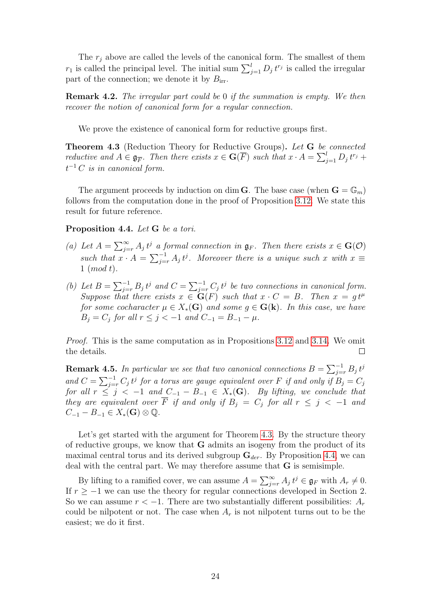The  $r_i$  above are called the levels of the canonical form. The smallest of them  $r_1$  is called the principal level. The initial sum  $\sum_{j=1}^{l} D_j t^{r_j}$  is called the irregular part of the connection; we denote it by  $B_{irr}$ .

Remark 4.2. The irregular part could be 0 if the summation is empty. We then recover the notion of canonical form for a regular connection.

We prove the existence of canonical form for reductive groups first.

<span id="page-23-0"></span>Theorem 4.3 (Reduction Theory for Reductive Groups). Let G be connected reductive and  $A \in \mathfrak{g}_{\overline{F}}$ . Then there exists  $x \in \mathbf{G}(\overline{F})$  such that  $x \cdot A = \sum_{j=1}^{l} D_j t^{r_j} +$  $t^{-1}$  C is in canonical form.

The argument proceeds by induction on dim **G**. The base case (when  $\mathbf{G} = \mathbb{G}_m$ ) follows from the computation done in the proof of Proposition [3.12.](#page-10-1) We state this result for future reference.

<span id="page-23-1"></span>Proposition 4.4. Let G be a tori.

- (a) Let  $A = \sum_{j=r}^{\infty} A_j t^j$  a formal connection in  $\mathfrak{g}_F$ . Then there exists  $x \in \mathbf{G}(\mathcal{O})$ such that  $x \cdot A = \sum_{j=r}^{-1} A_j t^j$ . Moreover there is a unique such x with  $x \equiv$  $1 \pmod{t}$ .
- (b) Let  $B = \sum_{j=r}^{-1} B_j t^j$  and  $C = \sum_{j=r}^{-1} C_j t^j$  be two connections in canonical form. Suppose that there exists  $x \in G(F)$  such that  $x \cdot C = B$ . Then  $x = gt^{\mu}$ for some cocharacter  $\mu \in X_*(\mathbf{G})$  and some  $q \in \mathbf{G}(\mathbf{k})$ . In this case, we have  $B_i = C_i$  for all  $r \leq j < -1$  and  $C_{-1} = B_{-1} - \mu$ .

*Proof.* This is the same computation as in Propositions [3.12](#page-10-1) and [3.14.](#page-10-2) We omit the details.  $\Box$ 

**Remark 4.5.** In particular we see that two canonical connections  $B = \sum_{j=r}^{-1} B_j t^j$ and  $C = \sum_{j=r}^{-1} C_j t^j$  for a torus are gauge equivalent over F if and only if  $B_j = C_j$ for all  $r \leq j \, \lt -1$  and  $C_{-1} - B_{-1} \in X_*(\mathbf{G})$ . By lifting, we conclude that they are equivalent over  $\overline{F}$  if and only if  $B_j = C_j$  for all  $r \leq j < -1$  and  $C_{-1} - B_{-1} \in X_*(\mathbf{G}) \otimes \mathbb{Q}.$ 

Let's get started with the argument for Theorem [4.3.](#page-23-0) By the structure theory of reductive groups, we know that G admits an isogeny from the product of its maximal central torus and its derived subgroup  $G_{der}$ . By Proposition [4.4,](#page-23-1) we can deal with the central part. We may therefore assume that G is semisimple.

By lifting to a ramified cover, we can assume  $A = \sum_{j=r}^{\infty} A_j t^j \in \mathfrak{g}_F$  with  $A_r \neq 0$ . If  $r \geq -1$  we can use the theory for regular connections developed in Section 2. So we can assume  $r < -1$ . There are two substantially different possibilities:  $A_r$ could be nilpotent or not. The case when  $A_r$  is not nilpotent turns out to be the easiest; we do it first.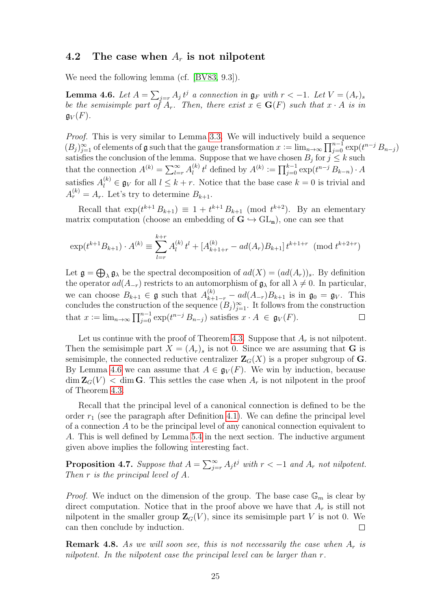#### <span id="page-24-0"></span>4.2 The case when  $A_r$  is not nilpotent

We need the following lemma (cf. [\[BV83,](#page-43-0) 9.3]).

<span id="page-24-1"></span>**Lemma 4.6.** Let  $A = \sum_{j=r} A_j t^j$  a connection in  $\mathfrak{g}_F$  with  $r < -1$ . Let  $V = (A_r)_s$ be the semisimple part of  $A_r$ . Then, there exist  $x \in G(F)$  such that  $x \cdot A$  is in  $\mathfrak{g}_V(F)$ .

Proof. This is very similar to Lemma [3.3.](#page-7-1) We will inductively build a sequence  $(B_j)_{j=1}^\infty$  of elements of g such that the gauge transformation  $x := \lim_{n\to\infty} \prod_{j=0}^{n-1} \exp(t^{n-j} B_{n-j})$ satisfies the conclusion of the lemma. Suppose that we have chosen  $B_j$  for  $j \leq k$  such that the connection  $A^{(k)} = \sum_{l=r}^{\infty} A_l^{(k)}$  $l_i^{(k)} t^l$  defined by  $A^{(k)} := \prod_{j=0}^{k-1} \exp(t^{n-j} B_{k-n}) \cdot A$ satisfies  $A_l^{(k)} \in \mathfrak{g}_V$  for all  $l \leq k + r$ . Notice that the base case  $k = 0$  is trivial and  $A_r^{(k)} = A_r$ . Let's try to determine  $B_{k+1}$ .

Recall that  $\exp(t^{k+1} B_{k+1}) \equiv 1 + t^{k+1} B_{k+1} \pmod{t^{k+2}}$ . By an elementary matrix computation (choose an embedding of  $G \hookrightarrow GL_n$ ), one can see that

$$
\exp(t^{k+1}B_{k+1}) \cdot A^{(k)} \equiv \sum_{l=r}^{k+r} A_l^{(k)} t^l + [A_{k+1+r}^{(k)} - ad(A_r)B_{k+1}] t^{k+1+r} \pmod{t^{k+2+r}}
$$

Let  $\mathfrak{g} = \bigoplus_{\lambda} \mathfrak{g}_{\lambda}$  be the spectral decomposition of  $ad(X) = (ad(A_r))_s$ . By definition the operator  $ad(A_{-r})$  restricts to an automorphism of  $\mathfrak{g}_{\lambda}$  for all  $\lambda \neq 0$ . In particular, we can choose  $B_{k+1} \in \mathfrak{g}$  such that  $A_{k+1-r}^{(k)} - ad(A_{-r})B_{k+1}$  is in  $\mathfrak{g}_0 = \mathfrak{g}_V$ . This concludes the construction of the sequence  $(B_j)_{j=1}^{\infty}$ . It follows from the construction that  $x := \lim_{n \to \infty} \prod_{j=0}^{n-1} \exp(t^{n-j} B_{n-j})$  satisfies  $x \cdot A \in \mathfrak{g}_V(F)$ .  $\Box$ 

Let us continue with the proof of Theorem [4.3.](#page-23-0) Suppose that  $A_r$  is not nilpotent. Then the semisimple part  $X = (A_r)_s$  is not 0. Since we are assuming that **G** is semisimple, the connected reductive centralizer  $\mathbf{Z}_G(X)$  is a proper subgroup of G. By Lemma [4.6](#page-24-1) we can assume that  $A \in \mathfrak{g}_V(F)$ . We win by induction, because  $\dim \mathbf{Z}_G(V) < \dim \mathbf{G}$ . This settles the case when  $A_r$  is not nilpotent in the proof of Theorem [4.3.](#page-23-0)

Recall that the principal level of a canonical connection is defined to be the order  $r_1$  (see the paragraph after Definition [4.1\)](#page-22-3). We can define the principal level of a connection  $A$  to be the principal level of any canonical connection equivalent to A. This is well defined by Lemma [5](#page-39-2).4 in the next section. The inductive argument given above implies the following interesting fact.

**Proposition 4.7.** Suppose that  $A = \sum_{j=r}^{\infty} A_j t^j$  with  $r < -1$  and  $A_r$  not nilpotent. Then r is the principal level of A.

*Proof.* We induct on the dimension of the group. The base case  $\mathbb{G}_m$  is clear by direct computation. Notice that in the proof above we have that  $A_r$  is still not nilpotent in the smaller group  $\mathbb{Z}_G(V)$ , since its semisimple part V is not 0. We can then conclude by induction.

**Remark 4.8.** As we will soon see, this is not necessarily the case when  $A_r$  is nilpotent. In the nilpotent case the principal level can be larger than r.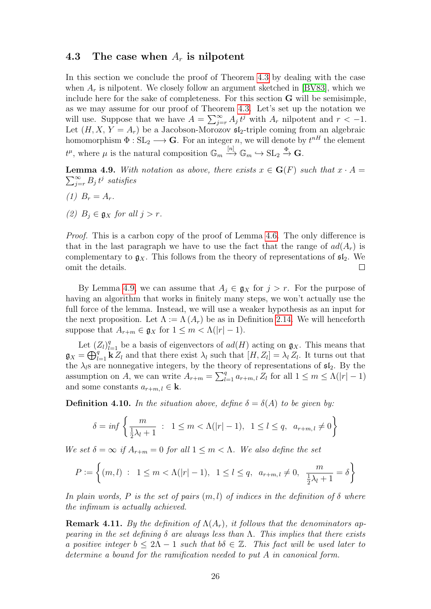#### <span id="page-25-0"></span>4.3 The case when  $A_r$  is nilpotent

In this section we conclude the proof of Theorem [4.3](#page-23-0) by dealing with the case when  $A_r$  is nilpotent. We closely follow an argument sketched in [\[BV83\]](#page-43-0), which we include here for the sake of completeness. For this section G will be semisimple, as we may assume for our proof of Theorem [4.3.](#page-23-0) Let's set up the notation we will use. Suppose that we have  $A = \sum_{j=r}^{\infty} A_j t^j$  with  $A_r$  nilpotent and  $r < -1$ . Let  $(H, X, Y = A_r)$  be a Jacobson-Morozov  $\mathfrak{sl}_2$ -triple coming from an algebraic homomorphism  $\Phi: SL_2 \longrightarrow \mathbf{G}$ . For an integer n, we will denote by  $t^{nH}$  the element  $t^{\mu}$ , where  $\mu$  is the natural composition  $\mathbb{G}_m \stackrel{[n]}{\longrightarrow} \mathbb{G}_m \hookrightarrow \text{SL}_2 \stackrel{\Phi}{\to} \mathbf{G}$ .

<span id="page-25-1"></span> $\sum_{j=r}^{\infty} B_j t^j$  satisfies **Lemma 4.9.** With notation as above, there exists  $x \in G(F)$  such that  $x \cdot A =$ 

- (1)  $B_r = A_r$ .
- (2)  $B_i \in \mathfrak{g}_X$  for all  $j > r$ .

Proof. This is a carbon copy of the proof of Lemma [4.6.](#page-24-1) The only difference is that in the last paragraph we have to use the fact that the range of  $ad(A_r)$  is complementary to  $g_X$ . This follows from the theory of representations of  $\mathfrak{sl}_2$ . We omit the details.  $\Box$ 

By Lemma [4.9,](#page-25-1) we can assume that  $A_i \in \mathfrak{g}_X$  for  $j > r$ . For the purpose of having an algorithm that works in finitely many steps, we won't actually use the full force of the lemma. Instead, we will use a weaker hypothesis as an input for the next proposition. Let  $\Lambda := \Lambda(A_r)$  be as in Definition [2.14.](#page-6-1) We will henceforth suppose that  $A_{r+m} \in \mathfrak{g}_X$  for  $1 \leq m < \Lambda(|r|-1)$ .

Let  $(Z_l)_{l=1}^q$  be a basis of eigenvectors of  $ad(H)$  acting on  $\mathfrak{g}_X$ . This means that  $\mathfrak{g}_X = \bigoplus_{l=1}^q \mathbf{k} Z_l$  and that there exist  $\lambda_l$  such that  $[H, Z_l] = \lambda_l Z_l$ . It turns out that the  $\lambda_i$ s are nonnegative integers, by the theory of representations of  $\mathfrak{sl}_2$ . By the assumption on A, we can write  $A_{r+m} = \sum_{l=1}^{q} a_{r+m,l} Z_l$  for all  $1 \leq m \leq \Lambda(|r|-1)$ and some constants  $a_{r+m,l} \in \mathbf{k}$ .

**Definition 4.10.** In the situation above, define  $\delta = \delta(A)$  to be given by:

$$
\delta = \inf \left\{ \frac{m}{\frac{1}{2}\lambda_l + 1} : 1 \le m < \Lambda(|r| - 1), 1 \le l \le q, a_{r+m, l} \ne 0 \right\}
$$

We set  $\delta = \infty$  if  $A_{r+m} = 0$  for all  $1 \leq m < \Lambda$ . We also define the set

$$
P := \left\{ (m, l) : 1 \le m < \Lambda(|r| - 1), 1 \le l \le q, a_{r+m, l} \ne 0, \frac{m}{\frac{1}{2}\lambda_l + 1} = \delta \right\}
$$

In plain words, P is the set of pairs  $(m, l)$  of indices in the definition of  $\delta$  where the infimum is actually achieved.

<span id="page-25-2"></span>**Remark 4.11.** By the definition of  $\Lambda(A_r)$ , it follows that the denominators appearing in the set defining  $\delta$  are always less than  $\Lambda$ . This implies that there exists a positive integer  $b \leq 2\Lambda - 1$  such that  $b\delta \in \mathbb{Z}$ . This fact will be used later to determine a bound for the ramification needed to put A in canonical form.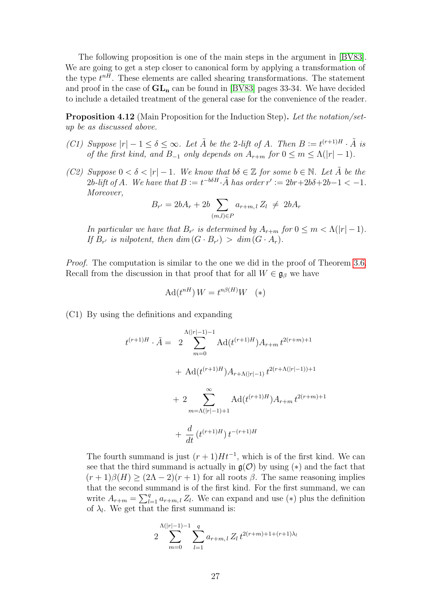The following proposition is one of the main steps in the argument in [\[BV83\]](#page-43-0). We are going to get a step closer to canonical form by applying a transformation of the type  $t^{nH}$ . These elements are called shearing transformations. The statement and proof in the case of  $GL_n$  can be found in [\[BV83\]](#page-43-0) pages 33-34. We have decided to include a detailed treatment of the general case for the convenience of the reader.

<span id="page-26-0"></span>Proposition 4.12 (Main Proposition for the Induction Step). Let the notation/setup be as discussed above.

- (C1) Suppose  $|r| 1 \le \delta \le \infty$ . Let  $\tilde{A}$  be the 2-lift of A. Then  $B := t^{(r+1)H} \cdot \tilde{A}$  is of the first kind, and  $B_{-1}$  only depends on  $A_{r+m}$  for  $0 \leq m \leq \Lambda(|r|-1)$ .
- (C2) Suppose  $0 < \delta < |r| 1$ . We know that  $b\delta \in \mathbb{Z}$  for some  $b \in \mathbb{N}$ . Let  $\tilde{A}$  be the 2b-lift of A. We have that  $B := t^{-b\delta H} \cdot \tilde{A}$  has order  $r' := 2br + 2b\delta + 2b - 1 < -1$ . Moreover,

$$
B_{r'} = 2bA_r + 2b \sum_{(m,l) \in P} a_{r+m,l} Z_l \neq 2bA_r
$$

In particular we have that  $B_{r'}$  is determined by  $A_{r+m}$  for  $0 \leq m < \Lambda(|r|-1)$ . If  $B_{r'}$  is nilpotent, then  $\dim(G \cdot B_{r'}) > \dim(G \cdot A_r)$ .

*Proof.* The computation is similar to the one we did in the proof of Theorem [3.6.](#page-8-0) Recall from the discussion in that proof that for all  $W \in \mathfrak{g}_{\beta}$  we have

$$
Ad(t^{nH}) W = t^{n\beta(H)} W \quad (*)
$$

(C1) By using the definitions and expanding

$$
t^{(r+1)H} \cdot \tilde{A} = 2 \sum_{m=0}^{\Lambda(|r|-1)-1} \text{Ad}(t^{(r+1)H}) A_{r+m} t^{2(r+m)+1}
$$
  
+ 
$$
\text{Ad}(t^{(r+1)H}) A_{r+\Lambda(|r|-1)} t^{2(r+\Lambda(|r|-1))+1}
$$
  
+ 
$$
2 \sum_{m=\Lambda(|r|-1)+1}^{\infty} \text{Ad}(t^{(r+1)H}) A_{r+m} t^{2(r+m)+1}
$$
  
+ 
$$
\frac{d}{dt} (t^{(r+1)H}) t^{-(r+1)H}
$$

The fourth summand is just  $(r + 1)Ht^{-1}$ , which is of the first kind. We can see that the third summand is actually in  $\mathfrak{g}(\mathcal{O})$  by using (\*) and the fact that  $(r+1)\beta(H) \geq (2\Lambda-2)(r+1)$  for all roots  $\beta$ . The same reasoning implies that the second summand is of the first kind. For the first summand, we can write  $A_{r+m} = \sum_{l=1}^{q} a_{r+m,l} Z_l$ . We can expand and use (\*) plus the definition of  $\lambda_l$ . We get that the first summand is:

$$
2\sum_{m=0}^{\Lambda(|r|-1)-1} \sum_{l=1}^{q} a_{r+m,l} Z_l t^{2(r+m)+1+(r+1)\lambda_l}
$$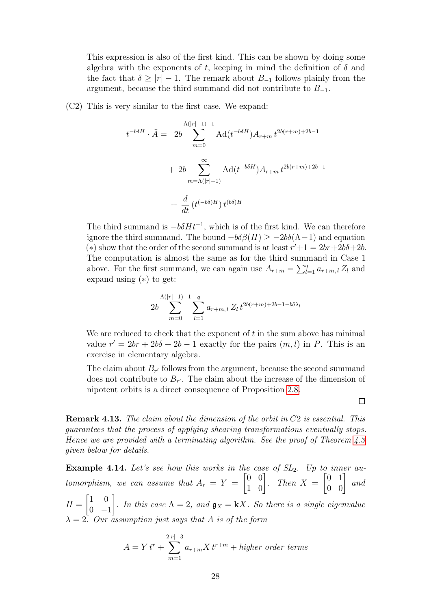This expression is also of the first kind. This can be shown by doing some algebra with the exponents of t, keeping in mind the definition of  $\delta$  and the fact that  $\delta > |r| - 1$ . The remark about  $B_{-1}$  follows plainly from the argument, because the third summand did not contribute to  $B_{-1}$ .

(C2) This is very similar to the first case. We expand:

$$
t^{-b\delta H} \cdot \tilde{A} = 2b \sum_{m=0}^{\Lambda(|r|-1)-1} \text{Ad}(t^{-b\delta H}) A_{r+m} t^{2b(r+m)+2b-1} + 2b \sum_{m=\Lambda(|r|-1)}^{\infty} \text{Ad}(t^{-b\delta H}) A_{r+m} t^{2b(r+m)+2b-1} + \frac{d}{dt} (t^{(-b\delta)H}) t^{(b\delta)H}
$$

The third summand is  $-b\delta H t^{-1}$ , which is of the first kind. We can therefore ignore the third summand. The bound  $-b\delta\beta(H) \ge -2b\delta(\Lambda-1)$  and equation (\*) show that the order of the second summand is at least  $r' + 1 = 2br + 2b\delta + 2b$ . The computation is almost the same as for the third summand in Case 1 above. For the first summand, we can again use  $A_{r+m} = \sum_{l=1}^{q} a_{r+m,l} Z_l$  and expand using (∗) to get:

$$
2b \sum_{m=0}^{\Lambda(|r|-1)-1} \sum_{l=1}^{q} a_{r+m,l} Z_l \, t^{2b(r+m)+2b-1-b\delta\lambda_l}
$$

We are reduced to check that the exponent of  $t$  in the sum above has minimal value  $r' = 2br + 2b\delta + 2b - 1$  exactly for the pairs  $(m, l)$  in P. This is an exercise in elementary algebra.

The claim about  $B_{r'}$  follows from the argument, because the second summand does not contribute to  $B_{r'}$ . The claim about the increase of the dimension of nipotent orbits is a direct consequence of Proposition [2.8.](#page-5-0)

 $\Box$ 

Remark 4.13. The claim about the dimension of the orbit in C2 is essential. This guarantees that the process of applying shearing transformations eventually stops. Hence we are provided with a terminating algorithm. See the proof of Theorem [4.3](#page-23-0) given below for details.

**Example 4.14.** Let's see how this works in the case of  $SL_2$ . Up to inner automorphism, we can assume that  $A_r = Y =$  $\begin{bmatrix} 0 & 0 \\ 1 & 0 \end{bmatrix}$ . Then  $X =$  $\begin{bmatrix} 0 & 1 \\ 0 & 0 \end{bmatrix}$  and  $H =$  $\begin{bmatrix} 1 & 0 \end{bmatrix}$  $0 -1$ 1 . In this case  $\Lambda = 2$ , and  $\mathfrak{g}_X = kX$ . So there is a single eigenvalue  $\lambda = 2$ . Our assumption just says that A is of the form

$$
A = Y tr + \sum_{m=1}^{2|r|-3} a_{r+m} X t^{r+m} + higher order terms
$$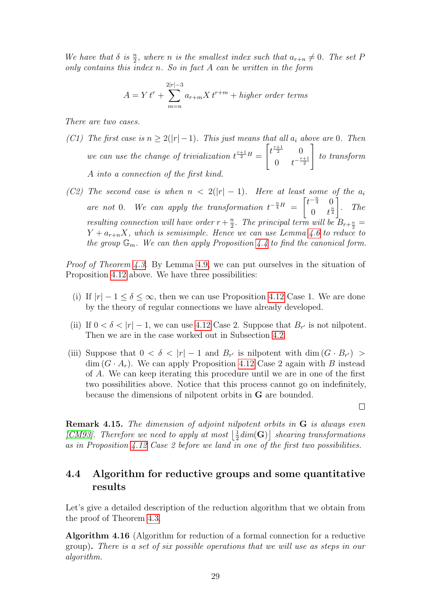We have that  $\delta$  is  $\frac{n}{2}$ , where n is the smallest index such that  $a_{r+n} \neq 0$ . The set P only contains this index  $n$ . So in fact  $A$  can be written in the form

$$
A = Y t^r + \sum_{m=n}^{2|r| - 3} a_{r+m} X t^{r+m} + higher\ order\ terms
$$

There are two cases.

- (C1) The first case is  $n \geq 2(|r|-1)$ . This just means that all  $a_i$  above are 0. Then we can use the change of trivialization  $t^{\frac{r+1}{2}H} =$  $\left[t^{\frac{r+1}{2}}\right]$  0 0  $t^{-\frac{r+1}{2}}$ 1 to transform A into a connection of the first kind.
- (C2) The second case is when  $n < 2(|r|-1)$ . Here at least some of the  $a_i$ are not 0. We can apply the transformation  $t^{-\frac{n}{4}H} = \begin{bmatrix} t^{-\frac{n}{4}} & 0 \\ 0 & t^{\frac{n}{4}} \end{bmatrix}$ 0  $t^{\frac{n}{4}}$ 1 . The resulting connection will have order  $r + \frac{n}{2}$  $\frac{n}{2}$ . The principal term will be  $B_{r+\frac{n}{2}} =$  $Y + a_{r+n}X$ , which is semisimple. Hence we can use Lemma [4.6](#page-24-1) to reduce to the group  $\mathbb{G}_m$ . We can then apply Proposition [4.4](#page-23-1) to find the canonical form.

Proof of Theorem [4.3.](#page-23-0) By Lemma [4.9,](#page-25-1) we can put ourselves in the situation of Proposition [4.12](#page-26-0) above. We have three possibilities:

- (i) If  $|r| 1 \le \delta \le \infty$ , then we can use Proposition [4.12](#page-26-0) Case 1. We are done by the theory of regular connections we have already developed.
- (ii) If  $0 < \delta < |r| 1$ , we can use [4.12](#page-26-0) Case 2. Suppose that  $B_{r'}$  is not nilpotent. Then we are in the case worked out in Subsection [4.2.](#page-24-0)
- (iii) Suppose that  $0 < \delta < |r| 1$  and  $B_{r'}$  is nilpotent with dim  $(G \cdot B_{r'})$  $\dim(G \cdot A_r)$ . We can apply Proposition [4.12](#page-26-0) Case 2 again with B instead of A. We can keep iterating this procedure until we are in one of the first two possibilities above. Notice that this process cannot go on indefinitely, because the dimensions of nilpotent orbits in G are bounded.

 $\Box$ 

Remark 4.15. The dimension of adjoint nilpotent orbits in G is always even [\[CM93\]](#page-43-4). Therefore we need to apply at most  $\frac{1}{2}$  $\frac{1}{2}dim({\bf G})\big]$  shearing transformations as in Proposition [4.12](#page-26-0) Case 2 before we land in one of the first two possibilities.

### <span id="page-28-0"></span>4.4 Algorithm for reductive groups and some quantitative results

Let's give a detailed description of the reduction algorithm that we obtain from the proof of Theorem [4.3.](#page-23-0)

<span id="page-28-1"></span>Algorithm 4.16 (Algorithm for reduction of a formal connection for a reductive group). There is a set of six possible operations that we will use as steps in our algorithm.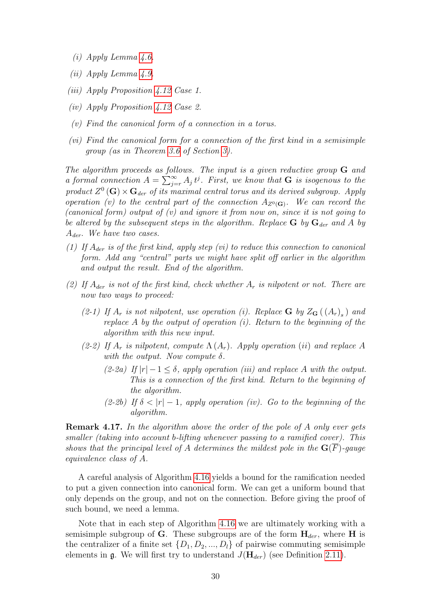- (i) Apply Lemma [4.6.](#page-24-1)
- (ii) Apply Lemma [4.9.](#page-25-1)
- (iii) Apply Proposition [4.12](#page-26-0) Case 1.
- (iv) Apply Proposition [4.12](#page-26-0) Case 2.
- (v) Find the canonical form of a connection in a torus.
- (vi) Find the canonical form for a connection of the first kind in a semisimple group (as in Theorem [3.6](#page-8-0) of Section [3\)](#page-6-0).

The algorithm proceeds as follows. The input is a given reductive group  $G$  and a formal connection  $A = \sum_{j=r}^{\infty} A_j t^j$ . First, we know that **G** is isogenous to the product  $Z^0(\mathbf{G}) \times \mathbf{G}_{der}$  of its maximal central torus and its derived subgroup. Apply operation (v) to the central part of the connection  $A_{Z^0(\mathbf{G})}$ . We can record the (canonical form) output of  $(v)$  and ignore it from now on, since it is not going to be altered by the subsequent steps in the algorithm. Replace  $G$  by  $G_{der}$  and A by  $A_{der}$ . We have two cases.

- (1) If  $A_{der}$  is of the first kind, apply step (vi) to reduce this connection to canonical form. Add any "central" parts we might have split off earlier in the algorithm and output the result. End of the algorithm.
- (2) If  $A_{der}$  is not of the first kind, check whether  $A_r$  is nilpotent or not. There are now two ways to proceed:
	- (2-1) If  $A_r$  is not nilpotent, use operation (i). Replace **G** by  $Z_G((A_r)_s)$  and replace A by the output of operation  $(i)$ . Return to the beginning of the algorithm with this new input.
	- (2-2) If  $A_r$  is nilpotent, compute  $\Lambda(A_r)$ . Apply operation (ii) and replace A with the output. Now compute  $\delta$ .
		- (2-2a) If  $|r| 1 < \delta$ , apply operation (iii) and replace A with the output. This is a connection of the first kind. Return to the beginning of the algorithm.
		- (2-2b) If  $\delta$  <  $|r|$  1, apply operation (iv). Go to the beginning of the algorithm.

**Remark 4.17.** In the algorithm above the order of the pole of A only ever gets smaller (taking into account b-lifting whenever passing to a ramified cover). This shows that the principal level of A determines the mildest pole in the  $\mathbf{G}(\overline{F})$ -gauge equivalence class of A.

A careful analysis of Algorithm [4.16](#page-28-1) yields a bound for the ramification needed to put a given connection into canonical form. We can get a uniform bound that only depends on the group, and not on the connection. Before giving the proof of such bound, we need a lemma.

Note that in each step of Algorithm [4.16](#page-28-1) we are ultimately working with a semisimple subgroup of G. These subgroups are of the form  $H_{der}$ , where H is the centralizer of a finite set  $\{D_1, D_2, ..., D_l\}$  of pairwise commuting semisimple elements in  $\mathfrak{g}$ . We will first try to understand  $J(\mathbf{H}_{der})$  (see Definition [2.11\)](#page-5-1).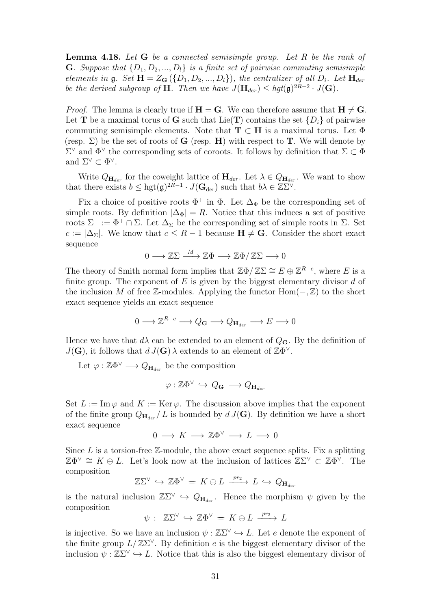<span id="page-30-0"></span>**Lemma 4.18.** Let  $G$  be a connected semisimple group. Let  $R$  be the rank of **G**. Suppose that  $\{D_1, D_2, ..., D_l\}$  is a finite set of pairwise commuting semisimple elements in  $\mathfrak g$ . Set  $\mathbf H = Z_{\mathbf G}(\{D_1, D_2, ..., D_l\})$ , the centralizer of all  $D_i$ . Let  $\mathbf H_{der}$ be the derived subgroup of **H**. Then we have  $J(\mathbf{H}_{der}) \leq hgt(\mathfrak{g})^{2R-2} \cdot J(\mathbf{G})$ .

*Proof.* The lemma is clearly true if  $H = G$ . We can therefore assume that  $H \neq G$ . Let **T** be a maximal torus of **G** such that Lie(**T**) contains the set  $\{D_i\}$  of pairwise commuting semisimple elements. Note that  $T \subset H$  is a maximal torus. Let  $\Phi$ (resp.  $\Sigma$ ) be the set of roots of **G** (resp. **H**) with respect to **T**. We will denote by  $\Sigma^{\vee}$  and  $\Phi^{\vee}$  the corresponding sets of coroots. It follows by definition that Σ ⊂ Φ and  $\Sigma^{\vee} \subset \Phi^{\vee}$ .

Write  $Q_{\mathbf{H}_{der}}$  for the coweight lattice of  $\mathbf{H}_{der}$ . Let  $\lambda \in Q_{\mathbf{H}_{der}}$ . We want to show that there exists  $b \leq \text{hgt}(\mathfrak{g})^{2R-1} \cdot J(\mathbf{G}_{\text{der}})$  such that  $b\lambda \in \mathbb{Z}^{\sum_{\vee}}$ .

Fix a choice of positive roots  $\Phi^+$  in  $\Phi$ . Let  $\Delta_{\Phi}$  be the corresponding set of simple roots. By definition  $|\Delta_{\Phi}| = R$ . Notice that this induces a set of positive roots  $\Sigma^+ := \Phi^+ \cap \Sigma$ . Let  $\Delta_{\Sigma}$  be the corresponding set of simple roots in  $\Sigma$ . Set  $c := |\Delta_{\Sigma}|$ . We know that  $c \leq R - 1$  because  $\mathbf{H} \neq \mathbf{G}$ . Consider the short exact sequence

$$
0 \longrightarrow \mathbb{Z}\Sigma \xrightarrow{M} \mathbb{Z}\Phi \longrightarrow \mathbb{Z}\Phi/\mathbb{Z}\Sigma \longrightarrow 0
$$

The theory of Smith normal form implies that  $\mathbb{Z}\Phi/\mathbb{Z}\Sigma \cong E \oplus \mathbb{Z}^{R-c}$ , where E is a finite group. The exponent of  $E$  is given by the biggest elementary divisor  $d$  of the inclusion M of free Z-modules. Applying the functor  $Hom(-, \mathbb{Z})$  to the short exact sequence yields an exact sequence

$$
0\longrightarrow \mathbb{Z}^{R-c}\longrightarrow Q_{\mathbf{G}}\longrightarrow Q_{\mathbf{H}_{der}}\longrightarrow E\longrightarrow 0
$$

Hence we have that  $d\lambda$  can be extended to an element of  $Q_G$ . By the definition of  $J(\mathbf{G})$ , it follows that  $d J(\mathbf{G}) \lambda$  extends to an element of  $\mathbb{Z} \Phi^{\vee}$ .

Let  $\varphi : \mathbb{Z} \Phi^{\vee} \longrightarrow Q_{\mathbf{H}_{der}}$  be the composition

$$
\varphi: \mathbb{Z}\Phi^\vee \, \hookrightarrow \, Q_\mathbf{G} \, \longrightarrow Q_{\mathbf{H}_{der}}
$$

Set  $L := \text{Im}\,\varphi$  and  $K := \text{Ker}\,\varphi$ . The discussion above implies that the exponent of the finite group  $Q_{\mathbf{H}_{der}}/L$  is bounded by  $d J(\mathbf{G})$ . By definition we have a short exact sequence

$$
0\,\longrightarrow\, K\,\longrightarrow\, {\mathbb Z}\Phi^\vee\,\longrightarrow\, L\,\longrightarrow\, 0
$$

Since  $L$  is a torsion-free  $\mathbb{Z}$ -module, the above exact sequence splits. Fix a splitting  $\mathbb{Z}\Phi^{\vee} \cong K \oplus L$ . Let's look now at the inclusion of lattices  $\mathbb{Z}\Sigma^{\vee} \subset \mathbb{Z}\Phi^{\vee}$ . The composition

$$
\mathbb{Z}\Sigma^{\vee} \hookrightarrow \mathbb{Z}\Phi^{\vee} = K \oplus L \xrightarrow{pr_2} L \hookrightarrow Q_{\mathbf{H}_{der}}
$$

is the natural inclusion  $\mathbb{Z}\Sigma^{\vee} \hookrightarrow Q_{\mathbf{H}_{der}}$ . Hence the morphism  $\psi$  given by the composition

$$
\psi : \mathbb{Z}\Sigma^{\vee} \hookrightarrow \mathbb{Z}\Phi^{\vee} = K \oplus L \xrightarrow{pr_2} L
$$

is injective. So we have an inclusion  $\psi : \mathbb{Z} \Sigma^{\vee} \hookrightarrow L$ . Let e denote the exponent of the finite group  $L/\mathbb{Z}S^{\vee}$ . By definition e is the biggest elementary divisor of the inclusion  $\psi : \mathbb{Z}\Sigma^{\vee} \hookrightarrow L$ . Notice that this is also the biggest elementary divisor of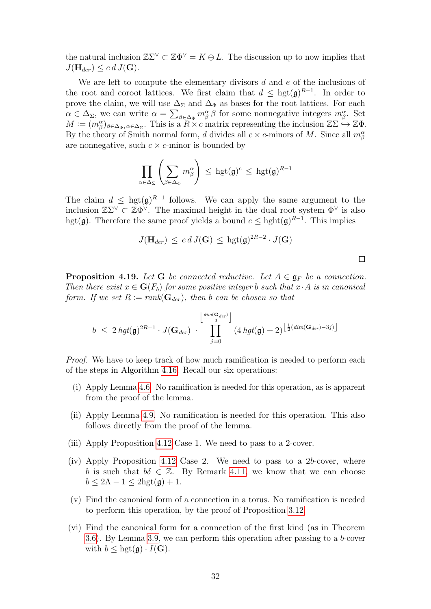the natural inclusion  $\mathbb{Z}\Sigma^{\vee} \subset \mathbb{Z}\Phi^{\vee} = K \oplus L$ . The discussion up to now implies that  $J(\mathbf{H}_{der}) \leq e d J(\mathbf{G}).$ 

We are left to compute the elementary divisors d and e of the inclusions of the root and coroot lattices. We first claim that  $d \leq \text{hgt}(\mathfrak{g})^{R-1}$ . In order to prove the claim, we will use  $\Delta_{\Sigma}$  and  $\Delta_{\Phi}$  as bases for the root lattices. For each  $\alpha \in \Delta_{\Sigma}$ , we can write  $\alpha = \sum_{\beta \in \Delta_{\Phi}} m^{\alpha}_{\beta} \beta$  for some nonnegative integers  $m^{\alpha}_{\beta}$ . Set  $M := (m_\beta^\alpha)_{\beta \in \Delta_{\Phi}, \alpha \in \Delta_{\Sigma}}$ . This is a  $R \times c$  matrix representing the inclusion  $\mathbb{Z} \Sigma \hookrightarrow \mathbb{Z} \Phi$ . By the theory of Smith normal form, d divides all  $c \times c$ -minors of M. Since all  $m_\beta^\alpha$ are nonnegative, such  $c \times c$ -minor is bounded by

$$
\prod_{\alpha \in \Delta_{\Sigma}} \left( \sum_{\beta \in \Delta_{\Phi}} m_{\beta}^{\alpha} \right) \, \leq \, \mathrm{hgt}(\mathfrak{g})^c \, \leq \, \mathrm{hgt}(\mathfrak{g})^{R-1}
$$

The claim  $d \leq \text{hgt}(\mathfrak{g})^{R-1}$  follows. We can apply the same argument to the inclusion  $\mathbb{Z}\Sigma^{\vee} \subset \mathbb{Z}\Phi^{\vee}$ . The maximal height in the dual root system  $\Phi^{\vee}$  is also hgt( $\mathfrak{g}$ ). Therefore the same proof yields a bound  $e \leq \text{hght}(\mathfrak{g})^{R-1}$ . This implies

$$
J(\mathbf{H}_{der}) \leq e d J(\mathbf{G}) \leq \text{hgt}(\mathfrak{g})^{2R-2} \cdot J(\mathbf{G})
$$

 $\Box$ 

<span id="page-31-0"></span>**Proposition 4.19.** Let G be connected reductive. Let  $A \in \mathfrak{g}_F$  be a connection. Then there exist  $x \in G(F_b)$  for some positive integer b such that  $x \cdot A$  is in canonical form. If we set  $R := rank(G_{der})$ , then b can be chosen so that

$$
b \leq 2 hgt(\mathfrak{g})^{2R-1} \cdot J(\mathbf{G}_{der}) \cdot \prod_{j=0}^{\left\lfloor \frac{dim(\mathbf{G}_{der})}{3} \right\rfloor} (4 hgt(\mathfrak{g}) + 2)^{\left\lfloor \frac{1}{2}(dim(\mathbf{G}_{der}) - 3j) \right\rfloor}
$$

*Proof.* We have to keep track of how much ramification is needed to perform each of the steps in Algorithm [4.16.](#page-28-1) Recall our six operations:

- (i) Apply Lemma [4.6.](#page-24-1) No ramification is needed for this operation, as is apparent from the proof of the lemma.
- (ii) Apply Lemma [4.9.](#page-25-1) No ramification is needed for this operation. This also follows directly from the proof of the lemma.
- (iii) Apply Proposition [4.12](#page-26-0) Case 1. We need to pass to a 2-cover.
- (iv) Apply Proposition [4.12](#page-26-0) Case 2. We need to pass to a 2b-cover, where b is such that  $b\delta \in \mathbb{Z}$ . By Remark [4.11,](#page-25-2) we know that we can choose  $b \leq 2\Lambda - 1 \leq 2\text{hgt}(\mathfrak{g}) + 1.$
- (v) Find the canonical form of a connection in a torus. No ramification is needed to perform this operation, by the proof of Proposition [3.12.](#page-10-1)
- (vi) Find the canonical form for a connection of the first kind (as in Theorem [3.6\)](#page-8-0). By Lemma [3.9,](#page-9-0) we can perform this operation after passing to a b-cover with  $b \leq \text{hgt}(\mathfrak{g}) \cdot I(\mathbf{G}).$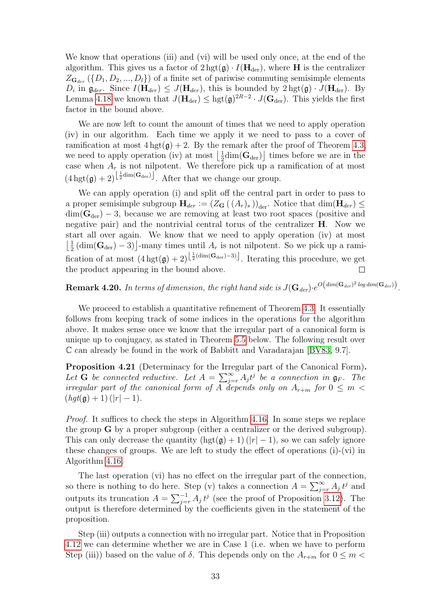We know that operations (iii) and (vi) will be used only once, at the end of the algorithm. This gives us a factor of  $2 \text{ hgt}(\mathfrak{g}) \cdot I(\mathbf{H}_{\text{der}})$ , where **H** is the centralizer  $Z_{\mathbf{G}_{der}}(\{D_1, D_2, ..., D_l\})$  of a finite set of pariwise commuting semisimple elements  $D_i$  in  $\mathfrak{g}_{der}$ . Since  $I(\mathbf{H}_{der}) \leq J(\mathbf{H}_{der})$ , this is bounded by  $2 \text{ hgt}(\mathfrak{g}) \cdot J(\mathbf{H}_{der})$ . By Lemma [4.18](#page-30-0) we known that  $J(\mathbf{H}_{\text{der}}) \leq \text{hgt}(\mathfrak{g})^{2R-2} \cdot J(\mathbf{G}_{\text{der}})$ . This yields the first factor in the bound above.

We are now left to count the amount of times that we need to apply operation (iv) in our algorithm. Each time we apply it we need to pass to a cover of ramification at most  $4 \text{ hgt}(\mathfrak{g}) + 2$ . By the remark after the proof of Theorem [4.3,](#page-23-0) we need to apply operation (iv) at most  $\frac{1}{2}$  $\frac{1}{2}$ dim( $\mathbf{G}_{\text{der}}$ ) times before we are in the case when  $A_r$  is not nilpotent. We therefore pick up a ramification of at most  $(4 \text{ hgt}(\mathfrak{g}) + 2)^{\left\lfloor \frac{1}{2} \dim(\mathbf{G}_{\text{der}}) \right\rfloor}$ . After that we change our group.

We can apply operation (i) and split off the central part in order to pass to a proper semisimple subgroup  $H_{der} := (Z_G((A_r)_s))_{der}$ . Notice that  $\dim(H_{der}) \le$  $\dim(\mathbf{G}_{\text{der}}) - 3$ , because we are removing at least two root spaces (positive and negative pair) and the nontrivial central torus of the centralizer H. Now we start all over again. We know that we need to apply operation (iv) at most  $\frac{1}{2}$  $\frac{1}{2}$  (dim( $\mathbf{G}_{\text{der}}$ ) – 3)<sup>-</sup>many times until  $A_r$  is not nilpotent. So we pick up a ramification of at most  $(4\,\text{hgt}(\mathfrak{g})+2)^{\left[\frac{1}{2}(\text{dim}(\mathbf{G}_{\text{der}})-3)\right]}$ . Iterating this procedure, we get the product appearing in the bound above.

 ${\bf Remark~4.20.}$  In terms of dimension, the right hand side is  $J({\bf G}_{der})\cdot e^{O\left(dim({\bf G}_{der})^2\log dim({\bf G}_{der})\right)}$ .

We proceed to establish a quantitative refinement of Theorem [4.3.](#page-23-0) It essentially follows from keeping track of some indices in the operations for the algorithm above. It makes sense once we know that the irregular part of a canonical form is unique up to conjugacy, as stated in Theorem [5.5](#page-40-0) below. The following result over C can already be found in the work of Babbitt and Varadarajan [\[BV83,](#page-43-0) 9.7].

<span id="page-32-0"></span>Proposition 4.21 (Determinacy for the Irregular part of the Canonical Form). Let G be connected reductive. Let  $A = \sum_{j=r}^{\infty} A_j t^j$  be a connection in  $\mathfrak{g}_F$ . The irregular part of the canonical form of A depends only on  $A_{r+m}$  for  $0 \leq m$  $(hgt(g) + 1)$  (|r| - 1).

Proof. It suffices to check the steps in Algorithm [4.16.](#page-28-1) In some steps we replace the group G by a proper subgroup (either a centralizer or the derived subgroup). This can only decrease the quantity  $(\text{hgt}(\mathfrak{g}) + 1)(|r| - 1)$ , so we can safely ignore these changes of groups. We are left to study the effect of operations (i)-(vi) in Algorithm [4.16.](#page-28-1)

The last operation (vi) has no effect on the irregular part of the connection, so there is nothing to do here. Step (v) takes a connection  $A = \sum_{j=r}^{\infty} A_j t^j$  and outputs its truncation  $A = \sum_{j=r}^{-1} A_j t^j$  (see the proof of Proposition [3.12\)](#page-10-1). The output is therefore determined by the coefficients given in the statement of the proposition.

Step (iii) outputs a connection with no irregular part. Notice that in Proposition [4.12](#page-26-0) we can determine whether we are in Case 1 (i.e. when we have to perform Step (iii)) based on the value of  $\delta$ . This depends only on the  $A_{r+m}$  for  $0 \leq m$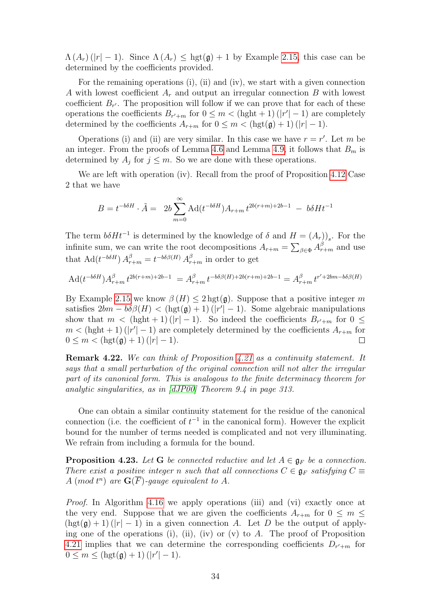$\Lambda(A_r)(|r| - 1)$ . Since  $\Lambda(A_r) \leq$  hgt( $\mathfrak{g}$ ) + 1 by Example [2.15,](#page-6-2) this case can be determined by the coefficients provided.

For the remaining operations (i), (ii) and (iv), we start with a given connection A with lowest coefficient  $A_r$  and output an irregular connection B with lowest coefficient  $B_{r'}$ . The proposition will follow if we can prove that for each of these operations the coefficients  $B_{r'+m}$  for  $0 \leq m < (\text{hght} + 1)(|r'|-1)$  are completely determined by the coefficients  $A_{r+m}$  for  $0 \leq m < (\text{hgt}(\mathfrak{g}) + 1) (|r| - 1)$ .

Operations (i) and (ii) are very similar. In this case we have  $r = r'$ . Let m be an integer. From the proofs of Lemma [4.6](#page-24-1) and Lemma [4.9,](#page-25-1) it follows that  $B<sub>m</sub>$  is determined by  $A_j$  for  $j \leq m$ . So we are done with these operations.

We are left with operation (iv). Recall from the proof of Proposition [4.12](#page-26-0) Case 2 that we have

$$
B = t^{-b\delta H} \cdot \tilde{A} = 2b \sum_{m=0}^{\infty} \text{Ad}(t^{-b\delta H}) A_{r+m} t^{2b(r+m)+2b-1} - b\delta H t^{-1}
$$

The term  $b\delta H t^{-1}$  is determined by the knowledge of  $\delta$  and  $H = (A_r)_{s}$ . For the infinite sum, we can write the root decompositions  $A_{r+m} = \sum_{\beta \in \Phi} A_{r+m}^{\beta}$  and use that  $\text{Ad}(t^{-b\delta H}) A_{r+m}^{\beta} = t^{-b\delta\beta(H)} A_{r+m}^{\beta}$  in order to get

$$
Ad(t^{-b\delta H})A_{r+m}^{\beta}t^{2b(r+m)+2b-1} = A_{r+m}^{\beta}t^{-b\delta\beta(H)+2b(r+m)+2b-1} = A_{r+m}^{\beta}t^{r'+2bm-b\delta\beta(H)}
$$

By Example [2.15](#page-6-2) we know  $\beta(H) \leq 2 \text{ hgt}(\mathfrak{g})$ . Suppose that a positive integer m satisfies  $2bm - b\delta\beta(H) < (hgt(g) + 1)(|r'| - 1)$ . Some algebraic manipulations show that  $m < (\text{hght} + 1)(|r| - 1)$ . So indeed the coefficients  $B_{r'+m}$  for  $0 \leq$  $m < (hght + 1)(|r'|-1)$  are completely determined by the coefficients  $A_{r+m}$  for  $0 \leq m < (\text{hgt}(\mathfrak{g}) + 1) (|r| - 1).$  $\Box$ 

Remark 4.22. We can think of Proposition [4.21](#page-32-0) as a continuity statement. It says that a small perturbation of the original connection will not alter the irregular part of its canonical form. This is analogous to the finite determinacy theorem for analytic singularities, as in [\[dJP00\]](#page-43-8) Theorem 9.4 in page 313.

One can obtain a similar continuity statement for the residue of the canonical connection (i.e. the coefficient of  $t^{-1}$  in the canonical form). However the explicit bound for the number of terms needed is complicated and not very illuminating. We refrain from including a formula for the bound.

<span id="page-33-0"></span>**Proposition 4.23.** Let G be connected reductive and let  $A \in \mathfrak{g}_F$  be a connection. There exist a positive integer n such that all connections  $C \in \mathfrak{g}_F$  satisfying  $C \equiv$ A (mod  $t^n$ ) are  $\mathbf{G}(\overline{F})$ -gauge equivalent to A.

Proof. In Algorithm [4.16](#page-28-1) we apply operations (iii) and (vi) exactly once at the very end. Suppose that we are given the coefficients  $A_{r+m}$  for  $0 \leq m \leq$  $(\text{hgt}(\mathfrak{g}) + 1)(|r| - 1)$  in a given connection A. Let D be the output of applying one of the operations (i), (ii), (iv) or (v) to A. The proof of Proposition [4.21](#page-32-0) implies that we can determine the corresponding coefficients  $D_{r'+m}$  for  $0 \le m \le (\text{hgt}(\mathfrak{g}) + 1) (|r'| - 1).$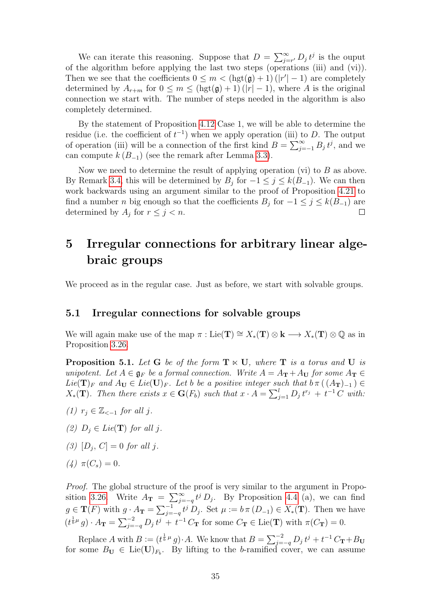We can iterate this reasoning. Suppose that  $D = \sum_{j=r}^{\infty} D_j t^j$  is the ouput of the algorithm before applying the last two steps (operations (iii) and (vi)). Then we see that the coefficients  $0 \leq m < (\text{hgt}(\mathfrak{g}) + 1)(|r'| - 1)$  are completely determined by  $A_{r+m}$  for  $0 \leq m \leq (\text{hgt}(\mathfrak{g})+1)(|r|-1)$ , where A is the original connection we start with. The number of steps needed in the algorithm is also completely determined.

By the statement of Proposition [4.12](#page-26-0) Case 1, we will be able to determine the residue (i.e. the coefficient of  $t^{-1}$ ) when we apply operation (iii) to D. The output of operation (iii) will be a connection of the first kind  $B = \sum_{j=-1}^{\infty} B_j t^j$ , and we can compute  $k (B_{-1})$  (see the remark after Lemma [3.3\)](#page-7-1).

Now we need to determine the result of applying operation (vi) to  $B$  as above. By Remark [3.4,](#page-7-2) this will be determined by  $B_j$  for  $-1 \leq j \leq k(B_{-1})$ . We can then work backwards using an argument similar to the proof of Proposition [4.21](#page-32-0) to find a number *n* big enough so that the coefficients  $B_j$  for  $-1 \leq j \leq k(B_{-1})$  are determined by  $A_j$  for  $r \leq j < n$ .  $\Box$ 

## <span id="page-34-0"></span>5 Irregular connections for arbitrary linear algebraic groups

We proceed as in the regular case. Just as before, we start with solvable groups.

#### <span id="page-34-1"></span>5.1 Irregular connections for solvable groups

We will again make use of the map  $\pi : \text{Lie}(\mathbf{T}) \cong X_*(\mathbf{T}) \otimes \mathbf{k} \longrightarrow X_*(\mathbf{T}) \otimes \mathbb{Q}$  as in Proposition [3.26.](#page-15-1)

<span id="page-34-2"></span>**Proposition 5.1.** Let G be of the form  $T \times U$ , where T is a torus and U is unipotent. Let  $A \in \mathfrak{g}_F$  be a formal connection. Write  $A = A_T + A_U$  for some  $A_T \in$ Lie( $\mathbf{T})_F$  and  $A_U \in Lie(\mathbf{U})_F$ . Let b be a positive integer such that  $b\pi((A_{\mathbf{T}})_{-1}) \in$  $X_*(\mathbf{T})$ . Then there exists  $x \in \mathbf{G}(F_b)$  such that  $x \cdot A = \sum_{j=1}^l D_j t^{r_j} + t^{-1} C$  with:

- (1)  $r_i \in \mathbb{Z}_{\le -1}$  for all j.
- (2)  $D_i \in Lie(\mathbf{T})$  for all j.
- (3)  $[D_j, C] = 0$  for all j.
- (4)  $\pi(C_s) = 0$ .

Proof. The global structure of the proof is very similar to the argument in Propo-sition [3.26.](#page-15-1) Write  $A_{\bf T} = \sum_{j=-q}^{\infty} t^j D_j$ . By Proposition [4.4](#page-23-1) (a), we can find  $g \in \mathbf{T}(F)$  with  $g \cdot A_{\mathbf{T}} = \sum_{j=-q}^{-1} t^j D_j$ . Set  $\mu := b \pi (D_{-1}) \in X_*(\mathbf{T})$ . Then we have  $(t^{\frac{1}{b}\mu}g) \cdot A_{\mathbf{T}} = \sum_{j=-q}^{-2} D_j t^j + t^{-1} C_{\mathbf{T}}$  for some  $C_{\mathbf{T}} \in \text{Lie}(\mathbf{T})$  with  $\pi(C_{\mathbf{T}}) = 0$ .

Replace A with  $B := (t^{\frac{1}{b}\mu}g) \cdot A$ . We know that  $B = \sum_{j=-q}^{-2} D_j t^j + t^{-1} C_{\mathbf{T}} + B_{\mathbf{U}}$ for some  $B_{\mathbf{U}} \in \text{Lie}(\mathbf{U})_{F_b}$ . By lifting to the b-ramified cover, we can assume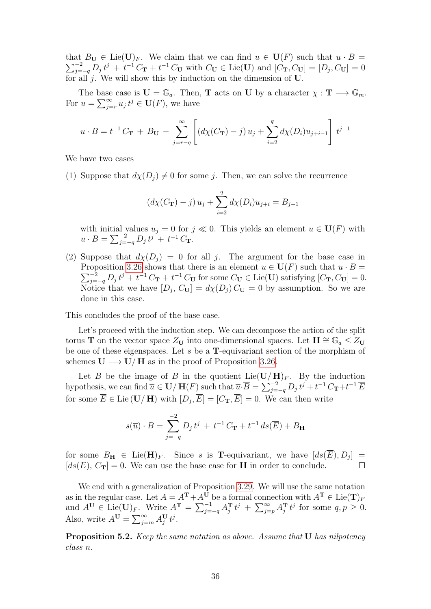that  $B_{\mathbf{U}} \in \text{Lie}(\mathbf{U})_F$ . We claim that we can find  $u \in \mathbf{U}(F)$  such that  $u \cdot B =$  $\sum_{j=-q}^{-2} D_j t^j + t^{-1} C_{\mathbf{T}} + t^{-1} C_{\mathbf{U}}$  with  $C_{\mathbf{U}} \in \text{Lie}(\mathbf{U})$  and  $[C_{\mathbf{T}}, C_{\mathbf{U}}] = [D_j, C_{\mathbf{U}}] = 0$ for all j. We will show this by induction on the dimension of  $U$ .

The base case is  $\mathbf{U} = \mathbb{G}_a$ . Then, **T** acts on **U** by a character  $\chi : \mathbf{T} \longrightarrow \mathbb{G}_m$ . For  $u = \sum_{j=r}^{\infty} u_j t^j \in \mathbf{U}(F)$ , we have

$$
u \cdot B = t^{-1} C_{\mathbf{T}} + B_{\mathbf{U}} - \sum_{j=r-q}^{\infty} \left[ \left( d\chi(C_{\mathbf{T}}) - j \right) u_j + \sum_{i=2}^{q} d\chi(D_i) u_{j+i-1} \right] t^{j-1}
$$

We have two cases

(1) Suppose that  $d\chi(D_i) \neq 0$  for some j. Then, we can solve the recurrence

$$
(d\chi(C_{\mathbf{T}}) - j) u_j + \sum_{i=2}^{q} d\chi(D_i) u_{j+i} = B_{j-1}
$$

with initial values  $u_j = 0$  for  $j \ll 0$ . This yields an element  $u \in U(F)$  with  $u \cdot B = \sum_{j=-q}^{-2} D_j t^j + t^{-1} C_{\mathbf{T}}.$ 

(2) Suppose that  $d\chi(D_i) = 0$  for all j. The argument for the base case in Proposition [3.26](#page-15-1) shows that there is an element  $u \in U(F)$  such that  $u \cdot B =$  $\sum_{j=-q}^{-2} D_j t^j + t^{-1} C_{\mathbf{T}} + t^{-1} C_{\mathbf{U}}$  for some  $C_{\mathbf{U}} \in \text{Lie}(\mathbf{U})$  satisfying  $[C_{\mathbf{T}}, C_{\mathbf{U}}] = 0$ . Notice that we have  $[D_j, C_{\mathbf{U}}] = d\chi(D_j) C_{\mathbf{U}} = 0$  by assumption. So we are done in this case.

This concludes the proof of the base case.

Let's proceed with the induction step. We can decompose the action of the split torus T on the vector space  $Z_U$  into one-dimensional spaces. Let  $H \cong \mathbb{G}_a \leq Z_U$ be one of these eigenspaces. Let  $s$  be a **T**-equivariant section of the morphism of schemes  $U \longrightarrow U/H$  as in the proof of Proposition [3.26.](#page-15-1)

Let  $\overline{B}$  be the image of B in the quotient Lie( $\mathbf{U}/\mathbf{H}_{F}$ . By the induction hypothesis, we can find  $\overline{u} \in U/H(F)$  such that  $\overline{u} \cdot \overline{B} = \sum_{j=-q}^{-2} D_j t^j + t^{-1} C_{\mathbf{T}} + t^{-1} \overline{E}$ for some  $\overline{E} \in \text{Lie}(\mathbf{U}/\mathbf{H})$  with  $[D_j, \overline{E}] = [C_{\mathbf{T}}, \overline{E}] = 0$ . We can then write

$$
s(\overline{u}) \cdot B = \sum_{j=-q}^{-2} D_j t^j + t^{-1} C_{\mathbf{T}} + t^{-1} ds(\overline{E}) + B_{\mathbf{H}}
$$

for some  $B_{\mathbf{H}} \in \text{Lie}(\mathbf{H})_F$ . Since s is **T**-equivariant, we have  $[ds(\overline{E}), D_j] =$  $[d\mathfrak{s}(\overline{E}), C_{\mathbf{T}}] = 0$ . We can use the base case for **H** in order to conclude.  $\Box$ 

We end with a generalization of Proposition [3.29.](#page-17-0) We will use the same notation as in the regular case. Let  $A = A^{\mathbf{T}} + A^{\mathbf{U}}$  be a formal connection with  $A^{\mathbf{T}} \in \text{Lie}(\mathbf{T})_F$ and  $A^{\mathbf{U}} \in \text{Lie}(\mathbf{U})_F$ . Write  $A^{\mathbf{T}} = \sum_{j=-q}^{-1} A_j^{\mathbf{T}} t^j + \sum_{j=p}^{\infty} A_j^{\mathbf{T}} t^j$  for some  $q, p \ge 0$ . Also, write  $A^{\mathbf{U}} = \sum_{j=m}^{\infty} A_j^{\mathbf{U}} t^j$ .

<span id="page-35-0"></span>**Proposition 5.2.** Keep the same notation as above. Assume that **U** has nilpotency class n.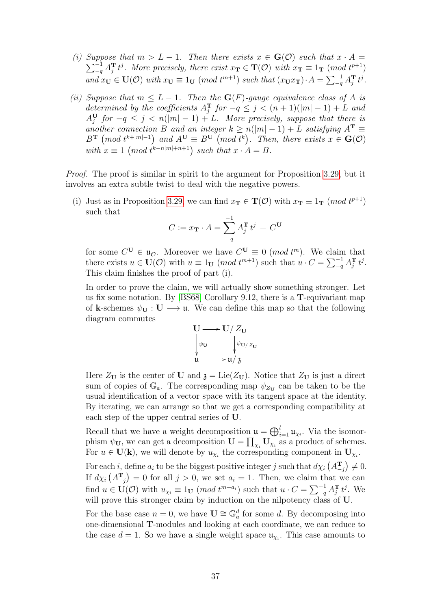- (i) Suppose that  $m > L 1$ . Then there exists  $x \in G(\mathcal{O})$  such that  $x \cdot A =$  $\sum_{-q}^{-1} A_j^T t^j$ . More precisely, there exist  $x_T \in T(\mathcal{O})$  with  $x_T \equiv 1_T \pmod{t^{p+1}}$ and  $x_{\mathbf{U}} \in \mathbf{U}(\mathcal{O})$  with  $x_{\mathbf{U}} \equiv 1_{\mathbf{U}} \pmod{t^{m+1}}$  such that  $(x_{\mathbf{U}} x_{\mathbf{T}}) \cdot A = \sum_{q=1}^{n} A_j^{\mathbf{T}} t^j$ .
- (ii) Suppose that  $m \leq L 1$ . Then the  $\mathbf{G}(F)$ -gauge equivalence class of A is determined by the coefficients  $A_j^T$  for  $-q \leq j < (n+1)(|m|-1) + L$  and  $A_j^{\mathrm{U}}$  for  $-q \leq j < n(|m|-1)+L$ . More precisely, suppose that there is another connection B and an integer  $k \geq n(|m|-1) + L$  satisfying  $A^T \equiv$  $B^{\mathbf{T}} \pmod{t^{k+|m|-1}}$  and  $A^{\mathbf{U}} \equiv B^{\mathbf{U}} \pmod{t^{k}}$ . Then, there exists  $x \in \mathbf{G}(\mathcal{O})$ with  $x \equiv 1 \pmod{t^{k-n|m|+n+1}}$  such that  $x \cdot A = B$ .

*Proof.* The proof is similar in spirit to the argument for Proposition [3.29,](#page-17-0) but it involves an extra subtle twist to deal with the negative powers.

(i) Just as in Proposition [3.29,](#page-17-0) we can find  $x_T \in \mathbf{T}(\mathcal{O})$  with  $x_T \equiv 1_T \pmod{t^{p+1}}$ such that

$$
C:=x_{\mathbf{T}}\cdot A=\sum_{-q}^{-1}A_{j}^{\mathbf{T}}t^{j}+C^{\mathbf{U}}
$$

for some  $C^{\mathbf{U}} \in \mathfrak{u}_{\mathcal{O}}$ . Moreover we have  $C^{\mathbf{U}} \equiv 0 \pmod{t^m}$ . We claim that there exists  $u \in \mathbf{U}(\mathcal{O})$  with  $u \equiv 1_{\mathbf{U}} \pmod{t^{m+1}}$  such that  $u \cdot C = \sum_{q=1}^{-1} A_j^{\mathbf{T}} t^j$ . This claim finishes the proof of part (i).

In order to prove the claim, we will actually show something stronger. Let us fix some notation. By [\[BS68\]](#page-43-7) Corollary 9.12, there is a T-equivariant map of k-schemes  $\psi_{\mathbf{U}} : \mathbf{U} \longrightarrow \mathfrak{u}$ . We can define this map so that the following diagram commutes

$$
U \longrightarrow U/Z_U
$$
  
\n
$$
\downarrow \psi_U
$$
  
\n
$$
u \longrightarrow u/3
$$

Here  $Z_U$  is the center of **U** and  $\mathfrak{z} = \text{Lie}(Z_U)$ . Notice that  $Z_U$  is just a direct sum of copies of  $\mathbb{G}_a$ . The corresponding map  $\psi_{Z_U}$  can be taken to be the usual identification of a vector space with its tangent space at the identity. By iterating, we can arrange so that we get a corresponding compatibility at each step of the upper central series of U.

Recall that we have a weight decomposition  $\mathfrak{u} = \bigoplus_{i=1}^{l} \mathfrak{u}_{\chi_i}$ . Via the isomorphism  $\psi_{\mathbf{U}}$ , we can get a decomposition  $\mathbf{U} = \prod_{\chi_i} \mathbf{U}_{\chi_i}$  as a product of schemes. For  $u \in U(k)$ , we will denote by  $u_{\chi_i}$  the corresponding component in  $U_{\chi_i}$ .

For each *i*, define  $a_i$  to be the biggest positive integer *j* such that  $d\chi_i$   $(A_{-j}^T) \neq 0$ . If  $d\chi_i\left(A_{-j}^{\mathbf{T}}\right) = 0$  for all  $j > 0$ , we set  $a_i = 1$ . Then, we claim that we can find  $u \in \mathbf{U}(\mathcal{O})$  with  $u_{\chi_i} \equiv 1_{\mathbf{U}} \pmod{t^{m+a_i}}$  such that  $u \cdot C = \sum_{-q}^{-1} A_j^{\mathbf{T}} t^j$ . We will prove this stronger claim by induction on the nilpotency class of **U**.

For the base case  $n = 0$ , we have  $\mathbf{U} \cong \mathbb{G}_a^d$  for some d. By decomposing into one-dimensional T-modules and looking at each coordinate, we can reduce to the case  $d = 1$ . So we have a single weight space  $\mathfrak{u}_{\chi_i}$ . This case amounts to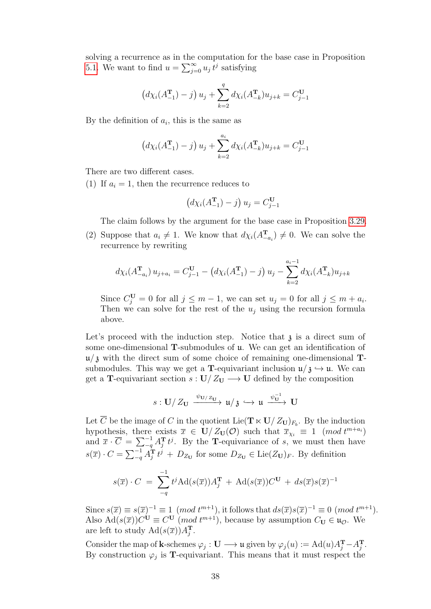solving a recurrence as in the computation for the base case in Proposition [5.1.](#page-34-2) We want to find  $u = \sum_{j=0}^{\infty} u_j t^j$  satisfying

$$
(d\chi_i(A_{-1}^{\mathbf{T}}) - j) u_j + \sum_{k=2}^q d\chi_i(A_{-k}^{\mathbf{T}}) u_{j+k} = C_{j-1}^{\mathbf{U}}
$$

By the definition of  $a_i$ , this is the same as

$$
(d\chi_i(A_{-1}^{\mathbf{T}}) - j) u_j + \sum_{k=2}^{a_i} d\chi_i(A_{-k}^{\mathbf{T}}) u_{j+k} = C_{j-1}^{\mathbf{U}}
$$

There are two different cases.

(1) If  $a_i = 1$ , then the recurrence reduces to

$$
\left(d\chi_i(A_{-1}^{\mathbf{T}}) - j\right)u_j = C_{j-1}^{\mathbf{U}}
$$

The claim follows by the argument for the base case in Proposition [3.29.](#page-17-0)

(2) Suppose that  $a_i \neq 1$ . We know that  $d\chi_i(A_{-a_i}^T) \neq 0$ . We can solve the recurrence by rewriting

$$
d\chi_i(A_{-a_i}^{\mathbf{T}}) u_{j+a_i} = C_{j-1}^{\mathbf{U}} - (d\chi_i(A_{-1}^{\mathbf{T}}) - j) u_j - \sum_{k=2}^{a_i-1} d\chi_i(A_{-k}^{\mathbf{T}}) u_{j+k}
$$

Since  $C_j^{\mathbf{U}} = 0$  for all  $j \leq m-1$ , we can set  $u_j = 0$  for all  $j \leq m + a_i$ . Then we can solve for the rest of the  $u_i$  using the recursion formula above.

Let's proceed with the induction step. Notice that  $\lambda$  is a direct sum of some one-dimensional T-submodules of u. We can get an identification of  $\mu/\mathfrak{z}$  with the direct sum of some choice of remaining one-dimensional Tsubmodules. This way we get a **T**-equivariant inclusion  $\mathfrak{u}/\mathfrak{z} \hookrightarrow \mathfrak{u}$ . We can get a **T**-equivariant section  $s: U/Z_U \longrightarrow U$  defined by the composition

$$
s: \mathbf{U}/Z_{\mathbf{U}} \xrightarrow{\psi_{\mathbf{U}/Z_{\mathbf{U}}}} \mathfrak{u}/\mathfrak{z} \hookrightarrow \mathfrak{u} \xrightarrow{\psi_{\mathbf{U}}^{-1}} \mathbf{U}
$$

Let  $\overline{C}$  be the image of C in the quotient Lie( $\mathbf{T} \ltimes \mathbf{U}/Z_{\mathbf{U}}|_{F_b}$ . By the induction hypothesis, there exists  $\overline{x} \in U/Z_{U}(\mathcal{O})$  such that  $\overline{x}_{\chi_{i}} \equiv 1 \pmod{t^{m+a_{i}}}$ and  $\overline{x} \cdot \overline{C} = \sum_{q=1}^{-1} A_j^T t^j$ . By the **T**-equivariance of s, we must then have  $s(\overline{x}) \cdot C = \sum_{-q}^{-1} A_j^{\mathbf{T}} t^j + D_{Z_{\mathbf{U}}}$  for some  $D_{Z_{\mathbf{U}}} \in \text{Lie}(Z_{\mathbf{U}})_F$ . By definition

$$
s(\overline{x}) \cdot C = \sum_{-q}^{-1} t^j \text{Ad}(s(\overline{x})) A_j^{\mathbf{T}} + \text{Ad}(s(\overline{x})) C^{\mathbf{U}} + ds(\overline{x}) s(\overline{x})^{-1}
$$

Since  $s(\overline{x}) \equiv s(\overline{x})^{-1} \equiv 1 \pmod{t^{m+1}}$ , it follows that  $ds(\overline{x})s(\overline{x})^{-1} \equiv 0 \pmod{t^{m+1}}$ . Also  $\text{Ad}(s(\overline{x}))C^{\mathbf{U}} \equiv C^{\mathbf{U}} \pmod{t^{m+1}}$ , because by assumption  $C_{\mathbf{U}} \in \mathfrak{u}_{\mathcal{O}}$ . We are left to study  $\operatorname{Ad}(s(\overline{x}))A_j^{\mathbf{T}}$ .

Consider the map of **k**-schemes  $\varphi_j : \mathbf{U} \longrightarrow \mathfrak{u}$  given by  $\varphi_j(u) := \text{Ad}(u)A_j^{\mathbf{T}} - A_j^{\mathbf{T}}$ . By construction  $\varphi_j$  is **T**-equivariant. This means that it must respect the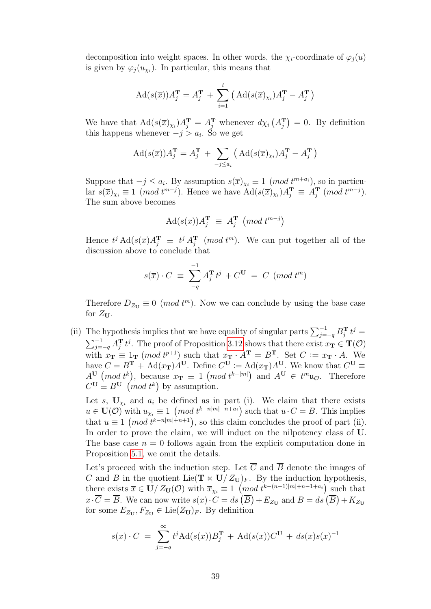decomposition into weight spaces. In other words, the  $\chi_i$ -coordinate of  $\varphi_i(u)$ is given by  $\varphi_j(u_{\chi_i})$ . In particular, this means that

$$
Ad(s(\overline{x}))A_j^{\mathbf{T}} = A_j^{\mathbf{T}} + \sum_{i=1}^{l} (Ad(s(\overline{x})_{\chi_i})A_j^{\mathbf{T}} - A_j^{\mathbf{T}})
$$

We have that  $\text{Ad}(s(\overline{x})_{\chi_i})A_j^{\textbf{T}} = A_j^{\textbf{T}}$  whenever  $d\chi_i(A_j^{\textbf{T}}) = 0$ . By definition this happens whenever  $-j > a_i$ . So we get

$$
Ad(s(\overline{x}))A_j^{\mathbf{T}} = A_j^{\mathbf{T}} + \sum_{-j \leq a_i} (Ad(s(\overline{x})_{\chi_i})A_j^{\mathbf{T}} - A_j^{\mathbf{T}})
$$

Suppose that  $-j \leq a_i$ . By assumption  $s(\overline{x})_{\chi_i} \equiv 1 \pmod{t^{m+a_i}}$ , so in particular  $s(\overline{x})_{\chi_i} \equiv 1 \pmod{t^{m-j}}$ . Hence we have  $\text{Ad}(s(\overline{x})_{\chi_i}) A_j^{\mathbf{T}} \equiv A_j^{\mathbf{T}} \pmod{t^{m-j}}$ . The sum above becomes

$$
Ad(s(\overline{x}))A_j^{\mathbf{T}} \equiv A_j^{\mathbf{T}} \pmod{t^{m-j}}
$$

Hence  $t^j \text{Ad}(s(\overline{x})A_j^{\mathbf{T}} \equiv t^j A_j^{\mathbf{T}} \pmod{t^m}$ . We can put together all of the discussion above to conclude that

$$
s(\overline{x}) \cdot C \equiv \sum_{-q}^{-1} A_j^{\mathbf{T}} t^j + C^{\mathbf{U}} = C \pmod{t^m}
$$

Therefore  $D_{Z_U} \equiv 0 \pmod{t^m}$ . Now we can conclude by using the base case for  $Z_{U}$ .

(ii) The hypothesis implies that we have equality of singular parts  $\sum_{j=-q}^{-1} B_j^T t^j =$  $\sum_{j=-q}^{-1} A_j^T t^j$ . The proof of Proposition [3.12](#page-10-1) shows that there exist  $x_T \in T(\mathcal{O})$ with  $x_T \equiv 1_T \pmod{t^{p+1}}$  such that  $x_T \cdot A^T = B^T$ . Set  $C := x_T \cdot A$ . We have  $C = B^{\mathbf{T}} + \text{Ad}(x_{\mathbf{T}})A^{\mathbf{U}}$ . Define  $C^{\mathbf{U}} := \text{Ad}(x_{\mathbf{T}})A^{\mathbf{U}}$ . We know that  $C^{\mathbf{U}} \equiv$  $A^{\mathbf{U}}$  (*mod*  $t^k$ ), because  $x_{\mathbf{T}} \equiv 1 \pmod{t^{k+|m|}}$  and  $A^{\mathbf{U}} \in t^m \mathfrak{u}_{\mathcal{O}}$ . Therefore  $C^{\mathbf{U}} \equiv B^{\mathbf{U}} \pmod{t^k}$  by assumption.

Let s,  $U_{\chi_i}$  and  $a_i$  be defined as in part (i). We claim that there exists  $u \in \mathbf{U}(\mathcal{O})$  with  $u_{\chi_i} \equiv 1 \pmod{t^{k-n|m|+n+a_i}}$  such that  $u \cdot C = B$ . This implies that  $u \equiv 1 \pmod{t^{k-n|m|+n+1}}$ , so this claim concludes the proof of part (ii). In order to prove the claim, we will induct on the nilpotency class of U. The base case  $n = 0$  follows again from the explicit computation done in Proposition [5.1,](#page-34-2) we omit the details.

Let's proceed with the induction step. Let  $\overline{C}$  and  $\overline{B}$  denote the images of C and B in the quotient Lie( $\mathbf{T} \ltimes \mathbf{U}/Z_{\mathbf{U}}$ )<sub>F</sub>. By the induction hypothesis, there exists  $\bar{x} \in U/Z_{U}(\mathcal{O})$  with  $\bar{x}_{\chi_i} \equiv 1 \pmod{t^{k-(n-1)|m|+n-1+a_i}}$  such that  $\overline{x} \cdot \overline{C} = \overline{B}$ . We can now write  $s(\overline{x}) \cdot C = ds(\overline{B}) + E_{Z_{\mathbf{U}}}$  and  $B = ds(\overline{B}) + K_{Z_{\mathbf{U}}}$ for some  $E_{Z_{\mathbf{U}}}, F_{Z_{\mathbf{U}}} \in \text{Lie}(Z_{\mathbf{U}})_F$ . By definition

$$
s(\overline{x}) \cdot C = \sum_{j=-q}^{\infty} t^j \text{Ad}(s(\overline{x})) B_j^{\mathbf{T}} + \text{Ad}(s(\overline{x})) C^{\mathbf{U}} + ds(\overline{x}) s(\overline{x})^{-1}
$$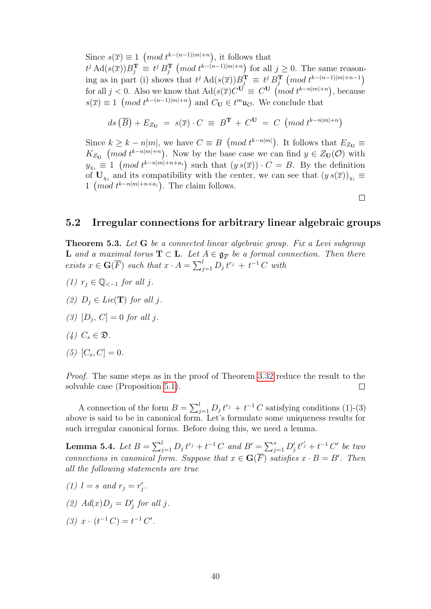Since  $s(\overline{x}) \equiv 1 \pmod{t^{k-(n-1)|m|+n}}$ , it follows that  $t^j \operatorname{Ad}(s(\overline{x}))B_j^{\mathbf{T}} \equiv t^j B_j^{\mathbf{T}} \pmod{t^{k-(n-1)|m|+n}}$  for all  $j \geq 0$ . The same reasoning as in part (i) shows that  $t^j \text{Ad}(s(\overline{x}))B_j^{\textbf{T}} \equiv t^j B_j^{\textbf{T}} \pmod{t^{k-(n-1)|m|+n-1}}$ for all  $j < 0$ . Also we know that  $\text{Ad}(s(\overline{x})C^{\mathbf{U}} \equiv C^{\mathbf{U}} \pmod{t^{k-n|m|+n}}$ , because  $s(\overline{x}) \equiv 1 \pmod{t^{k-(n-1)|m|+n}}$  and  $C_{\mathbf{U}} \in t^m \mathfrak{u}_{\mathcal{O}}$ . We conclude that

$$
ds\left(\overline{B}\right) + E_{Z_U} = s(\overline{x}) \cdot C \equiv B^T + C^U = C \pmod{t^{k-n|m|+n}}
$$

Since  $k \geq k - n|m|$ , we have  $C \equiv B \pmod{t^{k-n|m|}}$ . It follows that  $E_{Z_{\mathbf{U}}} \equiv$  $K_{Z_U}$  (mod  $t^{k-n|m|+n}$ ). Now by the base case we can find  $y \in Z_U(\mathcal{O})$  with  $y_{\chi_i} \equiv 1 \pmod{t^{k-n|m|+n+a_i}}$  such that  $(y s(\overline{x})) \cdot C = B$ . By the definition of  $U_{\chi_i}$  and its compatibility with the center, we can see that  $(y s(\overline{x}))_{\chi_i} \equiv$ 1 (mod  $t^{k-n|m|+n+a_i}$ ). The claim follows.

 $\Box$ 

#### <span id="page-39-0"></span>5.2 Irregular connections for arbitrary linear algebraic groups

<span id="page-39-1"></span>**Theorem 5.3.** Let G be a connected linear algebraic group. Fix a Levi subgroup **L** and a maximal torus  $T \subset L$ . Let  $A \in \mathfrak{g}_{\overline{F}}$  be a formal connection. Then there exists  $x \in \mathbf{G}(\overline{F})$  such that  $x \cdot A = \sum_{j=1}^{l} D_j t^{r_j} + t^{-1} C$  with

- (1)  $r_i \in \mathbb{Q}_{\le -1}$  for all j.
- (2)  $D_i \in Lie(\mathbf{T})$  for all j.
- (3)  $[D_j, C] = 0$  for all j.
- (4)  $C_s \in \mathfrak{D}$ .
- (5)  $[C_s, C] = 0$ .

Proof. The same steps as in the proof of Theorem [3.32](#page-19-1) reduce the result to the solvable case (Proposition [5.1\)](#page-34-2).  $\Box$ 

A connection of the form  $B = \sum_{j=1}^{l} D_j t^{r_j} + t^{-1} C$  satisfying conditions (1)-(3) above is said to be in canonical form. Let's formulate some uniqueness results for such irregular canonical forms. Before doing this, we need a lemma.

<span id="page-39-2"></span>**Lemma 5.4.** Let  $B = \sum_{j=1}^{l} D_j t^{r_j} + t^{-1} C$  and  $B' = \sum_{j=1}^{s} D'_j t^{r'_j} + t^{-1} C'$  be two connections in canonical form. Suppose that  $x \in \mathbf{G}(\overline{F})$  satisfies  $x \cdot B = B'$ . Then all the following statements are true

- (1)  $l = s$  and  $r_j = r'_j$ .
- (2)  $Ad(x)D_j = D'_j$  for all j.
- (3)  $x \cdot (t^{-1} C) = t^{-1} C'$ .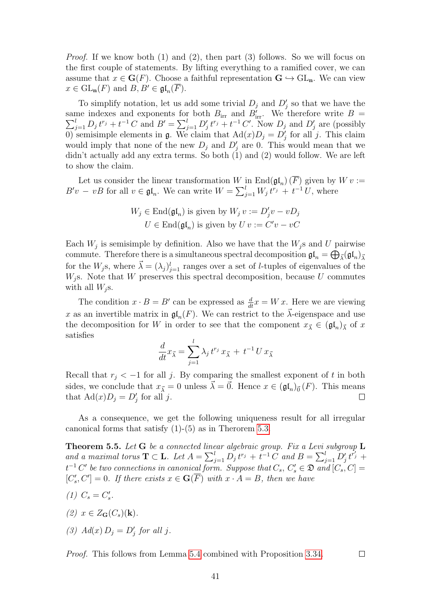*Proof.* If we know both  $(1)$  and  $(2)$ , then part  $(3)$  follows. So we will focus on the first couple of statements. By lifting everything to a ramified cover, we can assume that  $x \in \mathbf{G}(F)$ . Choose a faithful representation  $\mathbf{G} \hookrightarrow \mathrm{GL}_{n}$ . We can view  $x \in \mathrm{GL}_{\mathbf{n}}(F)$  and  $B, B' \in \mathfrak{gl}_n(\overline{F})$ .

To simplify notation, let us add some trivial  $D_j$  and  $D'_j$  so that we have the same indexes and exponents for both  $B_{irr}$  and  $B'_{irr}$  $\sum$ me indexes and exponents for both  $B_{irr}$  and  $B'_{irr}$ . We therefore write  $B =$ <br> $\sum_{j=1}^{l} D_j t^{r_j} + t^{-1} C$  and  $B' = \sum_{j=1}^{l} D'_j t^{r_j} + t^{-1} C'$ . Now  $D_j$  and  $D'_j$  are (possibly 0) semisimple elements in  $\mathfrak g$ . We claim that  $\text{Ad}(x)D_j = D'_j$  for all j. This claim would imply that none of the new  $D_j$  and  $D'_j$  are 0. This would mean that we didn't actually add any extra terms. So both (1) and (2) would follow. We are left to show the claim.

Let us consider the linear transformation W in  $\text{End}(\mathfrak{gl}_n) (\overline{F})$  given by  $W v :=$  $B'v - vB$  for all  $v \in \mathfrak{gl}_n$ . We can write  $W = \sum_{j=1}^l W_j t^{r_j} + t^{-1} U$ , where

$$
W_j \in \text{End}(\mathfrak{gl}_n) \text{ is given by } W_j v := D'_j v - v D_j
$$
  

$$
U \in \text{End}(\mathfrak{gl}_n) \text{ is given by } U v := C' v - v C
$$

Each  $W_j$  is semisimple by definition. Also we have that the  $W_j$ s and U pairwise commute. Therefore there is a simultaneous spectral decomposition  $\mathfrak{gl}_n = \bigoplus_{\vec{\lambda}} (\mathfrak{gl}_n)_{\vec{\lambda}}$ for the  $W_j$ s, where  $\vec{\lambda} = (\lambda_j)_{j=1}^l$  ranges over a set of *l*-tuples of eigenvalues of the  $W<sub>j</sub>$ s. Note that W preserves this spectral decomposition, because U commutes with all  $W_i$ s.

The condition  $x \cdot B = B'$  can be expressed as  $\frac{d}{dt}x = W x$ . Here we are viewing x as an invertible matrix in  $\mathfrak{gl}_n(F)$ . We can restrict to the  $\vec{\lambda}$ -eigenspace and use the decomposition for W in order to see that the component  $x_{\vec{\lambda}} \in (\mathfrak{gl}_n)_{\vec{\lambda}}$  of x satisfies

$$
\frac{d}{dt}x_{\vec{\lambda}} = \sum_{j=1}^{l} \lambda_j t^{r_j} x_{\vec{\lambda}} + t^{-1} U x_{\vec{\lambda}}
$$

Recall that  $r_j < -1$  for all j. By comparing the smallest exponent of t in both sides, we conclude that  $x_{\vec{\lambda}} = 0$  unless  $\vec{\lambda} = \vec{0}$ . Hence  $x \in (\mathfrak{gl}_n)_{\vec{0}}(F)$ . This means that  $\text{Ad}(x)D_j = D'_j$  for all j. П

As a consequence, we get the following uniqueness result for all irregular canonical forms that satisfy (1)-(5) as in Therorem [5.3.](#page-39-1)

<span id="page-40-0"></span>**Theorem 5.5.** Let  $G$  be a connected linear algebraic group. Fix a Levi subgroup  $L$ and a maximal torus  $\mathbf{T} \subset \mathbf{L}$ . Let  $A = \sum_{j=1}^{l} D_j t^{r_j} + t^{-1} C$  and  $B = \sum_{j=1}^{l} D'_j t^{r_j} +$  $t^{-1}C'$  be two connections in canonical form. Suppose that  $C_s$ ,  $C'_s \in \mathfrak{D}$  and  $[C_s,C] =$  $[C'_s, C'] = 0$ . If there exists  $x \in \mathbf{G}(\overline{F})$  with  $x \cdot A = B$ , then we have

- (1)  $C_s = C'_s$ .
- (2)  $x \in Z_{\mathbf{G}}(C_s)(\mathbf{k}).$
- (3)  $Ad(x) D_j = D'_j$  for all j.

Proof. This follows from Lemma [5.4](#page-39-2) combined with Proposition [3.34.](#page-19-2)

 $\Box$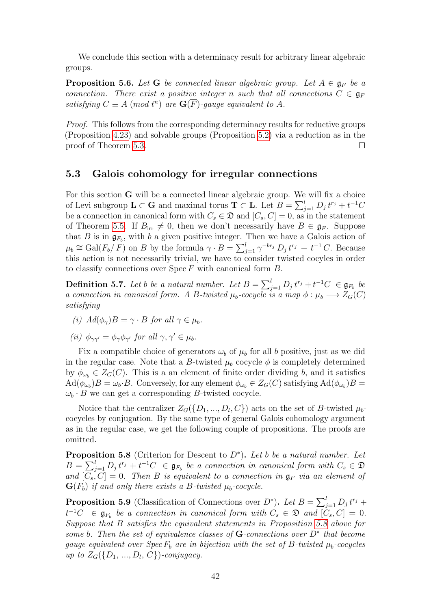We conclude this section with a determinacy result for arbitrary linear algebraic groups.

**Proposition 5.6.** Let G be connected linear algebraic group. Let  $A \in \mathfrak{g}_F$  be a connection. There exist a positive integer n such that all connections  $C \in \mathfrak{g}_F$ satisfying  $C \equiv A \pmod{t^n}$  are  $\mathbf{G}(\overline{F})$ -gauge equivalent to A.

Proof. This follows from the corresponding determinacy results for reductive groups (Proposition [4.23\)](#page-33-0) and solvable groups (Proposition [5.2\)](#page-35-0) via a reduction as in the proof of Theorem [5.3.](#page-39-1)  $\Box$ 

#### <span id="page-41-0"></span>5.3 Galois cohomology for irregular connections

For this section G will be a connected linear algebraic group. We will fix a choice of Levi subgroup  $\mathbf{L} \subset \mathbf{G}$  and maximal torus  $\mathbf{T} \subset \mathbf{L}$ . Let  $B = \sum_{j=1}^{l} D_j t^{r_j} + t^{-1}C$ be a connection in canonical form with  $C_s \in \mathfrak{D}$  and  $[C_s, C] = 0$ , as in the statement of Theorem [5.5.](#page-40-0) If  $B_{irr} \neq 0$ , then we don't necessarily have  $B \in \mathfrak{g}_F$ . Suppose that B is in  $\mathfrak{g}_{F_b}$ , with b a given positive integer. Then we have a Galois action of  $\mu_b \cong \text{Gal}(F_b/F)$  on B by the formula  $\gamma \cdot B = \sum_{j=1}^l \gamma^{-br_j} D_j t^{r_j} + t^{-1} C$ . Because this action is not necessarily trivial, we have to consider twisted cocyles in order to classify connections over  $\text{Spec } F$  with canonical form  $B$ .

<span id="page-41-2"></span>**Definition 5.7.** Let b be a natural number. Let  $B = \sum_{j=1}^{l} D_j t^{r_j} + t^{-1}C \in \mathfrak{g}_{F_b}$  be a connection in canonical form. A B-twisted  $\mu_b$ -cocycle is a map  $\phi : \mu_b \longrightarrow Z_G(C)$ satisfying

- (i)  $Ad(\phi_{\gamma})B = \gamma \cdot B$  for all  $\gamma \in \mu_b$ .
- (ii)  $\phi_{\gamma\gamma'} = \phi_{\gamma}\phi_{\gamma'}$  for all  $\gamma, \gamma' \in \mu_b$ .

Fix a compatible choice of generators  $\omega_b$  of  $\mu_b$  for all b positive, just as we did in the regular case. Note that a B-twisted  $\mu_b$  cocycle  $\phi$  is completely determined by  $\phi_{\omega_b} \in Z_G(C)$ . This is a an element of finite order dividing b, and it satisfies  $\text{Ad}(\phi_{\omega_b})B = \omega_b \cdot B$ . Conversely, for any element  $\phi_{\omega_b} \in Z_G(C)$  satisfying  $\text{Ad}(\phi_{\omega_b})B =$  $\omega_b \cdot B$  we can get a corresponding B-twisted cocycle.

Notice that the centralizer  $Z_{G}(\{D_1, ..., D_l, C\})$  acts on the set of B-twisted  $\mu_b$ cocycles by conjugation. By the same type of general Galois cohomology argument as in the regular case, we get the following couple of propositions. The proofs are omitted.

<span id="page-41-3"></span>**Proposition 5.8** (Criterion for Descent to  $D^*$ ). Let b be a natural number. Let  $B = \sum_{j=1}^{l} D_j t^{r_j} + t^{-1}C \in \mathfrak{g}_{F_b}$  be a connection in canonical form with  $C_s \in \mathfrak{D}$ and  $[\overline{C_s}, \overline{C}] = 0$ . Then B is equivalent to a connection in  $\mathfrak{g}_F$  via an element of  $\mathbf{G}(F_b)$  if and only there exists a B-twisted  $\mu_b$ -cocycle.

<span id="page-41-1"></span>**Proposition 5.9** (Classification of Connections over  $D^*$ ). Let  $B = \sum_{j=1}^{l} D_j t^{r_j} +$  $t^{-1}C \in \mathfrak{g}_{F_b}$  be a connection in canonical form with  $C_s \in \mathfrak{D}$  and  $[\tilde{C}_s, C] = 0$ . Suppose that B satisfies the equivalent statements in Proposition [5.8](#page-41-3) above for some b. Then the set of equivalence classes of  $G$ -connections over  $D^*$  that become gauge equivalent over  $Spec F_b$  are in bijection with the set of B-twisted  $\mu_b$ -cocycles up to  $Z_G({D_1, ..., D_l, C})$ -conjugacy.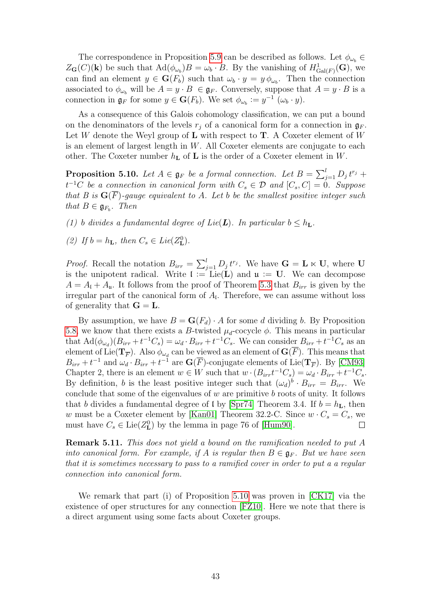The correspondence in Proposition [5.9](#page-41-1) can be described as follows. Let  $\phi_{\omega_b} \in$  $Z_{\mathbf{G}}(C)(\mathbf{k})$  be such that  $\text{Ad}(\phi_{\omega_b})B = \omega_b \cdot B$ . By the vanishing of  $H^1_{\text{Gal}(F)}(\mathbf{G})$ , we can find an element  $y \in \mathbf{G}(F_b)$  such that  $\omega_b \cdot y = y \phi_{\omega_b}$ . Then the connection associated to  $\phi_{\omega_b}$  will be  $A = y \cdot B \in \mathfrak{g}_F$ . Conversely, suppose that  $A = y \cdot B$  is a connection in  $\mathfrak{g}_F$  for some  $y \in \mathbf{G}(F_b)$ . We set  $\phi_{\omega_b} := y^{-1}(\omega_b \cdot y)$ .

As a consequence of this Galois cohomology classification, we can put a bound on the denominators of the levels  $r_i$  of a canonical form for a connection in  $\mathfrak{g}_F$ . Let W denote the Weyl group of **L** with respect to **T**. A Coxeter element of W is an element of largest length in  $W$ . All Coxeter elements are conjugate to each other. The Coxeter number  $h_{\mathbf{L}}$  of  $\mathbf{L}$  is the order of a Coxeter element in W.

<span id="page-42-0"></span>**Proposition 5.10.** Let  $A \in \mathfrak{g}_F$  be a formal connection. Let  $B = \sum_{j=1}^l D_j t^{r_j} +$  $t^{-1}C$  be a connection in canonical form with  $C_s \in \mathcal{D}$  and  $[C_s, C] = 0$ . Suppose that B is  $\mathbf{G}(\overline{F})$ -gauge equivalent to A. Let b be the smallest positive integer such that  $B \in \mathfrak{g}_{F_b}$ . Then

- (1) b divides a fundamental degree of Lie(L). In particular  $b \leq h_L$ .
- (2) If  $b = h_{\mathbf{L}}$ , then  $C_s \in Lie(Z_{\mathbf{L}}^0)$ .

*Proof.* Recall the notation  $B_{irr} = \sum_{j=1}^{l} D_j t^{r_j}$ . We have  $\mathbf{G} = \mathbf{L} \ltimes \mathbf{U}$ , where  $\mathbf{U}$ is the unipotent radical. Write  $\mathfrak{l} := \mathrm{Lie}(\mathbf{L})$  and  $\mathfrak{u} := \mathbf{U}$ . We can decompose  $A = A_{\rm I} + A_{\rm u}$ . It follows from the proof of Theorem [5.3](#page-39-1) that  $B_{irr}$  is given by the irregular part of the canonical form of  $A<sub>l</sub>$ . Therefore, we can assume without loss of generality that  $G = L$ .

By assumption, we have  $B = G(F_d) \cdot A$  for some d dividing b. By Proposition [5.8,](#page-41-3) we know that there exists a B-twisted  $\mu_d$ -cocycle  $\phi$ . This means in particular that  $\text{Ad}(\phi_{\omega_d})(B_{irr}+t^{-1}C_s) = \omega_d \cdot B_{irr}+t^{-1}C_s$ . We can consider  $B_{irr}+t^{-1}C_s$  as an element of Lie( $\mathbf{T}_{\overline{F}}$ ). Also  $\phi_{\omega_d}$  can be viewed as an element of  $\mathbf{G}(F)$ . This means that  $B_{irr} + t^{-1}$  and  $\omega_d \cdot B_{irr} + t^{-1}$  are  $\mathbf{G}(\overline{F})$ -conjugate elements of Lie( $\mathbf{T}_{\overline{F}}$ ). By [\[CM93\]](#page-43-4) Chapter 2, there is an element  $w \in W$  such that  $w \cdot (B_{irr}t^{-1}C_s) = \omega_d \cdot B_{irr} + t^{-1}C_s$ . By definition, b is the least positive integer such that  $(\omega_d)^b \cdot B_{irr} = B_{irr}$ . We conclude that some of the eigenvalues of  $w$  are primitive  $b$  roots of unity. It follows that b divides a fundamental degree of l by [\[Spr74\]](#page-44-3) Theorem 3.4. If  $b = h<sub>L</sub>$ , then w must be a Coxeter element by [\[Kan01\]](#page-44-4) Theorem 32.2-C. Since  $w \cdot C_s = C_s$ , we must have  $C_s \in \text{Lie}(Z_{\mathbf{L}}^0)$  by the lemma in page 76 of [\[Hum90\]](#page-43-9).  $\Box$ 

Remark 5.11. This does not yield a bound on the ramification needed to put A into canonical form. For example, if A is regular then  $B \in \mathfrak{g}_F$ . But we have seen that it is sometimes necessary to pass to a ramified cover in order to put a a regular connection into canonical form.

We remark that part (i) of Proposition [5.10](#page-42-0) was proven in [\[CK17\]](#page-43-1) via the existence of oper structures for any connection [\[FZ10\]](#page-43-10). Here we note that there is a direct argument using some facts about Coxeter groups.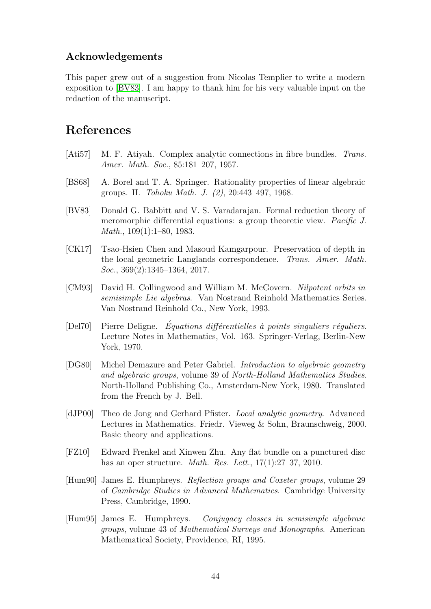### Acknowledgements

This paper grew out of a suggestion from Nicolas Templier to write a modern exposition to [\[BV83\]](#page-43-0). I am happy to thank him for his very valuable input on the redaction of the manuscript.

### References

- <span id="page-43-2"></span>[Ati57] M. F. Atiyah. Complex analytic connections in fibre bundles. Trans. Amer. Math. Soc., 85:181–207, 1957.
- <span id="page-43-7"></span>[BS68] A. Borel and T. A. Springer. Rationality properties of linear algebraic groups. II. Tohoku Math. J. (2), 20:443–497, 1968.
- <span id="page-43-0"></span>[BV83] Donald G. Babbitt and V. S. Varadarajan. Formal reduction theory of meromorphic differential equations: a group theoretic view. Pacific J. Math., 109(1):1–80, 1983.
- <span id="page-43-1"></span>[CK17] Tsao-Hsien Chen and Masoud Kamgarpour. Preservation of depth in the local geometric Langlands correspondence. Trans. Amer. Math. Soc., 369(2):1345–1364, 2017.
- <span id="page-43-4"></span>[CM93] David H. Collingwood and William M. McGovern. Nilpotent orbits in semisimple Lie algebras. Van Nostrand Reinhold Mathematics Series. Van Nostrand Reinhold Co., New York, 1993.
- <span id="page-43-5"></span> $[Del70]$  Pierre Deligne. *Équations différentielles à points singuliers réguliers.* Lecture Notes in Mathematics, Vol. 163. Springer-Verlag, Berlin-New York, 1970.
- <span id="page-43-3"></span>[DG80] Michel Demazure and Peter Gabriel. Introduction to algebraic geometry and algebraic groups, volume 39 of North-Holland Mathematics Studies. North-Holland Publishing Co., Amsterdam-New York, 1980. Translated from the French by J. Bell.
- <span id="page-43-8"></span>[dJP00] Theo de Jong and Gerhard Pfister. Local analytic geometry. Advanced Lectures in Mathematics. Friedr. Vieweg & Sohn, Braunschweig, 2000. Basic theory and applications.
- <span id="page-43-10"></span>[FZ10] Edward Frenkel and Xinwen Zhu. Any flat bundle on a punctured disc has an oper structure. *Math. Res. Lett.*,  $17(1):27-37$ ,  $2010$ .
- <span id="page-43-9"></span>[Hum90] James E. Humphreys. Reflection groups and Coxeter groups, volume 29 of Cambridge Studies in Advanced Mathematics. Cambridge University Press, Cambridge, 1990.
- <span id="page-43-6"></span>[Hum95] James E. Humphreys. Conjugacy classes in semisimple algebraic groups, volume 43 of Mathematical Surveys and Monographs. American Mathematical Society, Providence, RI, 1995.